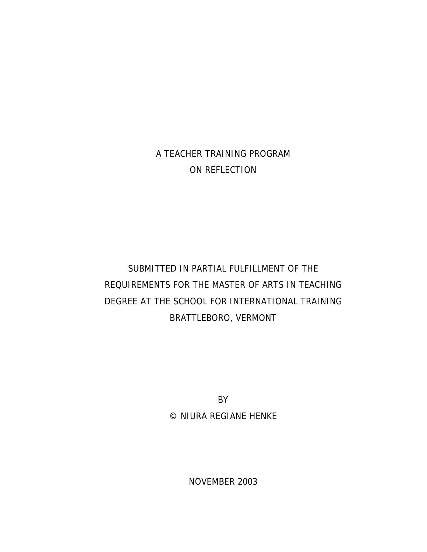## A TEACHER TRAINING PROGRAM ON REFLECTION

# SUBMITTED IN PARTIAL FULFILLMENT OF THE REQUIREMENTS FOR THE MASTER OF ARTS IN TEACHING DEGREE AT THE SCHOOL FOR INTERNATIONAL TRAINING BRATTLEBORO, VERMONT

BY © NIURA REGIANE HENKE

NOVEMBER 2003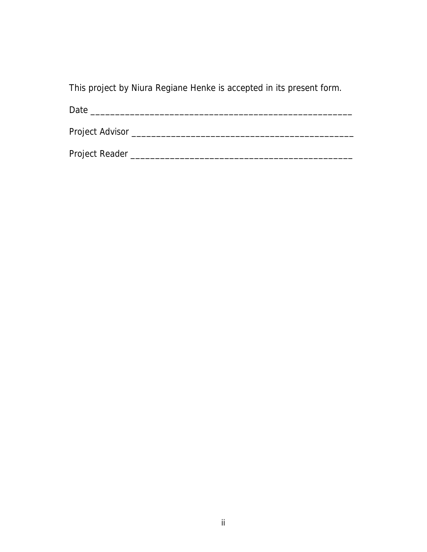This project by Niura Regiane Henke is accepted in its present form.

Date \_\_\_\_\_\_\_\_\_\_\_\_\_\_\_\_\_\_\_\_\_\_\_\_\_\_\_\_\_\_\_\_\_\_\_\_\_\_\_\_\_\_\_\_\_\_\_\_\_\_\_\_\_

Project Advisor \_\_\_\_\_\_\_\_\_\_\_\_\_\_\_\_\_\_\_\_\_\_\_\_\_\_\_\_\_\_\_\_\_\_\_\_\_\_\_\_\_\_\_\_\_

Project Reader \_\_\_\_\_\_\_\_\_\_\_\_\_\_\_\_\_\_\_\_\_\_\_\_\_\_\_\_\_\_\_\_\_\_\_\_\_\_\_\_\_\_\_\_\_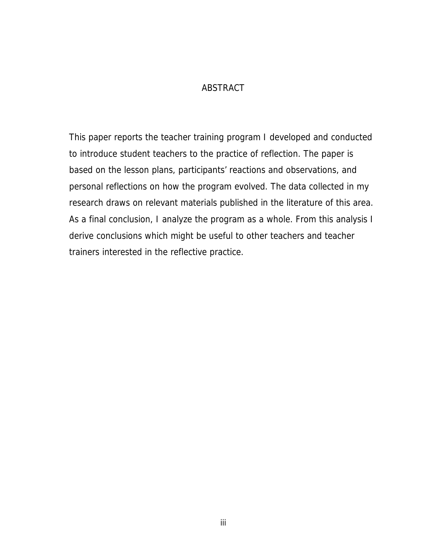#### ABSTRACT

This paper reports the teacher training program I developed and conducted to introduce student teachers to the practice of reflection. The paper is based on the lesson plans, participants' reactions and observations, and personal reflections on how the program evolved. The data collected in my research draws on relevant materials published in the literature of this area. As a final conclusion, I analyze the program as a whole. From this analysis I derive conclusions which might be useful to other teachers and teacher trainers interested in the reflective practice.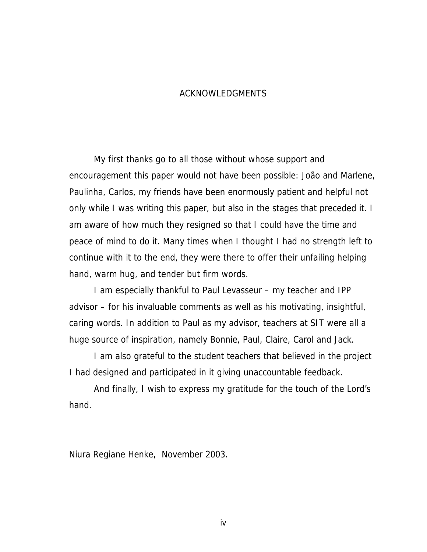#### ACKNOWLEDGMENTS

 My first thanks go to all those without whose support and encouragement this paper would not have been possible: João and Marlene, Paulinha, Carlos, my friends have been enormously patient and helpful not only while I was writing this paper, but also in the stages that preceded it. I am aware of how much they resigned so that I could have the time and peace of mind to do it. Many times when I thought I had no strength left to continue with it to the end, they were there to offer their unfailing helping hand, warm hug, and tender but firm words.

 I am especially thankful to Paul Levasseur – my teacher and IPP advisor – for his invaluable comments as well as his motivating, insightful, caring words. In addition to Paul as my advisor, teachers at SIT were all a huge source of inspiration, namely Bonnie, Paul, Claire, Carol and Jack.

 I am also grateful to the student teachers that believed in the project I had designed and participated in it giving unaccountable feedback.

 And finally, I wish to express my gratitude for the touch of the Lord's hand.

Niura Regiane Henke, November 2003.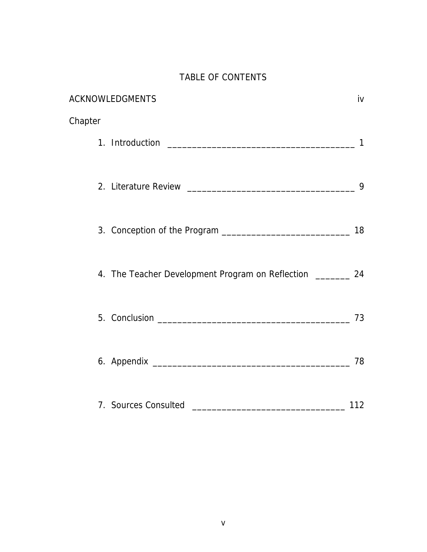## TABLE OF CONTENTS

| <b>ACKNOWLEDGMENTS</b>                                       | iv  |
|--------------------------------------------------------------|-----|
| Chapter                                                      |     |
|                                                              | 1   |
|                                                              | 9   |
|                                                              |     |
| 4. The Teacher Development Program on Reflection ________ 24 |     |
|                                                              | 73  |
|                                                              | 78  |
| 7. Sources Consulted                                         | 112 |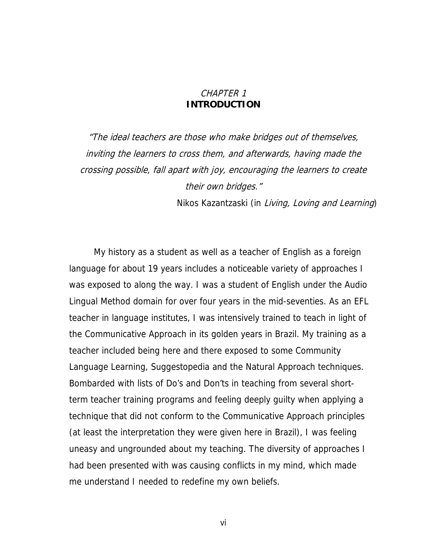#### CHAPTER 1 **INTRODUCTION**

"The ideal teachers are those who make bridges out of themselves, inviting the learners to cross them, and afterwards, having made the crossing possible, fall apart with joy, encouraging the learners to create their own bridges."

Nikos Kazantzaski (in Living, Loving and Learning)

My history as a student as well as a teacher of English as a foreign language for about 19 years includes a noticeable variety of approaches I was exposed to along the way. I was a student of English under the Audio Lingual Method domain for over four years in the mid-seventies. As an EFL teacher in language institutes, I was intensively trained to teach in light of the Communicative Approach in its golden years in Brazil. My training as a teacher included being here and there exposed to some Community Language Learning, Suggestopedia and the Natural Approach techniques. Bombarded with lists of Do's and Don'ts in teaching from several shortterm teacher training programs and feeling deeply guilty when applying a technique that did not conform to the Communicative Approach principles (at least the interpretation they were given here in Brazil), I was feeling uneasy and ungrounded about my teaching. The diversity of approaches I had been presented with was causing conflicts in my mind, which made me understand I needed to redefine my own beliefs.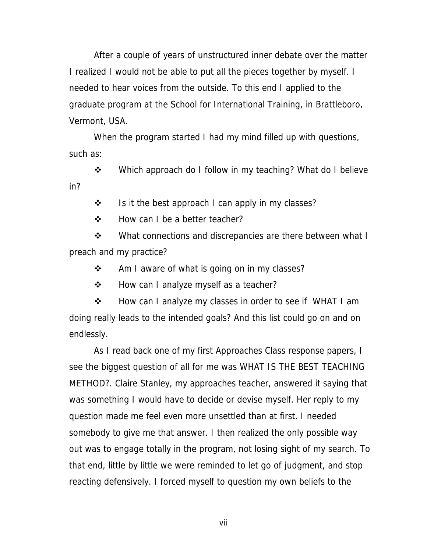After a couple of years of unstructured inner debate over the matter I realized I would not be able to put all the pieces together by myself. I needed to hear voices from the outside. To this end I applied to the graduate program at the School for International Training, in Brattleboro, Vermont, USA.

When the program started I had my mind filled up with questions, such as:

❖ Which approach do I follow in my teaching? What do I believe in?

 $\cdot \cdot$  Is it the best approach I can apply in my classes?

❖ How can I be a better teacher?

• What connections and discrepancies are there between what I preach and my practice?

❖ Am I aware of what is going on in my classes?

❖ How can I analyze myself as a teacher?

❖ How can I analyze my classes in order to see if WHAT I am doing really leads to the intended goals? And this list could go on and on endlessly.

As I read back one of my first Approaches Class response papers, I see the biggest question of all for me was WHAT IS THE BEST TEACHING METHOD?. Claire Stanley, my approaches teacher, answered it saying that was something I would have to decide or devise myself. Her reply to my question made me feel even more unsettled than at first. I needed somebody to give me that answer. I then realized the only possible way out was to engage totally in the program, not losing sight of my search. To that end, little by little we were reminded to let go of judgment, and stop reacting defensively. I forced myself to question my own beliefs to the

vii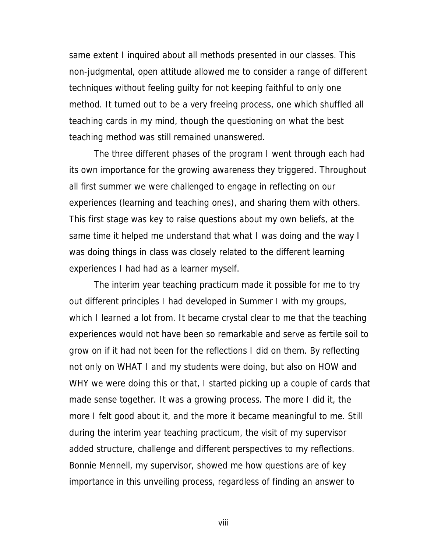same extent I inquired about all methods presented in our classes. This non-judgmental, open attitude allowed me to consider a range of different techniques without feeling guilty for not keeping faithful to only one method. It turned out to be a very freeing process, one which shuffled all teaching cards in my mind, though the questioning on what the best teaching method was still remained unanswered.

The three different phases of the program I went through each had its own importance for the growing awareness they triggered. Throughout all first summer we were challenged to engage in reflecting on our experiences (learning and teaching ones), and sharing them with others. This first stage was key to raise questions about my own beliefs, at the same time it helped me understand that what I was doing and the way I was doing things in class was closely related to the different learning experiences I had had as a learner myself.

The interim year teaching practicum made it possible for me to try out different principles I had developed in Summer I with my groups, which I learned a lot from. It became crystal clear to me that the teaching experiences would not have been so remarkable and serve as fertile soil to grow on if it had not been for the reflections I did on them. By reflecting not only on WHAT I and my students were doing, but also on HOW and WHY we were doing this or that, I started picking up a couple of cards that made sense together. It was a growing process. The more I did it, the more I felt good about it, and the more it became meaningful to me. Still during the interim year teaching practicum, the visit of my supervisor added structure, challenge and different perspectives to my reflections. Bonnie Mennell, my supervisor, showed me how questions are of key importance in this unveiling process, regardless of finding an answer to

viii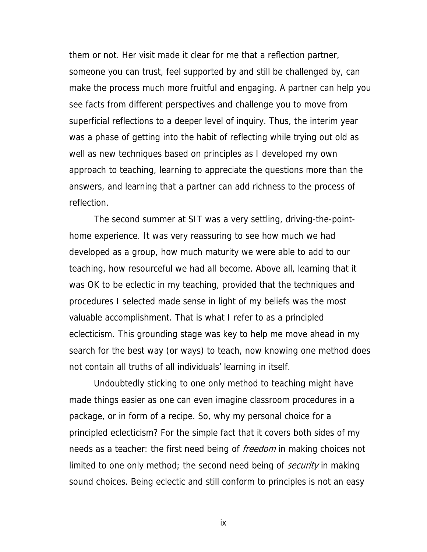them or not. Her visit made it clear for me that a reflection partner, someone you can trust, feel supported by and still be challenged by, can make the process much more fruitful and engaging. A partner can help you see facts from different perspectives and challenge you to move from superficial reflections to a deeper level of inquiry. Thus, the interim year was a phase of getting into the habit of reflecting while trying out old as well as new techniques based on principles as I developed my own approach to teaching, learning to appreciate the questions more than the answers, and learning that a partner can add richness to the process of reflection.

The second summer at SIT was a very settling, driving-the-pointhome experience. It was very reassuring to see how much we had developed as a group, how much maturity we were able to add to our teaching, how resourceful we had all become. Above all, learning that it was OK to be eclectic in my teaching, provided that the techniques and procedures I selected made sense in light of my beliefs was the most valuable accomplishment. That is what I refer to as a principled eclecticism. This grounding stage was key to help me move ahead in my search for the best way (or ways) to teach, now knowing one method does not contain all truths of all individuals' learning in itself.

Undoubtedly sticking to one only method to teaching might have made things easier as one can even imagine classroom procedures in a package, or in form of a recipe. So, why my personal choice for a principled eclecticism? For the simple fact that it covers both sides of my needs as a teacher: the first need being of *freedom* in making choices not limited to one only method; the second need being of *security* in making sound choices. Being eclectic and still conform to principles is not an easy

ix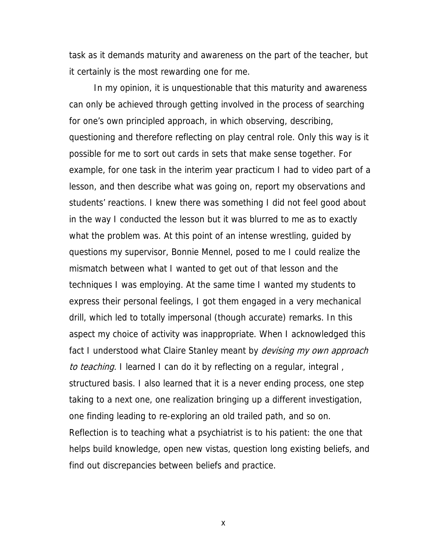task as it demands maturity and awareness on the part of the teacher, but it certainly is the most rewarding one for me.

In my opinion, it is unquestionable that this maturity and awareness can only be achieved through getting involved in the process of searching for one's own principled approach, in which observing, describing, questioning and therefore reflecting on play central role. Only this way is it possible for me to sort out cards in sets that make sense together. For example, for one task in the interim year practicum I had to video part of a lesson, and then describe what was going on, report my observations and students' reactions. I knew there was something I did not feel good about in the way I conducted the lesson but it was blurred to me as to exactly what the problem was. At this point of an intense wrestling, guided by questions my supervisor, Bonnie Mennel, posed to me I could realize the mismatch between what I wanted to get out of that lesson and the techniques I was employing. At the same time I wanted my students to express their personal feelings, I got them engaged in a very mechanical drill, which led to totally impersonal (though accurate) remarks. In this aspect my choice of activity was inappropriate. When I acknowledged this fact I understood what Claire Stanley meant by *devising my own approach* to teaching. I learned I can do it by reflecting on a regular, integral, structured basis. I also learned that it is a never ending process, one step taking to a next one, one realization bringing up a different investigation, one finding leading to re-exploring an old trailed path, and so on. Reflection is to teaching what a psychiatrist is to his patient: the one that helps build knowledge, open new vistas, question long existing beliefs, and find out discrepancies between beliefs and practice.

x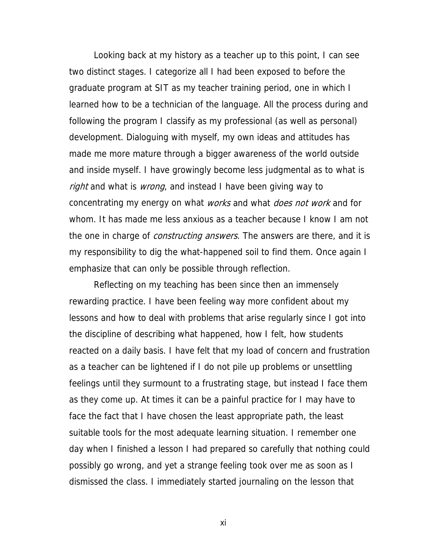Looking back at my history as a teacher up to this point, I can see two distinct stages. I categorize all I had been exposed to before the graduate program at SIT as my teacher training period, one in which I learned how to be a technician of the language. All the process during and following the program I classify as my professional (as well as personal) development. Dialoguing with myself, my own ideas and attitudes has made me more mature through a bigger awareness of the world outside and inside myself. I have growingly become less judgmental as to what is right and what is wrong, and instead I have been giving way to concentrating my energy on what *works* and what *does not work* and for whom. It has made me less anxious as a teacher because I know I am not the one in charge of *constructing answers*. The answers are there, and it is my responsibility to dig the what-happened soil to find them. Once again I emphasize that can only be possible through reflection.

Reflecting on my teaching has been since then an immensely rewarding practice. I have been feeling way more confident about my lessons and how to deal with problems that arise regularly since I got into the discipline of describing what happened, how I felt, how students reacted on a daily basis. I have felt that my load of concern and frustration as a teacher can be lightened if I do not pile up problems or unsettling feelings until they surmount to a frustrating stage, but instead I face them as they come up. At times it can be a painful practice for I may have to face the fact that I have chosen the least appropriate path, the least suitable tools for the most adequate learning situation. I remember one day when I finished a lesson I had prepared so carefully that nothing could possibly go wrong, and yet a strange feeling took over me as soon as I dismissed the class. I immediately started journaling on the lesson that

xi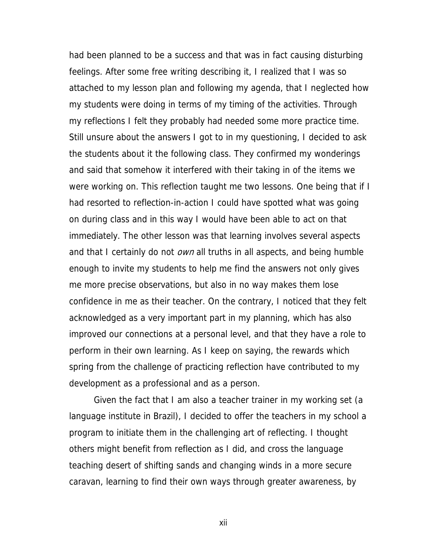had been planned to be a success and that was in fact causing disturbing feelings. After some free writing describing it, I realized that I was so attached to my lesson plan and following my agenda, that I neglected how my students were doing in terms of my timing of the activities. Through my reflections I felt they probably had needed some more practice time. Still unsure about the answers I got to in my questioning, I decided to ask the students about it the following class. They confirmed my wonderings and said that somehow it interfered with their taking in of the items we were working on. This reflection taught me two lessons. One being that if I had resorted to reflection-in-action I could have spotted what was going on during class and in this way I would have been able to act on that immediately. The other lesson was that learning involves several aspects and that I certainly do not *own* all truths in all aspects, and being humble enough to invite my students to help me find the answers not only gives me more precise observations, but also in no way makes them lose confidence in me as their teacher. On the contrary, I noticed that they felt acknowledged as a very important part in my planning, which has also improved our connections at a personal level, and that they have a role to perform in their own learning. As I keep on saying, the rewards which spring from the challenge of practicing reflection have contributed to my development as a professional and as a person.

Given the fact that I am also a teacher trainer in my working set (a language institute in Brazil), I decided to offer the teachers in my school a program to initiate them in the challenging art of reflecting. I thought others might benefit from reflection as I did, and cross the language teaching desert of shifting sands and changing winds in a more secure caravan, learning to find their own ways through greater awareness, by

xii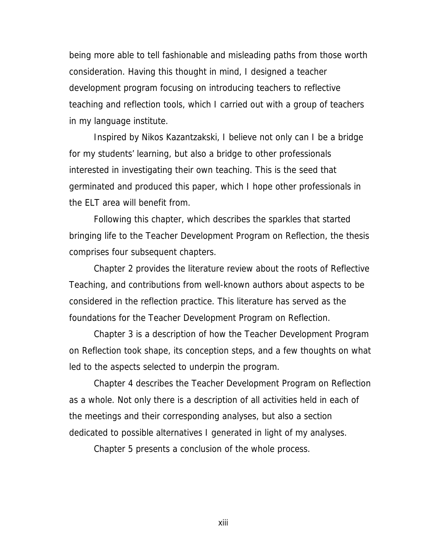being more able to tell fashionable and misleading paths from those worth consideration. Having this thought in mind, I designed a teacher development program focusing on introducing teachers to reflective teaching and reflection tools, which I carried out with a group of teachers in my language institute.

Inspired by Nikos Kazantzakski, I believe not only can I be a bridge for my students' learning, but also a bridge to other professionals interested in investigating their own teaching. This is the seed that germinated and produced this paper, which I hope other professionals in the ELT area will benefit from.

Following this chapter, which describes the sparkles that started bringing life to the Teacher Development Program on Reflection, the thesis comprises four subsequent chapters.

Chapter 2 provides the literature review about the roots of Reflective Teaching, and contributions from well-known authors about aspects to be considered in the reflection practice. This literature has served as the foundations for the Teacher Development Program on Reflection.

Chapter 3 is a description of how the Teacher Development Program on Reflection took shape, its conception steps, and a few thoughts on what led to the aspects selected to underpin the program.

Chapter 4 describes the Teacher Development Program on Reflection as a whole. Not only there is a description of all activities held in each of the meetings and their corresponding analyses, but also a section dedicated to possible alternatives I generated in light of my analyses.

Chapter 5 presents a conclusion of the whole process.

xiii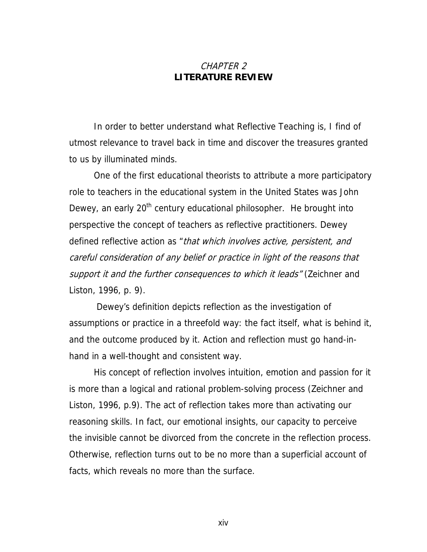#### CHAPTER 2 **LITERATURE REVIEW**

In order to better understand what Reflective Teaching is, I find of utmost relevance to travel back in time and discover the treasures granted to us by illuminated minds.

One of the first educational theorists to attribute a more participatory role to teachers in the educational system in the United States was John Dewey, an early 20<sup>th</sup> century educational philosopher. He brought into perspective the concept of teachers as reflective practitioners. Dewey defined reflective action as "that which involves active, persistent, and careful consideration of any belief or practice in light of the reasons that support it and the further consequences to which it leads" (Zeichner and Liston, 1996, p. 9).

 Dewey's definition depicts reflection as the investigation of assumptions or practice in a threefold way: the fact itself, what is behind it, and the outcome produced by it. Action and reflection must go hand-inhand in a well-thought and consistent way.

His concept of reflection involves intuition, emotion and passion for it is more than a logical and rational problem-solving process (Zeichner and Liston, 1996, p.9). The act of reflection takes more than activating our reasoning skills. In fact, our emotional insights, our capacity to perceive the invisible cannot be divorced from the concrete in the reflection process. Otherwise, reflection turns out to be no more than a superficial account of facts, which reveals no more than the surface.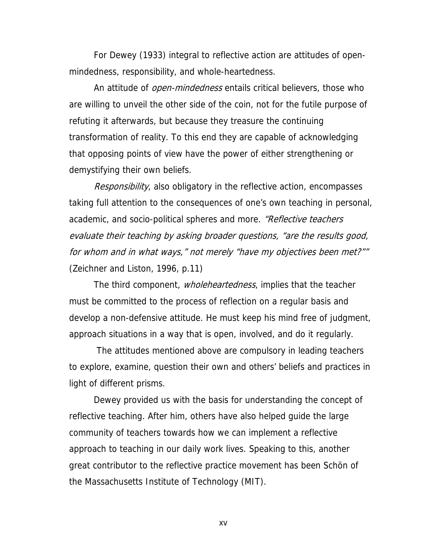For Dewey (1933) integral to reflective action are attitudes of openmindedness, responsibility, and whole-heartedness.

An attitude of *open-mindedness* entails critical believers, those who are willing to unveil the other side of the coin, not for the futile purpose of refuting it afterwards, but because they treasure the continuing transformation of reality. To this end they are capable of acknowledging that opposing points of view have the power of either strengthening or demystifying their own beliefs.

Responsibility, also obligatory in the reflective action, encompasses taking full attention to the consequences of one's own teaching in personal, academic, and socio-political spheres and more. "Reflective teachers" evaluate their teaching by asking broader questions, "are the results good, for whom and in what ways," not merely "have my objectives been met?"" (Zeichner and Liston, 1996, p.11)

The third component, *wholeheartedness*, implies that the teacher must be committed to the process of reflection on a regular basis and develop a non-defensive attitude. He must keep his mind free of judgment, approach situations in a way that is open, involved, and do it regularly.

 The attitudes mentioned above are compulsory in leading teachers to explore, examine, question their own and others' beliefs and practices in light of different prisms.

Dewey provided us with the basis for understanding the concept of reflective teaching. After him, others have also helped guide the large community of teachers towards how we can implement a reflective approach to teaching in our daily work lives. Speaking to this, another great contributor to the reflective practice movement has been Schön of the Massachusetts Institute of Technology (MIT).

xv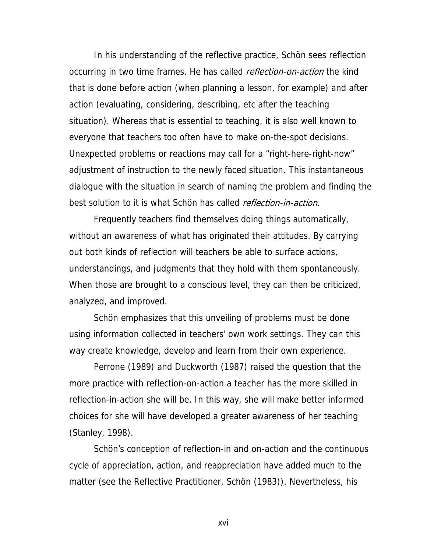In his understanding of the reflective practice, Schön sees reflection occurring in two time frames. He has called *reflection-on-action* the kind that is done before action (when planning a lesson, for example) and after action (evaluating, considering, describing, etc after the teaching situation). Whereas that is essential to teaching, it is also well known to everyone that teachers too often have to make on-the-spot decisions. Unexpected problems or reactions may call for a "right-here-right-now" adjustment of instruction to the newly faced situation. This instantaneous dialogue with the situation in search of naming the problem and finding the best solution to it is what Schön has called *reflection-in-action*.

Frequently teachers find themselves doing things automatically, without an awareness of what has originated their attitudes. By carrying out both kinds of reflection will teachers be able to surface actions, understandings, and judgments that they hold with them spontaneously. When those are brought to a conscious level, they can then be criticized, analyzed, and improved.

Schön emphasizes that this unveiling of problems must be done using information collected in teachers' own work settings. They can this way create knowledge, develop and learn from their own experience.

Perrone (1989) and Duckworth (1987) raised the question that the more practice with reflection-on-action a teacher has the more skilled in reflection-in-action she will be. In this way, she will make better informed choices for she will have developed a greater awareness of her teaching (Stanley, 1998).

Schön's conception of reflection-in and on-action and the continuous cycle of appreciation, action, and reappreciation have added much to the matter (see the Reflective Practitioner, Schön (1983)). Nevertheless, his

xvi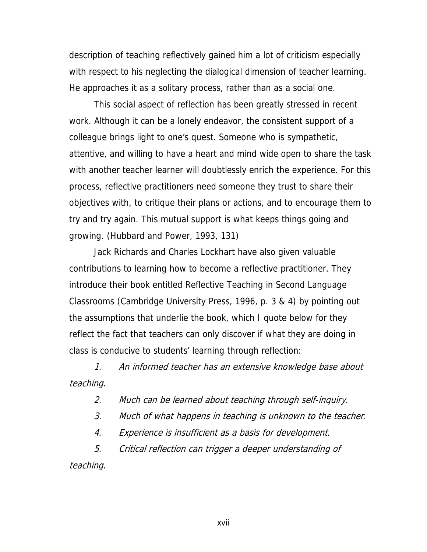description of teaching reflectively gained him a lot of criticism especially with respect to his neglecting the dialogical dimension of teacher learning. He approaches it as a solitary process, rather than as a social one.

This social aspect of reflection has been greatly stressed in recent work. Although it can be a lonely endeavor, the consistent support of a colleague brings light to one's quest. Someone who is sympathetic, attentive, and willing to have a heart and mind wide open to share the task with another teacher learner will doubtlessly enrich the experience. For this process, reflective practitioners need someone they trust to share their objectives with, to critique their plans or actions, and to encourage them to try and try again. This mutual support is what keeps things going and growing. (Hubbard and Power, 1993, 131)

Jack Richards and Charles Lockhart have also given valuable contributions to learning how to become a reflective practitioner. They introduce their book entitled Reflective Teaching in Second Language Classrooms (Cambridge University Press, 1996, p. 3 & 4) by pointing out the assumptions that underlie the book, which I quote below for they reflect the fact that teachers can only discover if what they are doing in class is conducive to students' learning through reflection:

1. An informed teacher has an extensive knowledge base about teaching.

2. Much can be learned about teaching through self-inquiry.

3. Much of what happens in teaching is unknown to the teacher.

4. Experience is insufficient as a basis for development.

5. Critical reflection can trigger a deeper understanding of

teaching.

xvii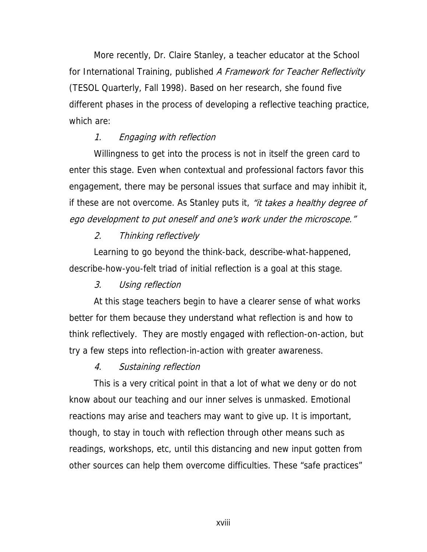More recently, Dr. Claire Stanley, a teacher educator at the School for International Training, published A Framework for Teacher Reflectivity (TESOL Quarterly, Fall 1998). Based on her research, she found five different phases in the process of developing a reflective teaching practice, which are:

#### 1. Engaging with reflection

Willingness to get into the process is not in itself the green card to enter this stage. Even when contextual and professional factors favor this engagement, there may be personal issues that surface and may inhibit it, if these are not overcome. As Stanley puts it, "it takes a healthy degree of ego development to put oneself and one's work under the microscope."

#### 2. Thinking reflectively

Learning to go beyond the think-back, describe-what-happened, describe-how-you-felt triad of initial reflection is a goal at this stage.

#### 3. Using reflection

At this stage teachers begin to have a clearer sense of what works better for them because they understand what reflection is and how to think reflectively. They are mostly engaged with reflection-on-action, but try a few steps into reflection-in-action with greater awareness.

#### 4. Sustaining reflection

This is a very critical point in that a lot of what we deny or do not know about our teaching and our inner selves is unmasked. Emotional reactions may arise and teachers may want to give up. It is important, though, to stay in touch with reflection through other means such as readings, workshops, etc, until this distancing and new input gotten from other sources can help them overcome difficulties. These "safe practices"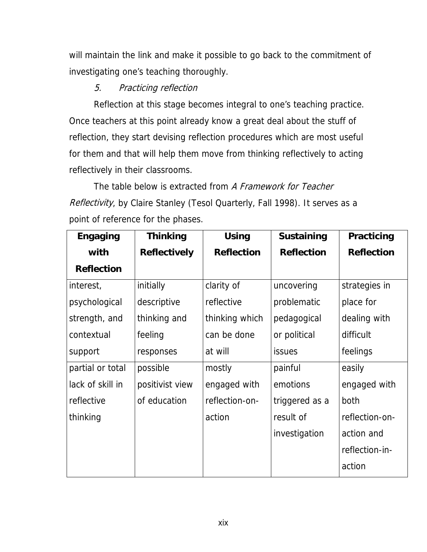will maintain the link and make it possible to go back to the commitment of investigating one's teaching thoroughly.

### 5. Practicing reflection

Reflection at this stage becomes integral to one's teaching practice. Once teachers at this point already know a great deal about the stuff of reflection, they start devising reflection procedures which are most useful for them and that will help them move from thinking reflectively to acting reflectively in their classrooms.

The table below is extracted from A Framework for Teacher Reflectivity, by Claire Stanley (Tesol Quarterly, Fall 1998). It serves as a point of reference for the phases.

| <b>Engaging</b>   | <b>Thinking</b>     | <b>Using</b>      | <b>Sustaining</b> | Practicing        |
|-------------------|---------------------|-------------------|-------------------|-------------------|
| with              | <b>Reflectively</b> | <b>Reflection</b> | <b>Reflection</b> | <b>Reflection</b> |
| <b>Reflection</b> |                     |                   |                   |                   |
| interest,         | initially           | clarity of        | uncovering        | strategies in     |
| psychological     | descriptive         | reflective        | problematic       | place for         |
| strength, and     | thinking and        | thinking which    | pedagogical       | dealing with      |
| contextual        | feeling             | can be done       | or political      | difficult         |
| support           | responses           | at will           | <b>issues</b>     | feelings          |
| partial or total  | possible            | mostly            | painful           | easily            |
| lack of skill in  | positivist view     | engaged with      | emotions          | engaged with      |
| reflective        | of education        | reflection-on-    | triggered as a    | both              |
| thinking          |                     | action            | result of         | reflection-on-    |
|                   |                     |                   | investigation     | action and        |
|                   |                     |                   |                   | reflection-in-    |
|                   |                     |                   |                   | action            |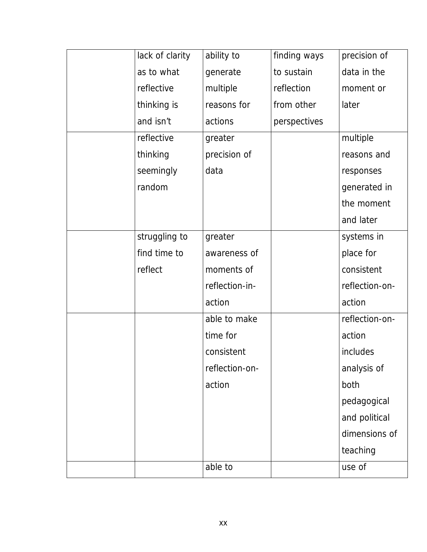| lack of clarity | ability to     | finding ways | precision of   |
|-----------------|----------------|--------------|----------------|
| as to what      | generate       | to sustain   | data in the    |
| reflective      | multiple       | reflection   | moment or      |
| thinking is     | reasons for    | from other   | later          |
| and isn't       | actions        | perspectives |                |
| reflective      | greater        |              | multiple       |
| thinking        | precision of   |              | reasons and    |
| seemingly       | data           |              | responses      |
| random          |                |              | generated in   |
|                 |                |              | the moment     |
|                 |                |              | and later      |
| struggling to   | greater        |              | systems in     |
| find time to    | awareness of   |              | place for      |
| reflect         | moments of     |              | consistent     |
|                 | reflection-in- |              | reflection-on- |
|                 | action         |              | action         |
|                 | able to make   |              | reflection-on- |
|                 | time for       |              | action         |
|                 | consistent     |              | includes       |
|                 | reflection-on- |              | analysis of    |
|                 | action         |              | both           |
|                 |                |              | pedagogical    |
|                 |                |              | and political  |
|                 |                |              | dimensions of  |
|                 |                |              | teaching       |
|                 | able to        |              | use of         |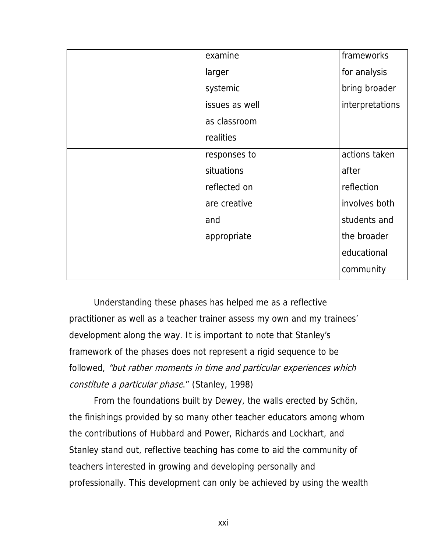| examine        | frameworks      |
|----------------|-----------------|
| larger         | for analysis    |
| systemic       | bring broader   |
| issues as well | interpretations |
| as classroom   |                 |
| realities      |                 |
| responses to   | actions taken   |
| situations     | after           |
| reflected on   | reflection      |
| are creative   | involves both   |
| and            | students and    |
| appropriate    | the broader     |
|                | educational     |
|                | community       |

Understanding these phases has helped me as a reflective practitioner as well as a teacher trainer assess my own and my trainees' development along the way. It is important to note that Stanley's framework of the phases does not represent a rigid sequence to be followed, "but rather moments in time and particular experiences which constitute a particular phase." (Stanley, 1998)

From the foundations built by Dewey, the walls erected by Schön, the finishings provided by so many other teacher educators among whom the contributions of Hubbard and Power, Richards and Lockhart, and Stanley stand out, reflective teaching has come to aid the community of teachers interested in growing and developing personally and professionally. This development can only be achieved by using the wealth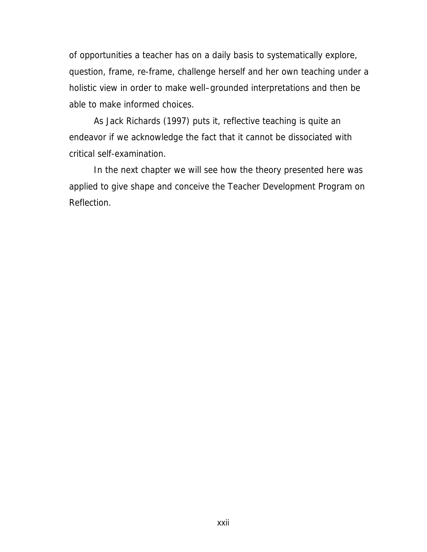of opportunities a teacher has on a daily basis to systematically explore, question, frame, re-frame, challenge herself and her own teaching under a holistic view in order to make well–grounded interpretations and then be able to make informed choices.

As Jack Richards (1997) puts it, reflective teaching is quite an endeavor if we acknowledge the fact that it cannot be dissociated with critical self-examination.

In the next chapter we will see how the theory presented here was applied to give shape and conceive the Teacher Development Program on Reflection.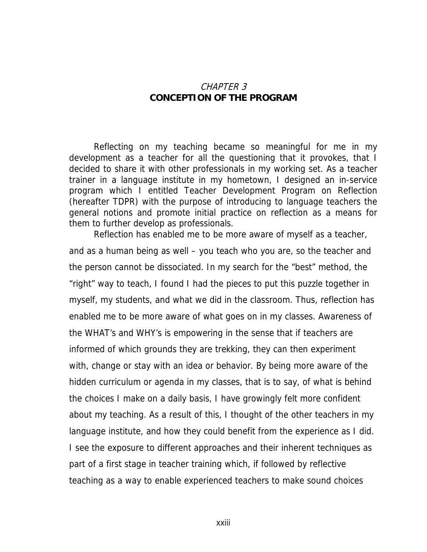#### CHAPTER 3 **CONCEPTION OF THE PROGRAM**

Reflecting on my teaching became so meaningful for me in my development as a teacher for all the questioning that it provokes, that I decided to share it with other professionals in my working set. As a teacher trainer in a language institute in my hometown, I designed an in-service program which I entitled Teacher Development Program on Reflection (hereafter TDPR) with the purpose of introducing to language teachers the general notions and promote initial practice on reflection as a means for them to further develop as professionals.

 Reflection has enabled me to be more aware of myself as a teacher, and as a human being as well – you teach who you are, so the teacher and the person cannot be dissociated. In my search for the "best" method, the "right" way to teach, I found I had the pieces to put this puzzle together in myself, my students, and what we did in the classroom. Thus, reflection has enabled me to be more aware of what goes on in my classes. Awareness of the WHAT's and WHY's is empowering in the sense that if teachers are informed of which grounds they are trekking, they can then experiment with, change or stay with an idea or behavior. By being more aware of the hidden curriculum or agenda in my classes, that is to say, of what is behind the choices I make on a daily basis, I have growingly felt more confident about my teaching. As a result of this, I thought of the other teachers in my language institute, and how they could benefit from the experience as I did. I see the exposure to different approaches and their inherent techniques as part of a first stage in teacher training which, if followed by reflective teaching as a way to enable experienced teachers to make sound choices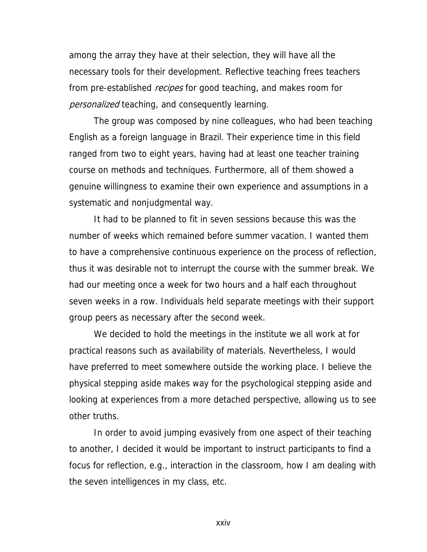among the array they have at their selection, they will have all the necessary tools for their development. Reflective teaching frees teachers from pre-established recipes for good teaching, and makes room for personalized teaching, and consequently learning.

The group was composed by nine colleagues, who had been teaching English as a foreign language in Brazil. Their experience time in this field ranged from two to eight years, having had at least one teacher training course on methods and techniques. Furthermore, all of them showed a genuine willingness to examine their own experience and assumptions in a systematic and nonjudgmental way.

It had to be planned to fit in seven sessions because this was the number of weeks which remained before summer vacation. I wanted them to have a comprehensive continuous experience on the process of reflection, thus it was desirable not to interrupt the course with the summer break. We had our meeting once a week for two hours and a half each throughout seven weeks in a row. Individuals held separate meetings with their support group peers as necessary after the second week.

 We decided to hold the meetings in the institute we all work at for practical reasons such as availability of materials. Nevertheless, I would have preferred to meet somewhere outside the working place. I believe the physical stepping aside makes way for the psychological stepping aside and looking at experiences from a more detached perspective, allowing us to see other truths.

 In order to avoid jumping evasively from one aspect of their teaching to another, I decided it would be important to instruct participants to find a focus for reflection, e.g., interaction in the classroom, how I am dealing with the seven intelligences in my class, etc.

xxiv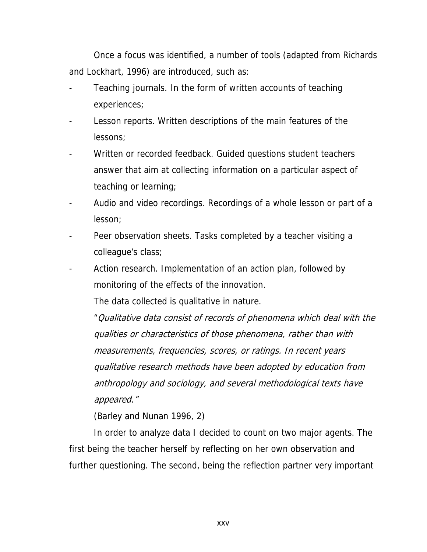Once a focus was identified, a number of tools (adapted from Richards and Lockhart, 1996) are introduced, such as:

- Teaching journals. In the form of written accounts of teaching experiences;
- Lesson reports. Written descriptions of the main features of the lessons;
- Written or recorded feedback. Guided questions student teachers answer that aim at collecting information on a particular aspect of teaching or learning;
- Audio and video recordings. Recordings of a whole lesson or part of a lesson;
- Peer observation sheets. Tasks completed by a teacher visiting a colleague's class;
- Action research. Implementation of an action plan, followed by monitoring of the effects of the innovation.

The data collected is qualitative in nature.

 "Qualitative data consist of records of phenomena which deal with the qualities or characteristics of those phenomena, rather than with measurements, frequencies, scores, or ratings. In recent years qualitative research methods have been adopted by education from anthropology and sociology, and several methodological texts have appeared."

(Barley and Nunan 1996, 2)

In order to analyze data I decided to count on two major agents. The first being the teacher herself by reflecting on her own observation and further questioning. The second, being the reflection partner very important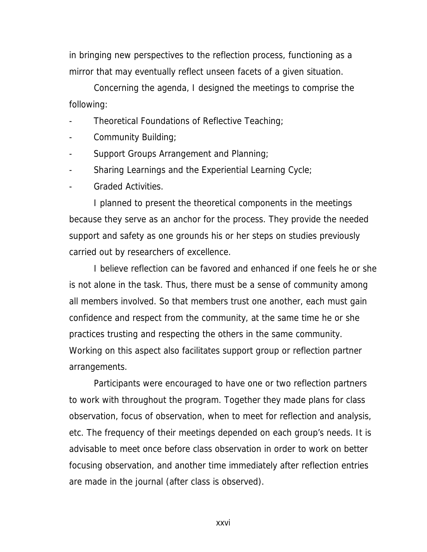in bringing new perspectives to the reflection process, functioning as a mirror that may eventually reflect unseen facets of a given situation.

 Concerning the agenda, I designed the meetings to comprise the following:

- Theoretical Foundations of Reflective Teaching;
- Community Building;
- Support Groups Arrangement and Planning;
- Sharing Learnings and the Experiential Learning Cycle;
- Graded Activities.

I planned to present the theoretical components in the meetings because they serve as an anchor for the process. They provide the needed support and safety as one grounds his or her steps on studies previously carried out by researchers of excellence.

 I believe reflection can be favored and enhanced if one feels he or she is not alone in the task. Thus, there must be a sense of community among all members involved. So that members trust one another, each must gain confidence and respect from the community, at the same time he or she practices trusting and respecting the others in the same community. Working on this aspect also facilitates support group or reflection partner arrangements.

 Participants were encouraged to have one or two reflection partners to work with throughout the program. Together they made plans for class observation, focus of observation, when to meet for reflection and analysis, etc. The frequency of their meetings depended on each group's needs. It is advisable to meet once before class observation in order to work on better focusing observation, and another time immediately after reflection entries are made in the journal (after class is observed).

xxvi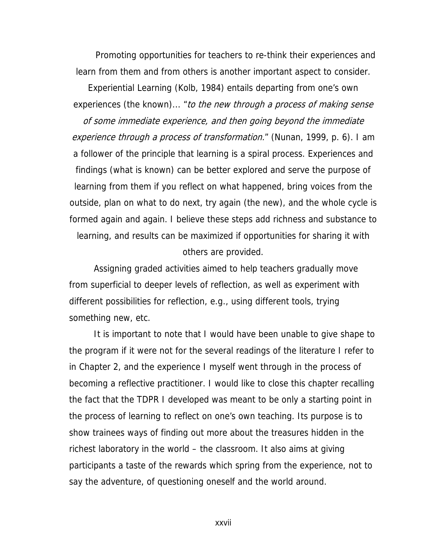Promoting opportunities for teachers to re-think their experiences and learn from them and from others is another important aspect to consider.

Experiential Learning (Kolb, 1984) entails departing from one's own experiences (the known)... "to the new through a process of making sense of some immediate experience, and then going beyond the immediate experience through a process of transformation." (Nunan, 1999, p. 6). I am a follower of the principle that learning is a spiral process. Experiences and findings (what is known) can be better explored and serve the purpose of learning from them if you reflect on what happened, bring voices from the outside, plan on what to do next, try again (the new), and the whole cycle is formed again and again. I believe these steps add richness and substance to learning, and results can be maximized if opportunities for sharing it with others are provided.

 Assigning graded activities aimed to help teachers gradually move from superficial to deeper levels of reflection, as well as experiment with different possibilities for reflection, e.g., using different tools, trying something new, etc.

 It is important to note that I would have been unable to give shape to the program if it were not for the several readings of the literature I refer to in Chapter 2, and the experience I myself went through in the process of becoming a reflective practitioner. I would like to close this chapter recalling the fact that the TDPR I developed was meant to be only a starting point in the process of learning to reflect on one's own teaching. Its purpose is to show trainees ways of finding out more about the treasures hidden in the richest laboratory in the world – the classroom. It also aims at giving participants a taste of the rewards which spring from the experience, not to say the adventure, of questioning oneself and the world around.

xxvii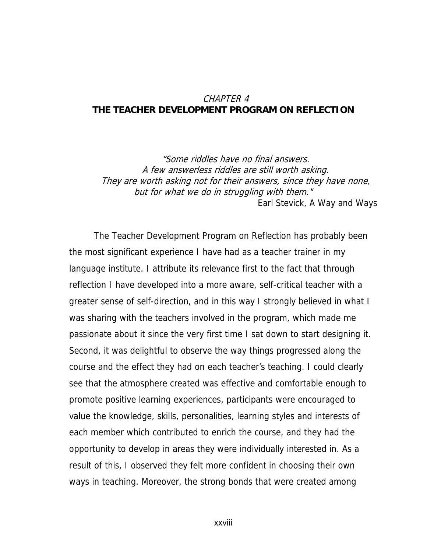#### CHAPTER 4 **THE TEACHER DEVELOPMENT PROGRAM ON REFLECTION**

"Some riddles have no final answers. A few answerless riddles are still worth asking. They are worth asking not for their answers, since they have none, but for what we do in struggling with them." Earl Stevick, A Way and Ways

The Teacher Development Program on Reflection has probably been the most significant experience I have had as a teacher trainer in my language institute. I attribute its relevance first to the fact that through reflection I have developed into a more aware, self-critical teacher with a greater sense of self-direction, and in this way I strongly believed in what I was sharing with the teachers involved in the program, which made me passionate about it since the very first time I sat down to start designing it. Second, it was delightful to observe the way things progressed along the course and the effect they had on each teacher's teaching. I could clearly see that the atmosphere created was effective and comfortable enough to promote positive learning experiences, participants were encouraged to value the knowledge, skills, personalities, learning styles and interests of each member which contributed to enrich the course, and they had the opportunity to develop in areas they were individually interested in. As a result of this, I observed they felt more confident in choosing their own ways in teaching. Moreover, the strong bonds that were created among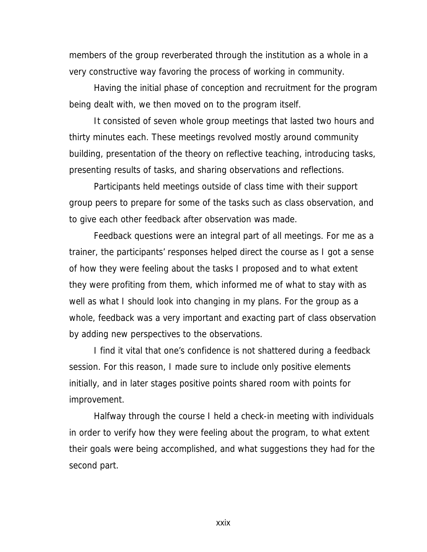members of the group reverberated through the institution as a whole in a very constructive way favoring the process of working in community.

Having the initial phase of conception and recruitment for the program being dealt with, we then moved on to the program itself.

It consisted of seven whole group meetings that lasted two hours and thirty minutes each. These meetings revolved mostly around community building, presentation of the theory on reflective teaching, introducing tasks, presenting results of tasks, and sharing observations and reflections.

Participants held meetings outside of class time with their support group peers to prepare for some of the tasks such as class observation, and to give each other feedback after observation was made.

Feedback questions were an integral part of all meetings. For me as a trainer, the participants' responses helped direct the course as I got a sense of how they were feeling about the tasks I proposed and to what extent they were profiting from them, which informed me of what to stay with as well as what I should look into changing in my plans. For the group as a whole, feedback was a very important and exacting part of class observation by adding new perspectives to the observations.

I find it vital that one's confidence is not shattered during a feedback session. For this reason, I made sure to include only positive elements initially, and in later stages positive points shared room with points for improvement.

Halfway through the course I held a check-in meeting with individuals in order to verify how they were feeling about the program, to what extent their goals were being accomplished, and what suggestions they had for the second part.

xxix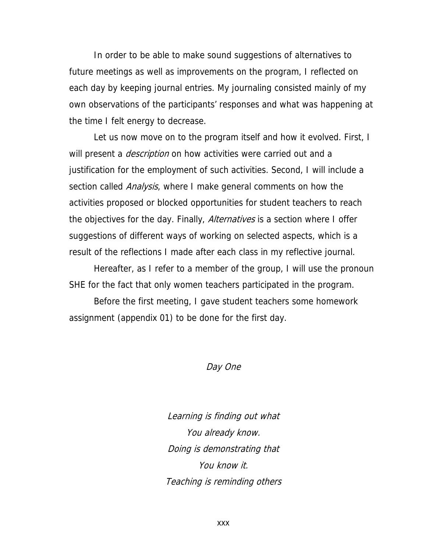In order to be able to make sound suggestions of alternatives to future meetings as well as improvements on the program, I reflected on each day by keeping journal entries. My journaling consisted mainly of my own observations of the participants' responses and what was happening at the time I felt energy to decrease.

Let us now move on to the program itself and how it evolved. First, I will present a *description* on how activities were carried out and a justification for the employment of such activities. Second, I will include a section called *Analysis*, where I make general comments on how the activities proposed or blocked opportunities for student teachers to reach the objectives for the day. Finally, *Alternatives* is a section where I offer suggestions of different ways of working on selected aspects, which is a result of the reflections I made after each class in my reflective journal.

Hereafter, as I refer to a member of the group, I will use the pronoun SHE for the fact that only women teachers participated in the program.

Before the first meeting, I gave student teachers some homework assignment (appendix 01) to be done for the first day.

Day One

Learning is finding out what You already know. Doing is demonstrating that You know it. Teaching is reminding others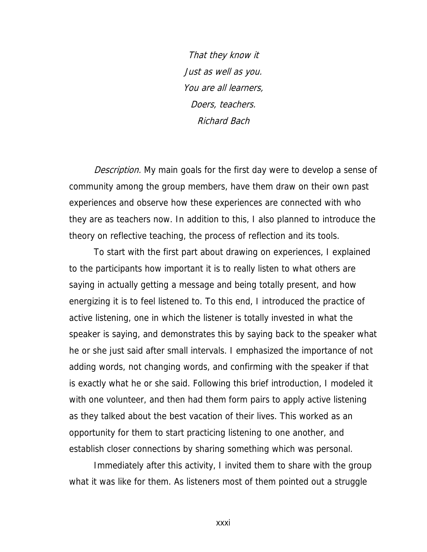That they know it Just as well as you. You are all learners, Doers, teachers. Richard Bach

Description. My main goals for the first day were to develop a sense of community among the group members, have them draw on their own past experiences and observe how these experiences are connected with who they are as teachers now. In addition to this, I also planned to introduce the theory on reflective teaching, the process of reflection and its tools.

To start with the first part about drawing on experiences, I explained to the participants how important it is to really listen to what others are saying in actually getting a message and being totally present, and how energizing it is to feel listened to. To this end, I introduced the practice of active listening, one in which the listener is totally invested in what the speaker is saying, and demonstrates this by saying back to the speaker what he or she just said after small intervals. I emphasized the importance of not adding words, not changing words, and confirming with the speaker if that is exactly what he or she said. Following this brief introduction, I modeled it with one volunteer, and then had them form pairs to apply active listening as they talked about the best vacation of their lives. This worked as an opportunity for them to start practicing listening to one another, and establish closer connections by sharing something which was personal.

Immediately after this activity, I invited them to share with the group what it was like for them. As listeners most of them pointed out a struggle

xxxi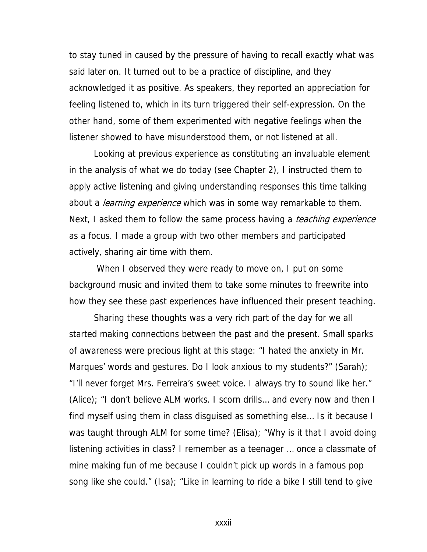to stay tuned in caused by the pressure of having to recall exactly what was said later on. It turned out to be a practice of discipline, and they acknowledged it as positive. As speakers, they reported an appreciation for feeling listened to, which in its turn triggered their self-expression. On the other hand, some of them experimented with negative feelings when the listener showed to have misunderstood them, or not listened at all.

Looking at previous experience as constituting an invaluable element in the analysis of what we do today (see Chapter 2), I instructed them to apply active listening and giving understanding responses this time talking about a *learning experience* which was in some way remarkable to them. Next, I asked them to follow the same process having a *teaching experience* as a focus. I made a group with two other members and participated actively, sharing air time with them.

 When I observed they were ready to move on, I put on some background music and invited them to take some minutes to freewrite into how they see these past experiences have influenced their present teaching.

Sharing these thoughts was a very rich part of the day for we all started making connections between the past and the present. Small sparks of awareness were precious light at this stage: "I hated the anxiety in Mr. Marques' words and gestures. Do I look anxious to my students?" (Sarah); "I'll never forget Mrs. Ferreira's sweet voice. I always try to sound like her." (Alice); "I don't believe ALM works. I scorn drills… and every now and then I find myself using them in class disguised as something else… Is it because I was taught through ALM for some time? (Elisa); "Why is it that I avoid doing listening activities in class? I remember as a teenager … once a classmate of mine making fun of me because I couldn't pick up words in a famous pop song like she could." (Isa); "Like in learning to ride a bike I still tend to give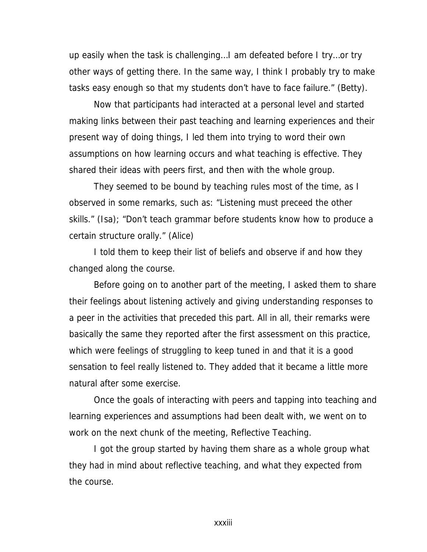up easily when the task is challenging…I am defeated before I try…or try other ways of getting there. In the same way, I think I probably try to make tasks easy enough so that my students don't have to face failure." (Betty).

Now that participants had interacted at a personal level and started making links between their past teaching and learning experiences and their present way of doing things, I led them into trying to word their own assumptions on how learning occurs and what teaching is effective. They shared their ideas with peers first, and then with the whole group.

They seemed to be bound by teaching rules most of the time, as I observed in some remarks, such as: "Listening must preceed the other skills." (Isa); "Don't teach grammar before students know how to produce a certain structure orally." (Alice)

I told them to keep their list of beliefs and observe if and how they changed along the course.

Before going on to another part of the meeting, I asked them to share their feelings about listening actively and giving understanding responses to a peer in the activities that preceded this part. All in all, their remarks were basically the same they reported after the first assessment on this practice, which were feelings of struggling to keep tuned in and that it is a good sensation to feel really listened to. They added that it became a little more natural after some exercise.

Once the goals of interacting with peers and tapping into teaching and learning experiences and assumptions had been dealt with, we went on to work on the next chunk of the meeting, Reflective Teaching.

I got the group started by having them share as a whole group what they had in mind about reflective teaching, and what they expected from the course.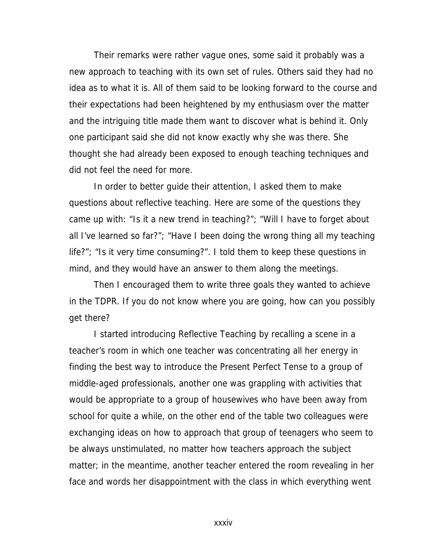Their remarks were rather vague ones, some said it probably was a new approach to teaching with its own set of rules. Others said they had no idea as to what it is. All of them said to be looking forward to the course and their expectations had been heightened by my enthusiasm over the matter and the intriguing title made them want to discover what is behind it. Only one participant said she did not know exactly why she was there. She thought she had already been exposed to enough teaching techniques and did not feel the need for more.

In order to better guide their attention, I asked them to make questions about reflective teaching. Here are some of the questions they came up with: "Is it a new trend in teaching?"; "Will I have to forget about all I've learned so far?"; "Have I been doing the wrong thing all my teaching life?"; "Is it very time consuming?". I told them to keep these questions in mind, and they would have an answer to them along the meetings.

Then I encouraged them to write three goals they wanted to achieve in the TDPR. If you do not know where you are going, how can you possibly get there?

I started introducing Reflective Teaching by recalling a scene in a teacher's room in which one teacher was concentrating all her energy in finding the best way to introduce the Present Perfect Tense to a group of middle-aged professionals, another one was grappling with activities that would be appropriate to a group of housewives who have been away from school for quite a while, on the other end of the table two colleagues were exchanging ideas on how to approach that group of teenagers who seem to be always unstimulated, no matter how teachers approach the subject matter; in the meantime, another teacher entered the room revealing in her face and words her disappointment with the class in which everything went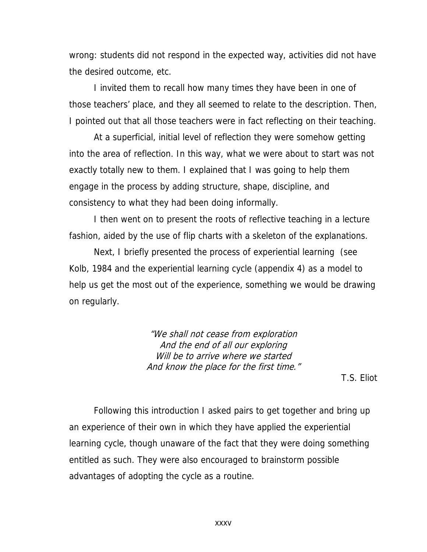wrong: students did not respond in the expected way, activities did not have the desired outcome, etc.

I invited them to recall how many times they have been in one of those teachers' place, and they all seemed to relate to the description. Then, I pointed out that all those teachers were in fact reflecting on their teaching.

At a superficial, initial level of reflection they were somehow getting into the area of reflection. In this way, what we were about to start was not exactly totally new to them. I explained that I was going to help them engage in the process by adding structure, shape, discipline, and consistency to what they had been doing informally.

I then went on to present the roots of reflective teaching in a lecture fashion, aided by the use of flip charts with a skeleton of the explanations.

Next, I briefly presented the process of experiential learning (see Kolb, 1984 and the experiential learning cycle (appendix 4) as a model to help us get the most out of the experience, something we would be drawing on regularly.

> "We shall not cease from exploration And the end of all our exploring Will be to arrive where we started And know the place for the first time."

> > T.S. Eliot

Following this introduction I asked pairs to get together and bring up an experience of their own in which they have applied the experiential learning cycle, though unaware of the fact that they were doing something entitled as such. They were also encouraged to brainstorm possible advantages of adopting the cycle as a routine.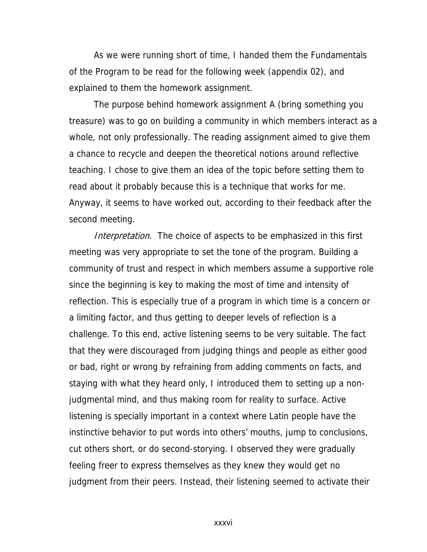As we were running short of time, I handed them the Fundamentals of the Program to be read for the following week (appendix 02), and explained to them the homework assignment.

The purpose behind homework assignment A (bring something you treasure) was to go on building a community in which members interact as a whole, not only professionally. The reading assignment aimed to give them a chance to recycle and deepen the theoretical notions around reflective teaching. I chose to give them an idea of the topic before setting them to read about it probably because this is a technique that works for me. Anyway, it seems to have worked out, according to their feedback after the second meeting.

Interpretation. The choice of aspects to be emphasized in this first meeting was very appropriate to set the tone of the program. Building a community of trust and respect in which members assume a supportive role since the beginning is key to making the most of time and intensity of reflection. This is especially true of a program in which time is a concern or a limiting factor, and thus getting to deeper levels of reflection is a challenge. To this end, active listening seems to be very suitable. The fact that they were discouraged from judging things and people as either good or bad, right or wrong by refraining from adding comments on facts, and staying with what they heard only, I introduced them to setting up a nonjudgmental mind, and thus making room for reality to surface. Active listening is specially important in a context where Latin people have the instinctive behavior to put words into others' mouths, jump to conclusions, cut others short, or do second-storying. I observed they were gradually feeling freer to express themselves as they knew they would get no judgment from their peers. Instead, their listening seemed to activate their

xxxvi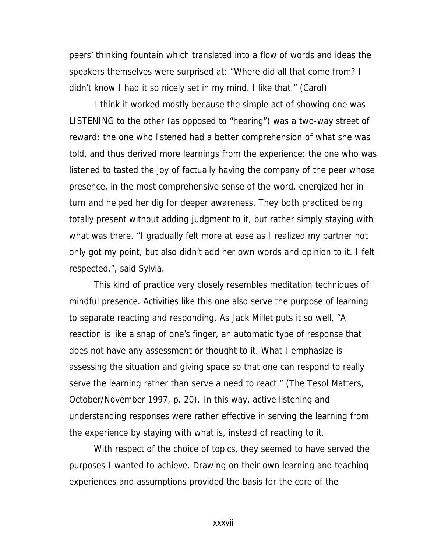peers' thinking fountain which translated into a flow of words and ideas the speakers themselves were surprised at: "Where did all that come from? I didn't know I had it so nicely set in my mind. I like that." (Carol)

I think it worked mostly because the simple act of showing one was LISTENING to the other (as opposed to "hearing") was a two-way street of reward: the one who listened had a better comprehension of what she was told, and thus derived more learnings from the experience: the one who was listened to tasted the joy of factually having the company of the peer whose presence, in the most comprehensive sense of the word, energized her in turn and helped her dig for deeper awareness. They both practiced being totally present without adding judgment to it, but rather simply staying with what was there. "I gradually felt more at ease as I realized my partner not only got my point, but also didn't add her own words and opinion to it. I felt respected.", said Sylvia.

This kind of practice very closely resembles meditation techniques of mindful presence. Activities like this one also serve the purpose of learning to separate reacting and responding. As Jack Millet puts it so well, "A reaction is like a snap of one's finger, an automatic type of response that does not have any assessment or thought to it. What I emphasize is assessing the situation and giving space so that one can respond to really serve the learning rather than serve a need to react." (The Tesol Matters, October/November 1997, p. 20). In this way, active listening and understanding responses were rather effective in serving the learning from the experience by staying with what is, instead of reacting to it.

With respect of the choice of topics, they seemed to have served the purposes I wanted to achieve. Drawing on their own learning and teaching experiences and assumptions provided the basis for the core of the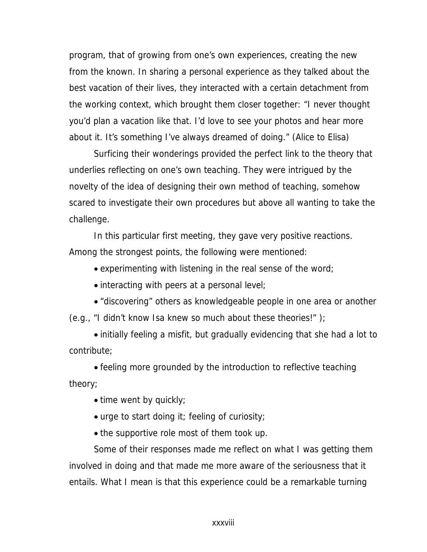program, that of growing from one's own experiences, creating the new from the known. In sharing a personal experience as they talked about the best vacation of their lives, they interacted with a certain detachment from the working context, which brought them closer together: "I never thought you'd plan a vacation like that. I'd love to see your photos and hear more about it. It's something I've always dreamed of doing." (Alice to Elisa)

Surficing their wonderings provided the perfect link to the theory that underlies reflecting on one's own teaching. They were intrigued by the novelty of the idea of designing their own method of teaching, somehow scared to investigate their own procedures but above all wanting to take the challenge.

In this particular first meeting, they gave very positive reactions. Among the strongest points, the following were mentioned:

• experimenting with listening in the real sense of the word;

• interacting with peers at a personal level;

• "discovering" others as knowledgeable people in one area or another (e.g., "I didn't know Isa knew so much about these theories!" );

• initially feeling a misfit, but gradually evidencing that she had a lot to contribute;

• feeling more grounded by the introduction to reflective teaching theory;

• time went by quickly;

• urge to start doing it; feeling of curiosity;

• the supportive role most of them took up.

Some of their responses made me reflect on what I was getting them involved in doing and that made me more aware of the seriousness that it entails. What I mean is that this experience could be a remarkable turning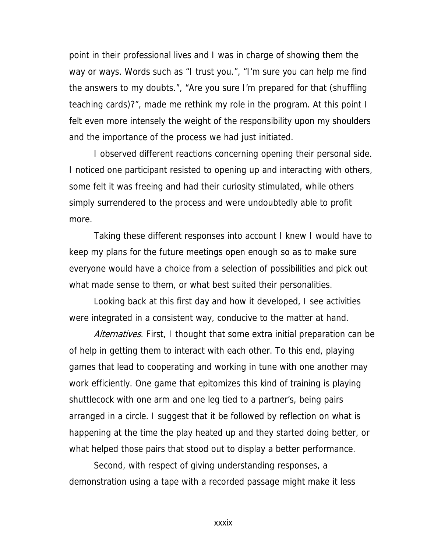point in their professional lives and I was in charge of showing them the way or ways. Words such as "I trust you.", "I'm sure you can help me find the answers to my doubts.", "Are you sure I'm prepared for that (shuffling teaching cards)?", made me rethink my role in the program. At this point I felt even more intensely the weight of the responsibility upon my shoulders and the importance of the process we had just initiated.

I observed different reactions concerning opening their personal side. I noticed one participant resisted to opening up and interacting with others, some felt it was freeing and had their curiosity stimulated, while others simply surrendered to the process and were undoubtedly able to profit more.

Taking these different responses into account I knew I would have to keep my plans for the future meetings open enough so as to make sure everyone would have a choice from a selection of possibilities and pick out what made sense to them, or what best suited their personalities.

Looking back at this first day and how it developed, I see activities were integrated in a consistent way, conducive to the matter at hand.

Alternatives. First, I thought that some extra initial preparation can be of help in getting them to interact with each other. To this end, playing games that lead to cooperating and working in tune with one another may work efficiently. One game that epitomizes this kind of training is playing shuttlecock with one arm and one leg tied to a partner's, being pairs arranged in a circle. I suggest that it be followed by reflection on what is happening at the time the play heated up and they started doing better, or what helped those pairs that stood out to display a better performance.

Second, with respect of giving understanding responses, a demonstration using a tape with a recorded passage might make it less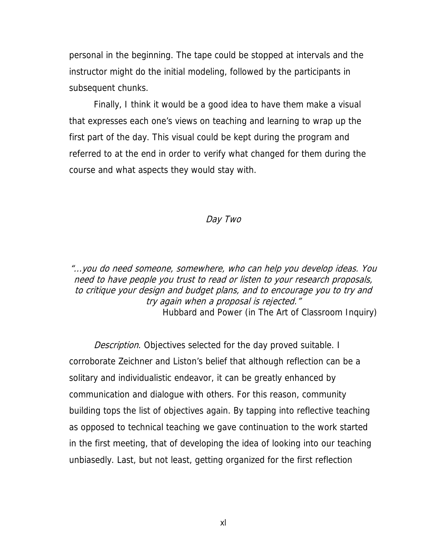personal in the beginning. The tape could be stopped at intervals and the instructor might do the initial modeling, followed by the participants in subsequent chunks.

Finally, I think it would be a good idea to have them make a visual that expresses each one's views on teaching and learning to wrap up the first part of the day. This visual could be kept during the program and referred to at the end in order to verify what changed for them during the course and what aspects they would stay with.

#### Day Two

"...you do need someone, somewhere, who can help you develop ideas. You need to have people you trust to read or listen to your research proposals, to critique your design and budget plans, and to encourage you to try and try again when a proposal is rejected." Hubbard and Power (in The Art of Classroom Inquiry)

Description. Objectives selected for the day proved suitable. I corroborate Zeichner and Liston's belief that although reflection can be a solitary and individualistic endeavor, it can be greatly enhanced by communication and dialogue with others. For this reason, community building tops the list of objectives again. By tapping into reflective teaching as opposed to technical teaching we gave continuation to the work started in the first meeting, that of developing the idea of looking into our teaching unbiasedly. Last, but not least, getting organized for the first reflection

xl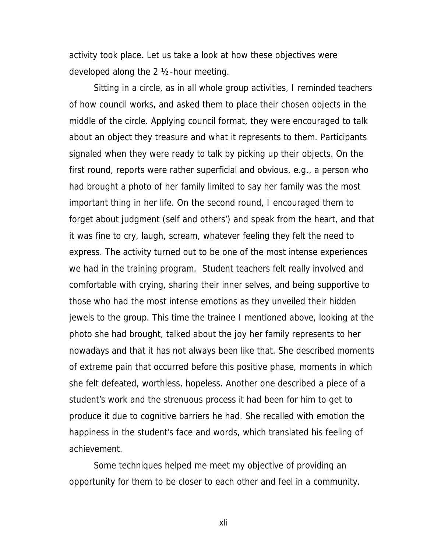activity took place. Let us take a look at how these objectives were developed along the 2 ½-hour meeting.

Sitting in a circle, as in all whole group activities, I reminded teachers of how council works, and asked them to place their chosen objects in the middle of the circle. Applying council format, they were encouraged to talk about an object they treasure and what it represents to them. Participants signaled when they were ready to talk by picking up their objects. On the first round, reports were rather superficial and obvious, e.g., a person who had brought a photo of her family limited to say her family was the most important thing in her life. On the second round, I encouraged them to forget about judgment (self and others') and speak from the heart, and that it was fine to cry, laugh, scream, whatever feeling they felt the need to express. The activity turned out to be one of the most intense experiences we had in the training program. Student teachers felt really involved and comfortable with crying, sharing their inner selves, and being supportive to those who had the most intense emotions as they unveiled their hidden jewels to the group. This time the trainee I mentioned above, looking at the photo she had brought, talked about the joy her family represents to her nowadays and that it has not always been like that. She described moments of extreme pain that occurred before this positive phase, moments in which she felt defeated, worthless, hopeless. Another one described a piece of a student's work and the strenuous process it had been for him to get to produce it due to cognitive barriers he had. She recalled with emotion the happiness in the student's face and words, which translated his feeling of achievement.

Some techniques helped me meet my objective of providing an opportunity for them to be closer to each other and feel in a community.

xli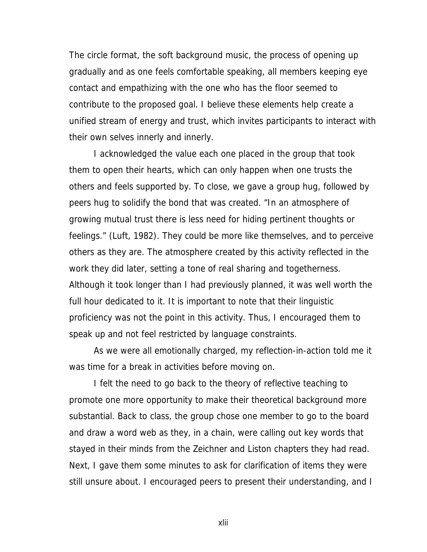The circle format, the soft background music, the process of opening up gradually and as one feels comfortable speaking, all members keeping eye contact and empathizing with the one who has the floor seemed to contribute to the proposed goal. I believe these elements help create a unified stream of energy and trust, which invites participants to interact with their own selves innerly and innerly.

I acknowledged the value each one placed in the group that took them to open their hearts, which can only happen when one trusts the others and feels supported by. To close, we gave a group hug, followed by peers hug to solidify the bond that was created. "In an atmosphere of growing mutual trust there is less need for hiding pertinent thoughts or feelings." (Luft, 1982). They could be more like themselves, and to perceive others as they are. The atmosphere created by this activity reflected in the work they did later, setting a tone of real sharing and togetherness. Although it took longer than I had previously planned, it was well worth the full hour dedicated to it. It is important to note that their linguistic proficiency was not the point in this activity. Thus, I encouraged them to speak up and not feel restricted by language constraints.

As we were all emotionally charged, my reflection-in-action told me it was time for a break in activities before moving on.

I felt the need to go back to the theory of reflective teaching to promote one more opportunity to make their theoretical background more substantial. Back to class, the group chose one member to go to the board and draw a word web as they, in a chain, were calling out key words that stayed in their minds from the Zeichner and Liston chapters they had read. Next, I gave them some minutes to ask for clarification of items they were still unsure about. I encouraged peers to present their understanding, and I

xlii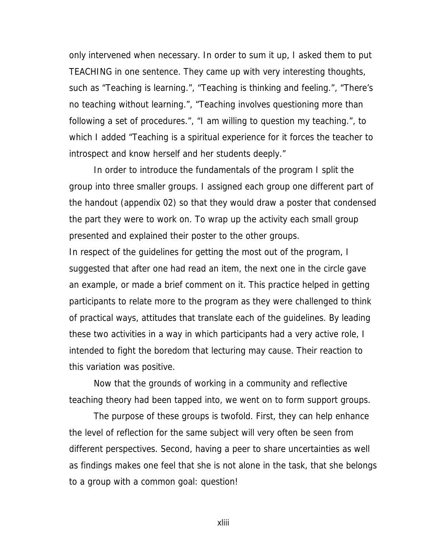only intervened when necessary. In order to sum it up, I asked them to put TEACHING in one sentence. They came up with very interesting thoughts, such as "Teaching is learning.", "Teaching is thinking and feeling.", "There's no teaching without learning.", "Teaching involves questioning more than following a set of procedures.", "I am willing to question my teaching.", to which I added "Teaching is a spiritual experience for it forces the teacher to introspect and know herself and her students deeply."

In order to introduce the fundamentals of the program I split the group into three smaller groups. I assigned each group one different part of the handout (appendix 02) so that they would draw a poster that condensed the part they were to work on. To wrap up the activity each small group presented and explained their poster to the other groups.

In respect of the guidelines for getting the most out of the program, I suggested that after one had read an item, the next one in the circle gave an example, or made a brief comment on it. This practice helped in getting participants to relate more to the program as they were challenged to think of practical ways, attitudes that translate each of the guidelines. By leading these two activities in a way in which participants had a very active role, I intended to fight the boredom that lecturing may cause. Their reaction to this variation was positive.

Now that the grounds of working in a community and reflective teaching theory had been tapped into, we went on to form support groups.

The purpose of these groups is twofold. First, they can help enhance the level of reflection for the same subject will very often be seen from different perspectives. Second, having a peer to share uncertainties as well as findings makes one feel that she is not alone in the task, that she belongs to a group with a common goal: question!

xliii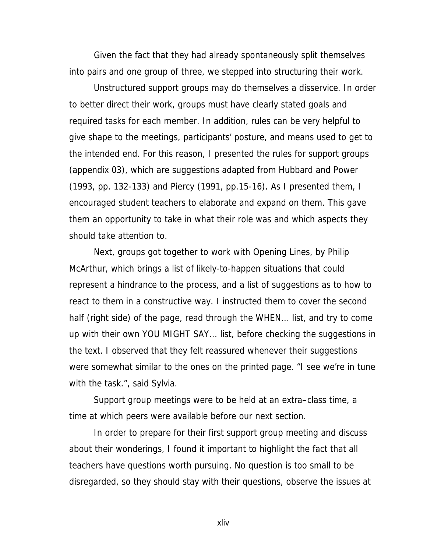Given the fact that they had already spontaneously split themselves into pairs and one group of three, we stepped into structuring their work.

Unstructured support groups may do themselves a disservice. In order to better direct their work, groups must have clearly stated goals and required tasks for each member. In addition, rules can be very helpful to give shape to the meetings, participants' posture, and means used to get to the intended end. For this reason, I presented the rules for support groups (appendix 03), which are suggestions adapted from Hubbard and Power (1993, pp. 132-133) and Piercy (1991, pp.15-16). As I presented them, I encouraged student teachers to elaborate and expand on them. This gave them an opportunity to take in what their role was and which aspects they should take attention to.

Next, groups got together to work with Opening Lines, by Philip McArthur, which brings a list of likely-to-happen situations that could represent a hindrance to the process, and a list of suggestions as to how to react to them in a constructive way. I instructed them to cover the second half (right side) of the page, read through the WHEN... list, and try to come up with their own YOU MIGHT SAY... list, before checking the suggestions in the text. I observed that they felt reassured whenever their suggestions were somewhat similar to the ones on the printed page. "I see we're in tune with the task.", said Sylvia.

Support group meetings were to be held at an extra–class time, a time at which peers were available before our next section.

In order to prepare for their first support group meeting and discuss about their wonderings, I found it important to highlight the fact that all teachers have questions worth pursuing. No question is too small to be disregarded, so they should stay with their questions, observe the issues at

xliv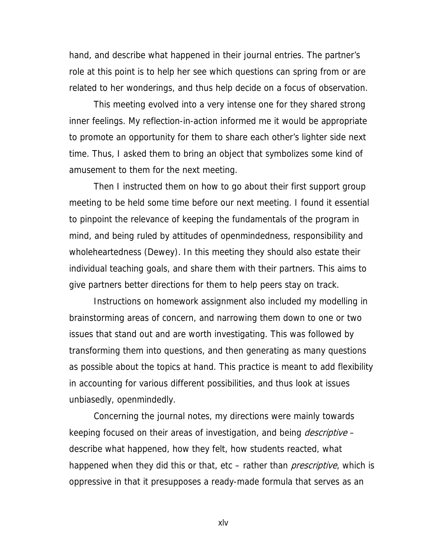hand, and describe what happened in their journal entries. The partner's role at this point is to help her see which questions can spring from or are related to her wonderings, and thus help decide on a focus of observation.

This meeting evolved into a very intense one for they shared strong inner feelings. My reflection-in-action informed me it would be appropriate to promote an opportunity for them to share each other's lighter side next time. Thus, I asked them to bring an object that symbolizes some kind of amusement to them for the next meeting.

Then I instructed them on how to go about their first support group meeting to be held some time before our next meeting. I found it essential to pinpoint the relevance of keeping the fundamentals of the program in mind, and being ruled by attitudes of openmindedness, responsibility and wholeheartedness (Dewey). In this meeting they should also estate their individual teaching goals, and share them with their partners. This aims to give partners better directions for them to help peers stay on track.

Instructions on homework assignment also included my modelling in brainstorming areas of concern, and narrowing them down to one or two issues that stand out and are worth investigating. This was followed by transforming them into questions, and then generating as many questions as possible about the topics at hand. This practice is meant to add flexibility in accounting for various different possibilities, and thus look at issues unbiasedly, openmindedly.

Concerning the journal notes, my directions were mainly towards keeping focused on their areas of investigation, and being *descriptive* – describe what happened, how they felt, how students reacted, what happened when they did this or that, etc – rather than *prescriptive*, which is oppressive in that it presupposes a ready-made formula that serves as an

xlv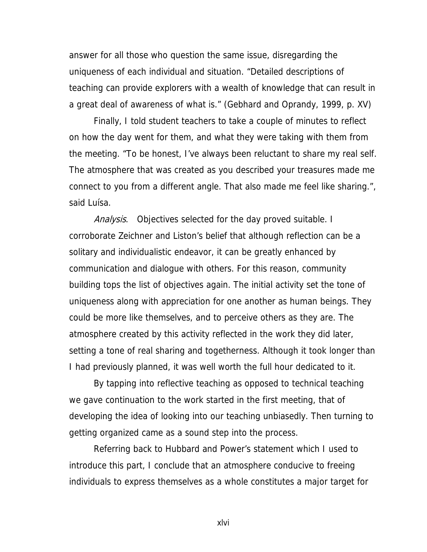answer for all those who question the same issue, disregarding the uniqueness of each individual and situation. "Detailed descriptions of teaching can provide explorers with a wealth of knowledge that can result in a great deal of awareness of what is." (Gebhard and Oprandy, 1999, p. XV)

Finally, I told student teachers to take a couple of minutes to reflect on how the day went for them, and what they were taking with them from the meeting. "To be honest, I've always been reluctant to share my real self. The atmosphere that was created as you described your treasures made me connect to you from a different angle. That also made me feel like sharing.", said Luísa.

Analysis. Objectives selected for the day proved suitable. I corroborate Zeichner and Liston's belief that although reflection can be a solitary and individualistic endeavor, it can be greatly enhanced by communication and dialogue with others. For this reason, community building tops the list of objectives again. The initial activity set the tone of uniqueness along with appreciation for one another as human beings. They could be more like themselves, and to perceive others as they are. The atmosphere created by this activity reflected in the work they did later, setting a tone of real sharing and togetherness. Although it took longer than I had previously planned, it was well worth the full hour dedicated to it.

By tapping into reflective teaching as opposed to technical teaching we gave continuation to the work started in the first meeting, that of developing the idea of looking into our teaching unbiasedly. Then turning to getting organized came as a sound step into the process.

Referring back to Hubbard and Power's statement which I used to introduce this part, I conclude that an atmosphere conducive to freeing individuals to express themselves as a whole constitutes a major target for

xlvi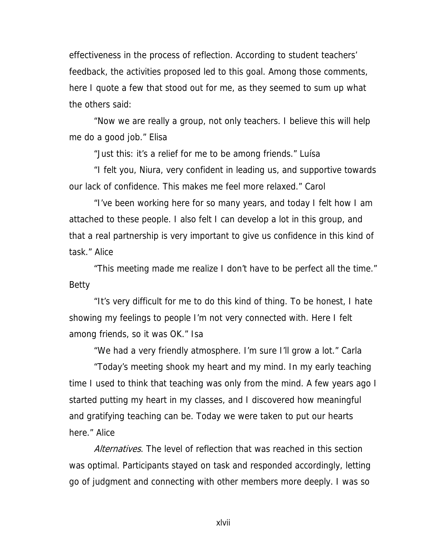effectiveness in the process of reflection. According to student teachers' feedback, the activities proposed led to this goal. Among those comments, here I quote a few that stood out for me, as they seemed to sum up what the others said:

 "Now we are really a group, not only teachers. I believe this will help me do a good job." Elisa

"Just this: it's a relief for me to be among friends." Luísa

 "I felt you, Niura, very confident in leading us, and supportive towards our lack of confidence. This makes me feel more relaxed." Carol

 "I've been working here for so many years, and today I felt how I am attached to these people. I also felt I can develop a lot in this group, and that a real partnership is very important to give us confidence in this kind of task." Alice

"This meeting made me realize I don't have to be perfect all the time." Betty

 "It's very difficult for me to do this kind of thing. To be honest, I hate showing my feelings to people I'm not very connected with. Here I felt among friends, so it was OK." Isa

"We had a very friendly atmosphere. I'm sure I'll grow a lot." Carla

 "Today's meeting shook my heart and my mind. In my early teaching time I used to think that teaching was only from the mind. A few years ago I started putting my heart in my classes, and I discovered how meaningful and gratifying teaching can be. Today we were taken to put our hearts here." Alice

Alternatives. The level of reflection that was reached in this section was optimal. Participants stayed on task and responded accordingly, letting go of judgment and connecting with other members more deeply. I was so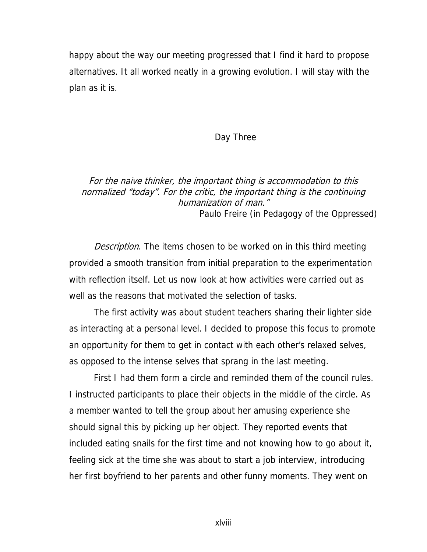happy about the way our meeting progressed that I find it hard to propose alternatives. It all worked neatly in a growing evolution. I will stay with the plan as it is.

#### Day Three

### For the naive thinker, the important thing is accommodation to this normalized "today". For the critic, the important thing is the continuing humanization of man." Paulo Freire (in Pedagogy of the Oppressed)

Description. The items chosen to be worked on in this third meeting provided a smooth transition from initial preparation to the experimentation with reflection itself. Let us now look at how activities were carried out as well as the reasons that motivated the selection of tasks.

The first activity was about student teachers sharing their lighter side as interacting at a personal level. I decided to propose this focus to promote an opportunity for them to get in contact with each other's relaxed selves, as opposed to the intense selves that sprang in the last meeting.

First I had them form a circle and reminded them of the council rules. I instructed participants to place their objects in the middle of the circle. As a member wanted to tell the group about her amusing experience she should signal this by picking up her object. They reported events that included eating snails for the first time and not knowing how to go about it, feeling sick at the time she was about to start a job interview, introducing her first boyfriend to her parents and other funny moments. They went on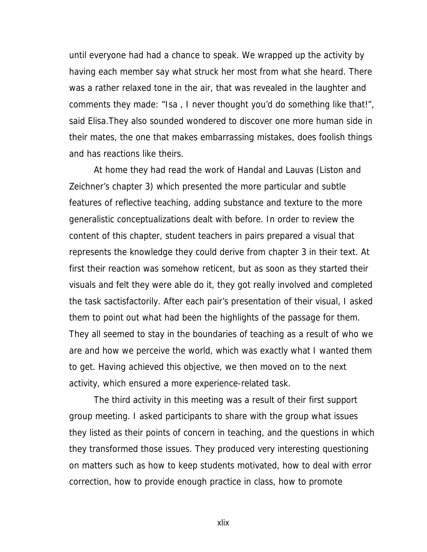until everyone had had a chance to speak. We wrapped up the activity by having each member say what struck her most from what she heard. There was a rather relaxed tone in the air, that was revealed in the laughter and comments they made: "Isa , I never thought you'd do something like that!", said Elisa.They also sounded wondered to discover one more human side in their mates, the one that makes embarrassing mistakes, does foolish things and has reactions like theirs.

At home they had read the work of Handal and Lauvas (Liston and Zeichner's chapter 3) which presented the more particular and subtle features of reflective teaching, adding substance and texture to the more generalistic conceptualizations dealt with before. In order to review the content of this chapter, student teachers in pairs prepared a visual that represents the knowledge they could derive from chapter 3 in their text. At first their reaction was somehow reticent, but as soon as they started their visuals and felt they were able do it, they got really involved and completed the task sactisfactorily. After each pair's presentation of their visual, I asked them to point out what had been the highlights of the passage for them. They all seemed to stay in the boundaries of teaching as a result of who we are and how we perceive the world, which was exactly what I wanted them to get. Having achieved this objective, we then moved on to the next activity, which ensured a more experience-related task.

The third activity in this meeting was a result of their first support group meeting. I asked participants to share with the group what issues they listed as their points of concern in teaching, and the questions in which they transformed those issues. They produced very interesting questioning on matters such as how to keep students motivated, how to deal with error correction, how to provide enough practice in class, how to promote

xlix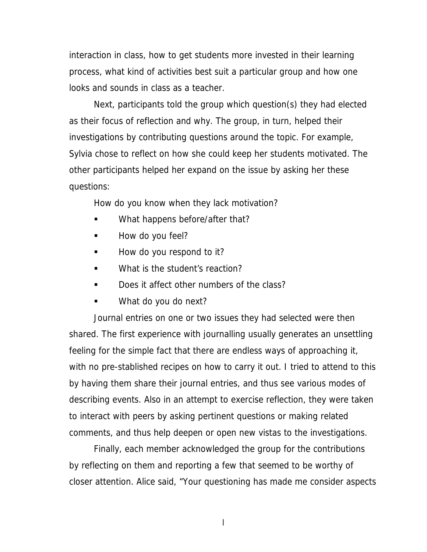interaction in class, how to get students more invested in their learning process, what kind of activities best suit a particular group and how one looks and sounds in class as a teacher.

Next, participants told the group which question(s) they had elected as their focus of reflection and why. The group, in turn, helped their investigations by contributing questions around the topic. For example, Sylvia chose to reflect on how she could keep her students motivated. The other participants helped her expand on the issue by asking her these questions:

How do you know when they lack motivation?

- What happens before/after that?
- How do you feel?
- How do you respond to it?
- What is the student's reaction?
- Does it affect other numbers of the class?
- What do you do next?

Journal entries on one or two issues they had selected were then shared. The first experience with journalling usually generates an unsettling feeling for the simple fact that there are endless ways of approaching it, with no pre-stablished recipes on how to carry it out. I tried to attend to this by having them share their journal entries, and thus see various modes of describing events. Also in an attempt to exercise reflection, they were taken to interact with peers by asking pertinent questions or making related comments, and thus help deepen or open new vistas to the investigations.

Finally, each member acknowledged the group for the contributions by reflecting on them and reporting a few that seemed to be worthy of closer attention. Alice said, "Your questioning has made me consider aspects

l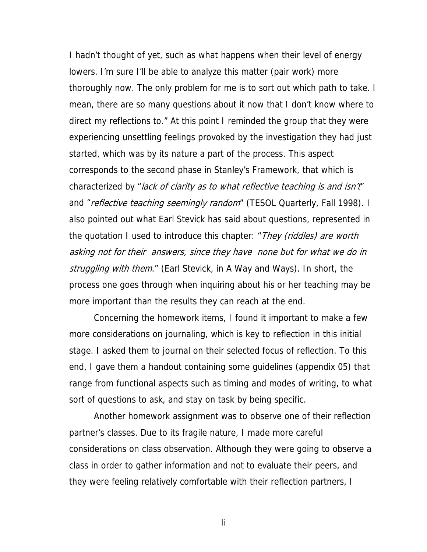I hadn't thought of yet, such as what happens when their level of energy lowers. I'm sure I'll be able to analyze this matter (pair work) more thoroughly now. The only problem for me is to sort out which path to take. I mean, there are so many questions about it now that I don't know where to direct my reflections to." At this point I reminded the group that they were experiencing unsettling feelings provoked by the investigation they had just started, which was by its nature a part of the process. This aspect corresponds to the second phase in Stanley's Framework, that which is characterized by "lack of clarity as to what reflective teaching is and isn't" and "reflective teaching seemingly random" (TESOL Quarterly, Fall 1998). I also pointed out what Earl Stevick has said about questions, represented in the quotation I used to introduce this chapter: "*They (riddles) are worth* asking not for their answers, since they have none but for what we do in struggling with them." (Earl Stevick, in A Way and Ways). In short, the process one goes through when inquiring about his or her teaching may be more important than the results they can reach at the end.

Concerning the homework items, I found it important to make a few more considerations on journaling, which is key to reflection in this initial stage. I asked them to journal on their selected focus of reflection. To this end, I gave them a handout containing some guidelines (appendix 05) that range from functional aspects such as timing and modes of writing, to what sort of questions to ask, and stay on task by being specific.

Another homework assignment was to observe one of their reflection partner's classes. Due to its fragile nature, I made more careful considerations on class observation. Although they were going to observe a class in order to gather information and not to evaluate their peers, and they were feeling relatively comfortable with their reflection partners, I

li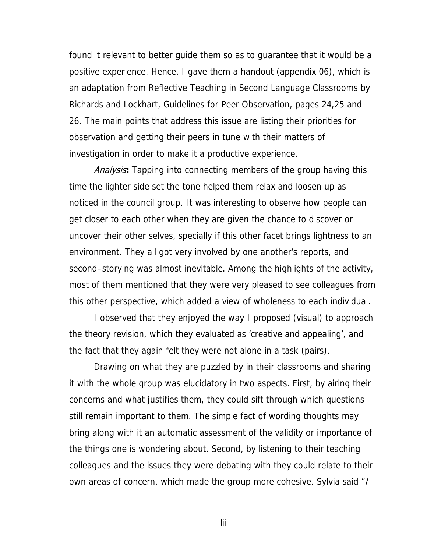found it relevant to better guide them so as to guarantee that it would be a positive experience. Hence, I gave them a handout (appendix 06), which is an adaptation from Reflective Teaching in Second Language Classrooms by Richards and Lockhart, Guidelines for Peer Observation, pages 24,25 and 26. The main points that address this issue are listing their priorities for observation and getting their peers in tune with their matters of investigation in order to make it a productive experience.

Analysis**:** Tapping into connecting members of the group having this time the lighter side set the tone helped them relax and loosen up as noticed in the council group. It was interesting to observe how people can get closer to each other when they are given the chance to discover or uncover their other selves, specially if this other facet brings lightness to an environment. They all got very involved by one another's reports, and second–storying was almost inevitable. Among the highlights of the activity, most of them mentioned that they were very pleased to see colleagues from this other perspective, which added a view of wholeness to each individual.

I observed that they enjoyed the way I proposed (visual) to approach the theory revision, which they evaluated as 'creative and appealing', and the fact that they again felt they were not alone in a task (pairs).

Drawing on what they are puzzled by in their classrooms and sharing it with the whole group was elucidatory in two aspects. First, by airing their concerns and what justifies them, they could sift through which questions still remain important to them. The simple fact of wording thoughts may bring along with it an automatic assessment of the validity or importance of the things one is wondering about. Second, by listening to their teaching colleagues and the issues they were debating with they could relate to their own areas of concern, which made the group more cohesive. Sylvia said "/

lii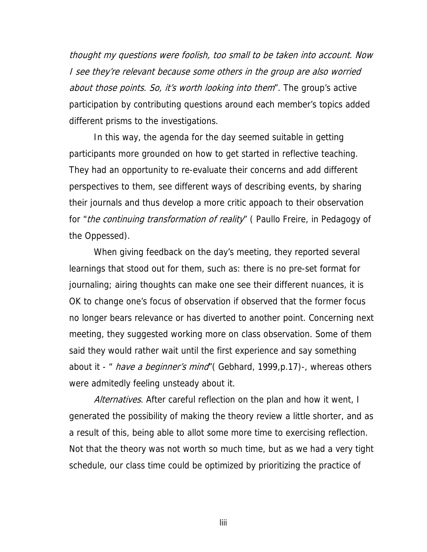thought my questions were foolish, too small to be taken into account. Now I see they're relevant because some others in the group are also worried about those points. So, it's worth looking into them". The group's active participation by contributing questions around each member's topics added different prisms to the investigations.

In this way, the agenda for the day seemed suitable in getting participants more grounded on how to get started in reflective teaching. They had an opportunity to re-evaluate their concerns and add different perspectives to them, see different ways of describing events, by sharing their journals and thus develop a more critic appoach to their observation for "the continuing transformation of reality" ( Paullo Freire, in Pedagogy of the Oppessed).

When giving feedback on the day's meeting, they reported several learnings that stood out for them, such as: there is no pre-set format for journaling; airing thoughts can make one see their different nuances, it is OK to change one's focus of observation if observed that the former focus no longer bears relevance or has diverted to another point. Concerning next meeting, they suggested working more on class observation. Some of them said they would rather wait until the first experience and say something about it - " *have a beginner's mind*" (Gebhard, 1999, p.17)-, whereas others were admitedly feeling unsteady about it.

Alternatives. After careful reflection on the plan and how it went, I generated the possibility of making the theory review a little shorter, and as a result of this, being able to allot some more time to exercising reflection. Not that the theory was not worth so much time, but as we had a very tight schedule, our class time could be optimized by prioritizing the practice of

liii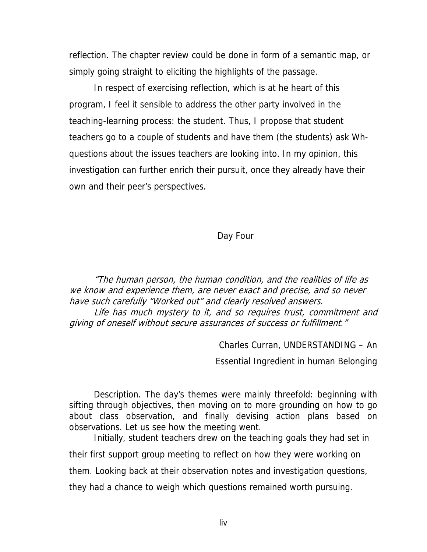reflection. The chapter review could be done in form of a semantic map, or simply going straight to eliciting the highlights of the passage.

In respect of exercising reflection, which is at he heart of this program, I feel it sensible to address the other party involved in the teaching-learning process: the student. Thus, I propose that student teachers go to a couple of students and have them (the students) ask Whquestions about the issues teachers are looking into. In my opinion, this investigation can further enrich their pursuit, once they already have their own and their peer's perspectives.

## Day Four

"The human person, the human condition, and the realities of life as we know and experience them, are never exact and precise, and so never have such carefully "Worked out" and clearly resolved answers. Life has much mystery to it, and so requires trust, commitment and giving of oneself without secure assurances of success or fulfillment."

Charles Curran, UNDERSTANDING – An

Essential Ingredient in human Belonging

Description. The day's themes were mainly threefold: beginning with sifting through objectives, then moving on to more grounding on how to go about class observation, and finally devising action plans based on observations. Let us see how the meeting went.

Initially, student teachers drew on the teaching goals they had set in their first support group meeting to reflect on how they were working on them. Looking back at their observation notes and investigation questions,

they had a chance to weigh which questions remained worth pursuing.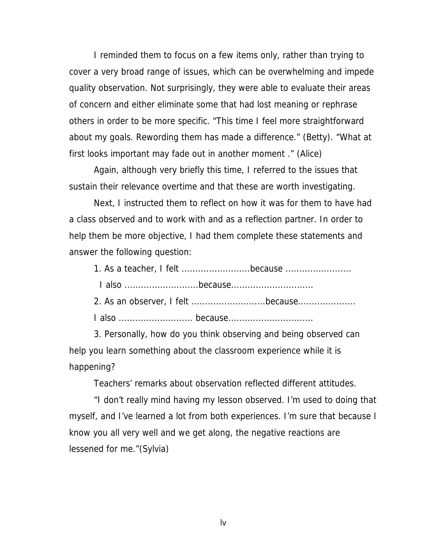I reminded them to focus on a few items only, rather than trying to cover a very broad range of issues, which can be overwhelming and impede quality observation. Not surprisingly, they were able to evaluate their areas of concern and either eliminate some that had lost meaning or rephrase others in order to be more specific. "This time I feel more straightforward about my goals. Rewording them has made a difference." (Betty). "What at first looks important may fade out in another moment ." (Alice)

Again, although very briefly this time, I referred to the issues that sustain their relevance overtime and that these are worth investigating.

Next, I instructed them to reflect on how it was for them to have had a class observed and to work with and as a reflection partner. In order to help them be more objective, I had them complete these statements and answer the following question:

| $I$ oleo | hooguso |  |
|----------|---------|--|

I also ...........................because..............................

2. As an observer, I felt ...........................because.....................

I also ........................... because...............................

3. Personally, how do you think observing and being observed can help you learn something about the classroom experience while it is happening?

Teachers' remarks about observation reflected different attitudes.

"I don't really mind having my lesson observed. I'm used to doing that myself, and I've learned a lot from both experiences. I'm sure that because I know you all very well and we get along, the negative reactions are lessened for me."(Sylvia)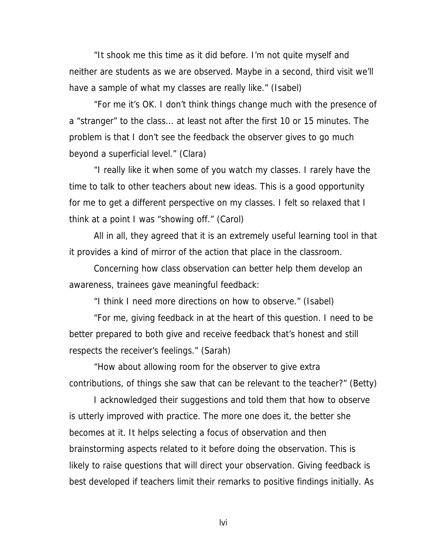"It shook me this time as it did before. I'm not quite myself and neither are students as we are observed. Maybe in a second, third visit we'll have a sample of what my classes are really like." (Isabel)

"For me it's OK. I don't think things change much with the presence of a "stranger" to the class... at least not after the first 10 or 15 minutes. The problem is that I don't see the feedback the observer gives to go much beyond a superficial level." (Clara)

"I really like it when some of you watch my classes. I rarely have the time to talk to other teachers about new ideas. This is a good opportunity for me to get a different perspective on my classes. I felt so relaxed that I think at a point I was "showing off." (Carol)

All in all, they agreed that it is an extremely useful learning tool in that it provides a kind of mirror of the action that place in the classroom.

Concerning how class observation can better help them develop an awareness, trainees gave meaningful feedback:

"I think I need more directions on how to observe." (Isabel)

"For me, giving feedback in at the heart of this question. I need to be better prepared to both give and receive feedback that's honest and still respects the receiver's feelings." (Sarah)

"How about allowing room for the observer to give extra contributions, of things she saw that can be relevant to the teacher?" (Betty)

I acknowledged their suggestions and told them that how to observe is utterly improved with practice. The more one does it, the better she becomes at it. It helps selecting a focus of observation and then brainstorming aspects related to it before doing the observation. This is likely to raise questions that will direct your observation. Giving feedback is best developed if teachers limit their remarks to positive findings initially. As

lvi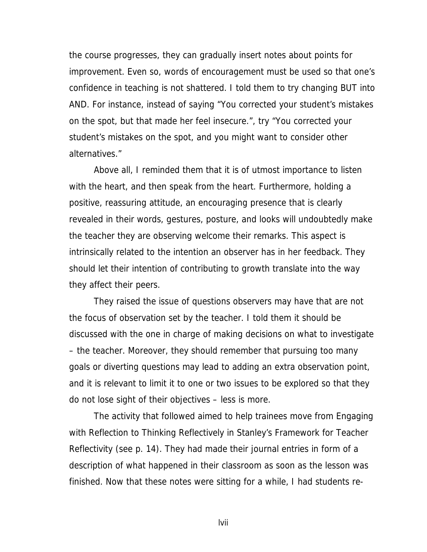the course progresses, they can gradually insert notes about points for improvement. Even so, words of encouragement must be used so that one's confidence in teaching is not shattered. I told them to try changing BUT into AND. For instance, instead of saying "You corrected your student's mistakes on the spot, but that made her feel insecure.", try "You corrected your student's mistakes on the spot, and you might want to consider other alternatives."

Above all, I reminded them that it is of utmost importance to listen with the heart, and then speak from the heart. Furthermore, holding a positive, reassuring attitude, an encouraging presence that is clearly revealed in their words, gestures, posture, and looks will undoubtedly make the teacher they are observing welcome their remarks. This aspect is intrinsically related to the intention an observer has in her feedback. They should let their intention of contributing to growth translate into the way they affect their peers.

They raised the issue of questions observers may have that are not the focus of observation set by the teacher. I told them it should be discussed with the one in charge of making decisions on what to investigate – the teacher. Moreover, they should remember that pursuing too many goals or diverting questions may lead to adding an extra observation point, and it is relevant to limit it to one or two issues to be explored so that they do not lose sight of their objectives – less is more.

The activity that followed aimed to help trainees move from Engaging with Reflection to Thinking Reflectively in Stanley's Framework for Teacher Reflectivity (see p. 14). They had made their journal entries in form of a description of what happened in their classroom as soon as the lesson was finished. Now that these notes were sitting for a while, I had students re-

lvii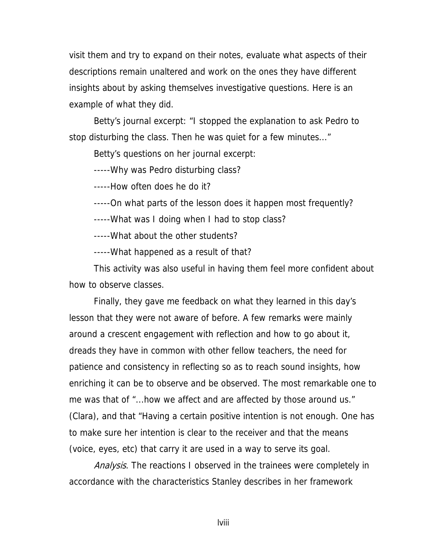visit them and try to expand on their notes, evaluate what aspects of their descriptions remain unaltered and work on the ones they have different insights about by asking themselves investigative questions. Here is an example of what they did.

Betty's journal excerpt: "I stopped the explanation to ask Pedro to stop disturbing the class. Then he was quiet for a few minutes..."

Betty's questions on her journal excerpt:

-----Why was Pedro disturbing class?

-----How often does he do it?

-----On what parts of the lesson does it happen most frequently?

-----What was I doing when I had to stop class?

-----What about the other students?

-----What happened as a result of that?

This activity was also useful in having them feel more confident about how to observe classes.

Finally, they gave me feedback on what they learned in this day's lesson that they were not aware of before. A few remarks were mainly around a crescent engagement with reflection and how to go about it, dreads they have in common with other fellow teachers, the need for patience and consistency in reflecting so as to reach sound insights, how enriching it can be to observe and be observed. The most remarkable one to me was that of "...how we affect and are affected by those around us." (Clara), and that "Having a certain positive intention is not enough. One has to make sure her intention is clear to the receiver and that the means (voice, eyes, etc) that carry it are used in a way to serve its goal.

Analysis. The reactions I observed in the trainees were completely in accordance with the characteristics Stanley describes in her framework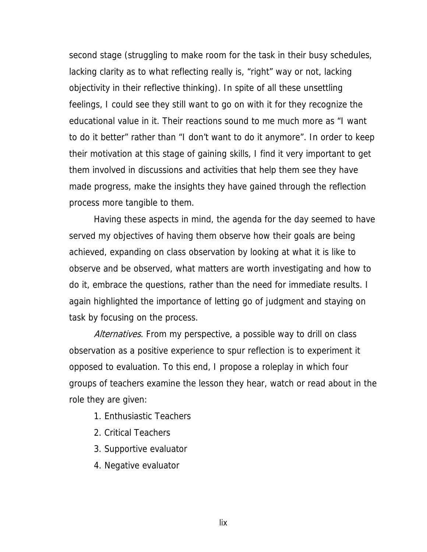second stage (struggling to make room for the task in their busy schedules, lacking clarity as to what reflecting really is, "right" way or not, lacking objectivity in their reflective thinking). In spite of all these unsettling feelings, I could see they still want to go on with it for they recognize the educational value in it. Their reactions sound to me much more as "I want to do it better" rather than "I don't want to do it anymore". In order to keep their motivation at this stage of gaining skills, I find it very important to get them involved in discussions and activities that help them see they have made progress, make the insights they have gained through the reflection process more tangible to them.

Having these aspects in mind, the agenda for the day seemed to have served my objectives of having them observe how their goals are being achieved, expanding on class observation by looking at what it is like to observe and be observed, what matters are worth investigating and how to do it, embrace the questions, rather than the need for immediate results. I again highlighted the importance of letting go of judgment and staying on task by focusing on the process.

Alternatives. From my perspective, a possible way to drill on class observation as a positive experience to spur reflection is to experiment it opposed to evaluation. To this end, I propose a roleplay in which four groups of teachers examine the lesson they hear, watch or read about in the role they are given:

- 1. Enthusiastic Teachers
- 2. Critical Teachers
- 3. Supportive evaluator
- 4. Negative evaluator

lix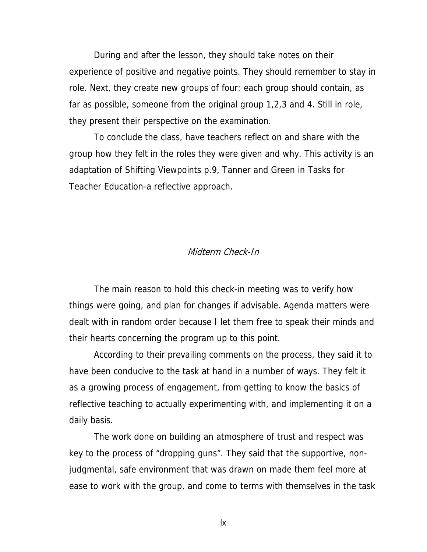During and after the lesson, they should take notes on their experience of positive and negative points. They should remember to stay in role. Next, they create new groups of four: each group should contain, as far as possible, someone from the original group 1,2,3 and 4. Still in role, they present their perspective on the examination.

To conclude the class, have teachers reflect on and share with the group how they felt in the roles they were given and why. This activity is an adaptation of Shifting Viewpoints p.9, Tanner and Green in Tasks for Teacher Education-a reflective approach.

#### Midterm Check-In

The main reason to hold this check-in meeting was to verify how things were going, and plan for changes if advisable. Agenda matters were dealt with in random order because I let them free to speak their minds and their hearts concerning the program up to this point.

According to their prevailing comments on the process, they said it to have been conducive to the task at hand in a number of ways. They felt it as a growing process of engagement, from getting to know the basics of reflective teaching to actually experimenting with, and implementing it on a daily basis.

The work done on building an atmosphere of trust and respect was key to the process of "dropping guns". They said that the supportive, nonjudgmental, safe environment that was drawn on made them feel more at ease to work with the group, and come to terms with themselves in the task

lx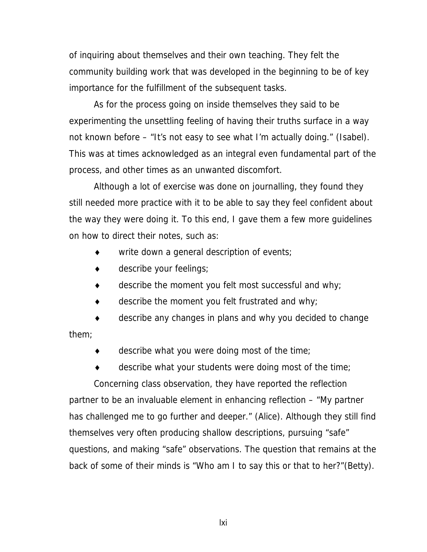of inquiring about themselves and their own teaching. They felt the community building work that was developed in the beginning to be of key importance for the fulfillment of the subsequent tasks.

As for the process going on inside themselves they said to be experimenting the unsettling feeling of having their truths surface in a way not known before – "It's not easy to see what I'm actually doing." (Isabel). This was at times acknowledged as an integral even fundamental part of the process, and other times as an unwanted discomfort.

Although a lot of exercise was done on journalling, they found they still needed more practice with it to be able to say they feel confident about the way they were doing it. To this end, I gave them a few more guidelines on how to direct their notes, such as:

- write down a general description of events;
- describe your feelings;
- $\bullet$  describe the moment you felt most successful and why;
- $\bullet$  describe the moment you felt frustrated and why;

♦ describe any changes in plans and why you decided to change them;

describe what you were doing most of the time;

♦ describe what your students were doing most of the time;

Concerning class observation, they have reported the reflection partner to be an invaluable element in enhancing reflection – "My partner has challenged me to go further and deeper." (Alice). Although they still find themselves very often producing shallow descriptions, pursuing "safe" questions, and making "safe" observations. The question that remains at the back of some of their minds is "Who am I to say this or that to her?"(Betty).

lxi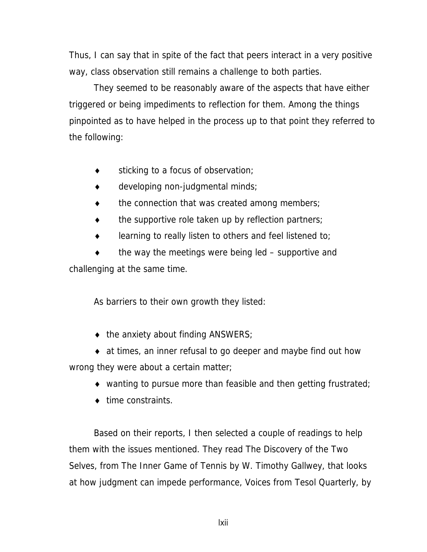Thus, I can say that in spite of the fact that peers interact in a very positive way, class observation still remains a challenge to both parties.

They seemed to be reasonably aware of the aspects that have either triggered or being impediments to reflection for them. Among the things pinpointed as to have helped in the process up to that point they referred to the following:

- $\bullet$  sticking to a focus of observation;
- $\bullet$  developing non-judgmental minds;
- the connection that was created among members;
- $\bullet$  the supportive role taken up by reflection partners;
- learning to really listen to others and feel listened to;

the way the meetings were being led  $-$  supportive and challenging at the same time.

As barriers to their own growth they listed:

- $\bullet$  the anxiety about finding ANSWERS;
- ♦ at times, an inner refusal to go deeper and maybe find out how wrong they were about a certain matter;
	- $\bullet$  wanting to pursue more than feasible and then getting frustrated;
	- ◆ time constraints.

Based on their reports, I then selected a couple of readings to help them with the issues mentioned. They read The Discovery of the Two Selves, from The Inner Game of Tennis by W. Timothy Gallwey, that looks at how judgment can impede performance, Voices from Tesol Quarterly, by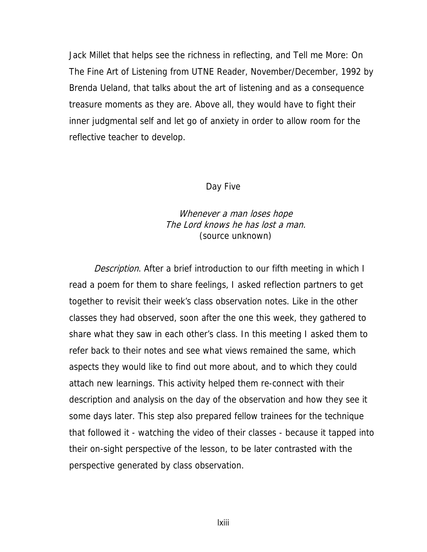Jack Millet that helps see the richness in reflecting, and Tell me More: On The Fine Art of Listening from UTNE Reader, November/December, 1992 by Brenda Ueland, that talks about the art of listening and as a consequence treasure moments as they are. Above all, they would have to fight their inner judgmental self and let go of anxiety in order to allow room for the reflective teacher to develop.

#### Day Five

### Whenever a man loses hope The Lord knows he has lost a man. (source unknown)

Description. After a brief introduction to our fifth meeting in which I read a poem for them to share feelings, I asked reflection partners to get together to revisit their week's class observation notes. Like in the other classes they had observed, soon after the one this week, they gathered to share what they saw in each other's class. In this meeting I asked them to refer back to their notes and see what views remained the same, which aspects they would like to find out more about, and to which they could attach new learnings. This activity helped them re-connect with their description and analysis on the day of the observation and how they see it some days later. This step also prepared fellow trainees for the technique that followed it - watching the video of their classes - because it tapped into their on-sight perspective of the lesson, to be later contrasted with the perspective generated by class observation.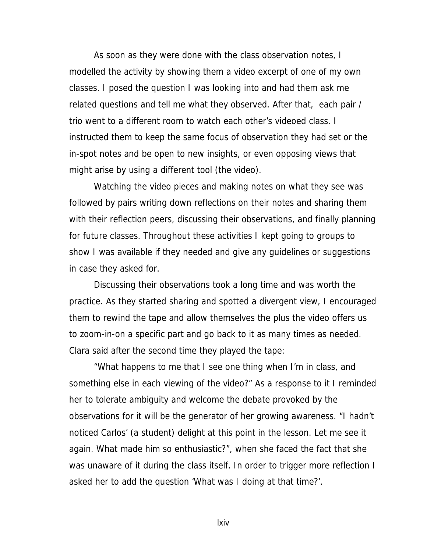As soon as they were done with the class observation notes, I modelled the activity by showing them a video excerpt of one of my own classes. I posed the question I was looking into and had them ask me related questions and tell me what they observed. After that, each pair / trio went to a different room to watch each other's videoed class. I instructed them to keep the same focus of observation they had set or the in-spot notes and be open to new insights, or even opposing views that might arise by using a different tool (the video).

Watching the video pieces and making notes on what they see was followed by pairs writing down reflections on their notes and sharing them with their reflection peers, discussing their observations, and finally planning for future classes. Throughout these activities I kept going to groups to show I was available if they needed and give any guidelines or suggestions in case they asked for.

Discussing their observations took a long time and was worth the practice. As they started sharing and spotted a divergent view, I encouraged them to rewind the tape and allow themselves the plus the video offers us to zoom-in-on a specific part and go back to it as many times as needed. Clara said after the second time they played the tape:

"What happens to me that I see one thing when I'm in class, and something else in each viewing of the video?" As a response to it I reminded her to tolerate ambiguity and welcome the debate provoked by the observations for it will be the generator of her growing awareness. "I hadn't noticed Carlos' (a student) delight at this point in the lesson. Let me see it again. What made him so enthusiastic?", when she faced the fact that she was unaware of it during the class itself. In order to trigger more reflection I asked her to add the question 'What was I doing at that time?'.

lxiv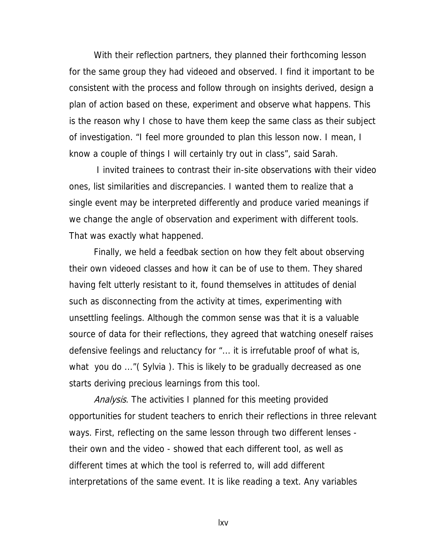With their reflection partners, they planned their forthcoming lesson for the same group they had videoed and observed. I find it important to be consistent with the process and follow through on insights derived, design a plan of action based on these, experiment and observe what happens. This is the reason why I chose to have them keep the same class as their subject of investigation. "I feel more grounded to plan this lesson now. I mean, I know a couple of things I will certainly try out in class", said Sarah.

 I invited trainees to contrast their in-site observations with their video ones, list similarities and discrepancies. I wanted them to realize that a single event may be interpreted differently and produce varied meanings if we change the angle of observation and experiment with different tools. That was exactly what happened.

Finally, we held a feedbak section on how they felt about observing their own videoed classes and how it can be of use to them. They shared having felt utterly resistant to it, found themselves in attitudes of denial such as disconnecting from the activity at times, experimenting with unsettling feelings. Although the common sense was that it is a valuable source of data for their reflections, they agreed that watching oneself raises defensive feelings and reluctancy for "... it is irrefutable proof of what is, what you do ..."( Sylvia ). This is likely to be gradually decreased as one starts deriving precious learnings from this tool.

Analysis. The activities I planned for this meeting provided opportunities for student teachers to enrich their reflections in three relevant ways. First, reflecting on the same lesson through two different lenses their own and the video - showed that each different tool, as well as different times at which the tool is referred to, will add different interpretations of the same event. It is like reading a text. Any variables

lxv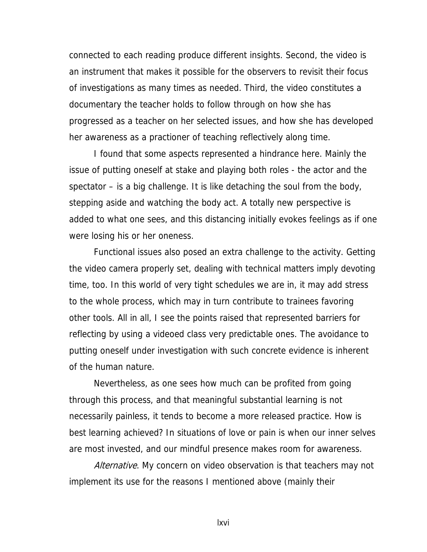connected to each reading produce different insights. Second, the video is an instrument that makes it possible for the observers to revisit their focus of investigations as many times as needed. Third, the video constitutes a documentary the teacher holds to follow through on how she has progressed as a teacher on her selected issues, and how she has developed her awareness as a practioner of teaching reflectively along time.

I found that some aspects represented a hindrance here. Mainly the issue of putting oneself at stake and playing both roles - the actor and the spectator – is a big challenge. It is like detaching the soul from the body, stepping aside and watching the body act. A totally new perspective is added to what one sees, and this distancing initially evokes feelings as if one were losing his or her oneness.

Functional issues also posed an extra challenge to the activity. Getting the video camera properly set, dealing with technical matters imply devoting time, too. In this world of very tight schedules we are in, it may add stress to the whole process, which may in turn contribute to trainees favoring other tools. All in all, I see the points raised that represented barriers for reflecting by using a videoed class very predictable ones. The avoidance to putting oneself under investigation with such concrete evidence is inherent of the human nature.

Nevertheless, as one sees how much can be profited from going through this process, and that meaningful substantial learning is not necessarily painless, it tends to become a more released practice. How is best learning achieved? In situations of love or pain is when our inner selves are most invested, and our mindful presence makes room for awareness.

Alternative. My concern on video observation is that teachers may not implement its use for the reasons I mentioned above (mainly their

lxvi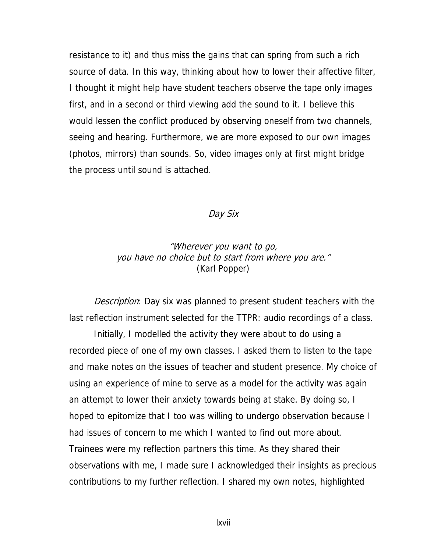resistance to it) and thus miss the gains that can spring from such a rich source of data. In this way, thinking about how to lower their affective filter, I thought it might help have student teachers observe the tape only images first, and in a second or third viewing add the sound to it. I believe this would lessen the conflict produced by observing oneself from two channels, seeing and hearing. Furthermore, we are more exposed to our own images (photos, mirrors) than sounds. So, video images only at first might bridge the process until sound is attached.

#### Day Six

## "Wherever you want to go, you have no choice but to start from where you are." (Karl Popper)

*Description*: Day six was planned to present student teachers with the last reflection instrument selected for the TTPR: audio recordings of a class.

Initially, I modelled the activity they were about to do using a recorded piece of one of my own classes. I asked them to listen to the tape and make notes on the issues of teacher and student presence. My choice of using an experience of mine to serve as a model for the activity was again an attempt to lower their anxiety towards being at stake. By doing so, I hoped to epitomize that I too was willing to undergo observation because I had issues of concern to me which I wanted to find out more about. Trainees were my reflection partners this time. As they shared their observations with me, I made sure I acknowledged their insights as precious contributions to my further reflection. I shared my own notes, highlighted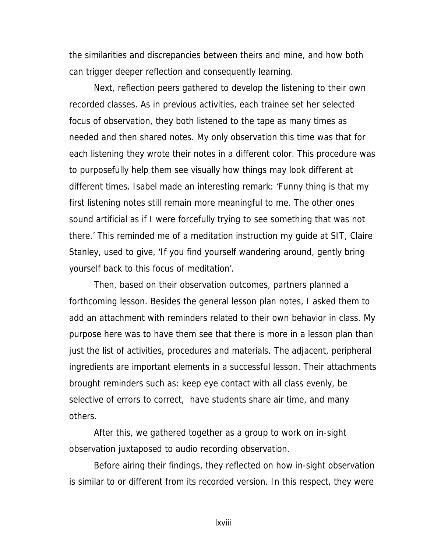the similarities and discrepancies between theirs and mine, and how both can trigger deeper reflection and consequently learning.

Next, reflection peers gathered to develop the listening to their own recorded classes. As in previous activities, each trainee set her selected focus of observation, they both listened to the tape as many times as needed and then shared notes. My only observation this time was that for each listening they wrote their notes in a different color. This procedure was to purposefully help them see visually how things may look different at different times. Isabel made an interesting remark: 'Funny thing is that my first listening notes still remain more meaningful to me. The other ones sound artificial as if I were forcefully trying to see something that was not there.' This reminded me of a meditation instruction my guide at SIT, Claire Stanley, used to give, 'If you find yourself wandering around, gently bring yourself back to this focus of meditation'.

Then, based on their observation outcomes, partners planned a forthcoming lesson. Besides the general lesson plan notes, I asked them to add an attachment with reminders related to their own behavior in class. My purpose here was to have them see that there is more in a lesson plan than just the list of activities, procedures and materials. The adjacent, peripheral ingredients are important elements in a successful lesson. Their attachments brought reminders such as: keep eye contact with all class evenly, be selective of errors to correct, have students share air time, and many others.

After this, we gathered together as a group to work on in-sight observation juxtaposed to audio recording observation.

Before airing their findings, they reflected on how in-sight observation is similar to or different from its recorded version. In this respect, they were

lxviii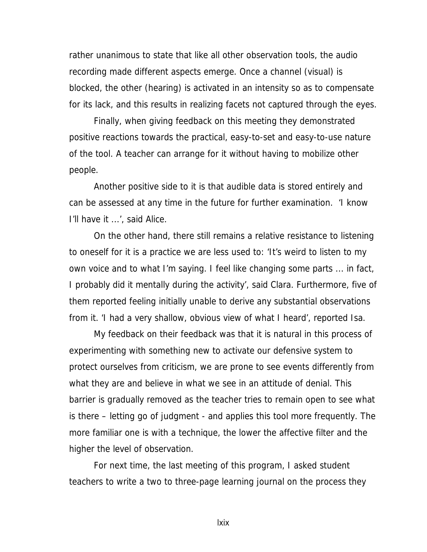rather unanimous to state that like all other observation tools, the audio recording made different aspects emerge. Once a channel (visual) is blocked, the other (hearing) is activated in an intensity so as to compensate for its lack, and this results in realizing facets not captured through the eyes.

Finally, when giving feedback on this meeting they demonstrated positive reactions towards the practical, easy-to-set and easy-to-use nature of the tool. A teacher can arrange for it without having to mobilize other people.

Another positive side to it is that audible data is stored entirely and can be assessed at any time in the future for further examination. 'I know I'll have it ...', said Alice.

On the other hand, there still remains a relative resistance to listening to oneself for it is a practice we are less used to: 'It's weird to listen to my own voice and to what I'm saying. I feel like changing some parts ... in fact, I probably did it mentally during the activity', said Clara. Furthermore, five of them reported feeling initially unable to derive any substantial observations from it. 'I had a very shallow, obvious view of what I heard', reported Isa.

My feedback on their feedback was that it is natural in this process of experimenting with something new to activate our defensive system to protect ourselves from criticism, we are prone to see events differently from what they are and believe in what we see in an attitude of denial. This barrier is gradually removed as the teacher tries to remain open to see what is there – letting go of judgment - and applies this tool more frequently. The more familiar one is with a technique, the lower the affective filter and the higher the level of observation.

For next time, the last meeting of this program, I asked student teachers to write a two to three-page learning journal on the process they

lxix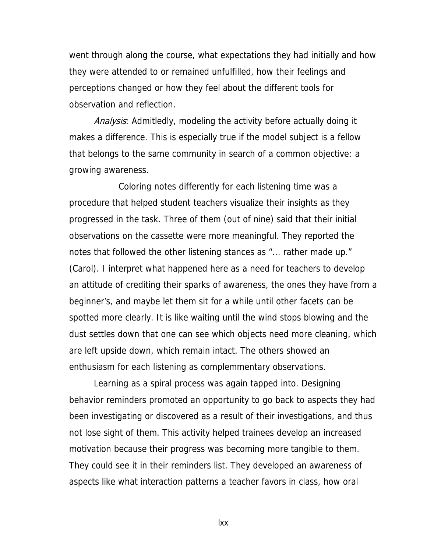went through along the course, what expectations they had initially and how they were attended to or remained unfulfilled, how their feelings and perceptions changed or how they feel about the different tools for observation and reflection.

Analysis: Admitledly, modeling the activity before actually doing it makes a difference. This is especially true if the model subject is a fellow that belongs to the same community in search of a common objective: a growing awareness.

 Coloring notes differently for each listening time was a procedure that helped student teachers visualize their insights as they progressed in the task. Three of them (out of nine) said that their initial observations on the cassette were more meaningful. They reported the notes that followed the other listening stances as "... rather made up." (Carol). I interpret what happened here as a need for teachers to develop an attitude of crediting their sparks of awareness, the ones they have from a beginner's, and maybe let them sit for a while until other facets can be spotted more clearly. It is like waiting until the wind stops blowing and the dust settles down that one can see which objects need more cleaning, which are left upside down, which remain intact. The others showed an enthusiasm for each listening as complemmentary observations.

Learning as a spiral process was again tapped into. Designing behavior reminders promoted an opportunity to go back to aspects they had been investigating or discovered as a result of their investigations, and thus not lose sight of them. This activity helped trainees develop an increased motivation because their progress was becoming more tangible to them. They could see it in their reminders list. They developed an awareness of aspects like what interaction patterns a teacher favors in class, how oral

lxx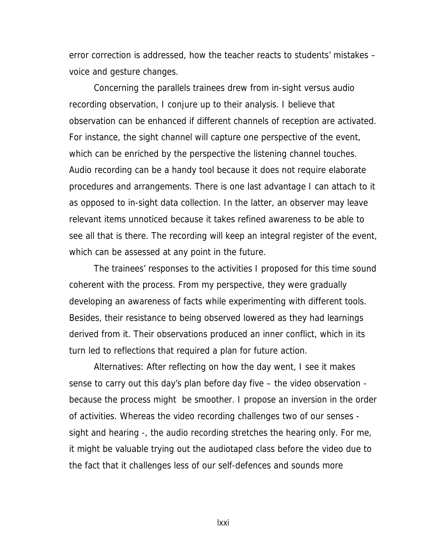error correction is addressed, how the teacher reacts to students' mistakes – voice and gesture changes.

Concerning the parallels trainees drew from in-sight versus audio recording observation, I conjure up to their analysis. I believe that observation can be enhanced if different channels of reception are activated. For instance, the sight channel will capture one perspective of the event, which can be enriched by the perspective the listening channel touches. Audio recording can be a handy tool because it does not require elaborate procedures and arrangements. There is one last advantage I can attach to it as opposed to in-sight data collection. In the latter, an observer may leave relevant items unnoticed because it takes refined awareness to be able to see all that is there. The recording will keep an integral register of the event, which can be assessed at any point in the future.

The trainees' responses to the activities I proposed for this time sound coherent with the process. From my perspective, they were gradually developing an awareness of facts while experimenting with different tools. Besides, their resistance to being observed lowered as they had learnings derived from it. Their observations produced an inner conflict, which in its turn led to reflections that required a plan for future action.

Alternatives: After reflecting on how the day went, I see it makes sense to carry out this day's plan before day five – the video observation because the process might be smoother. I propose an inversion in the order of activities. Whereas the video recording challenges two of our senses sight and hearing -, the audio recording stretches the hearing only. For me, it might be valuable trying out the audiotaped class before the video due to the fact that it challenges less of our self-defences and sounds more

lxxi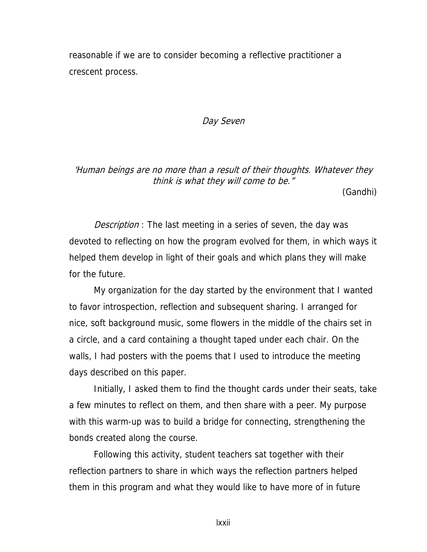reasonable if we are to consider becoming a reflective practitioner a crescent process.

#### Day Seven

# 'Human beings are no more than a result of their thoughts. Whatever they think is what they will come to be."

(Gandhi)

Description : The last meeting in a series of seven, the day was devoted to reflecting on how the program evolved for them, in which ways it helped them develop in light of their goals and which plans they will make for the future.

My organization for the day started by the environment that I wanted to favor introspection, reflection and subsequent sharing. I arranged for nice, soft background music, some flowers in the middle of the chairs set in a circle, and a card containing a thought taped under each chair. On the walls, I had posters with the poems that I used to introduce the meeting days described on this paper.

Initially, I asked them to find the thought cards under their seats, take a few minutes to reflect on them, and then share with a peer. My purpose with this warm-up was to build a bridge for connecting, strengthening the bonds created along the course.

Following this activity, student teachers sat together with their reflection partners to share in which ways the reflection partners helped them in this program and what they would like to have more of in future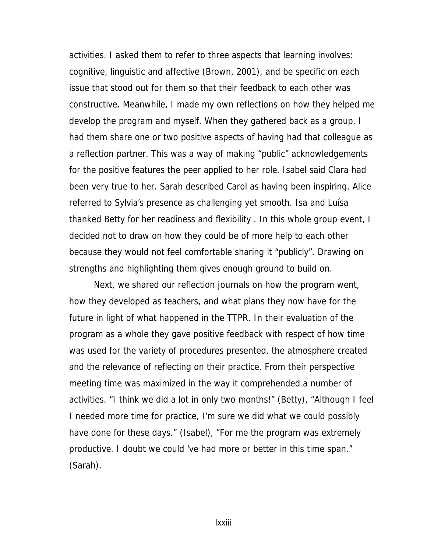activities. I asked them to refer to three aspects that learning involves: cognitive, linguistic and affective (Brown, 2001), and be specific on each issue that stood out for them so that their feedback to each other was constructive. Meanwhile, I made my own reflections on how they helped me develop the program and myself. When they gathered back as a group, I had them share one or two positive aspects of having had that colleague as a reflection partner. This was a way of making "public" acknowledgements for the positive features the peer applied to her role. Isabel said Clara had been very true to her. Sarah described Carol as having been inspiring. Alice referred to Sylvia's presence as challenging yet smooth. Isa and Luísa thanked Betty for her readiness and flexibility . In this whole group event, I decided not to draw on how they could be of more help to each other because they would not feel comfortable sharing it "publicly". Drawing on strengths and highlighting them gives enough ground to build on.

Next, we shared our reflection journals on how the program went, how they developed as teachers, and what plans they now have for the future in light of what happened in the TTPR. In their evaluation of the program as a whole they gave positive feedback with respect of how time was used for the variety of procedures presented, the atmosphere created and the relevance of reflecting on their practice. From their perspective meeting time was maximized in the way it comprehended a number of activities. "I think we did a lot in only two months!" (Betty), "Although I feel I needed more time for practice, I'm sure we did what we could possibly have done for these days." (Isabel), "For me the program was extremely productive. I doubt we could 've had more or better in this time span." (Sarah).

lxxiii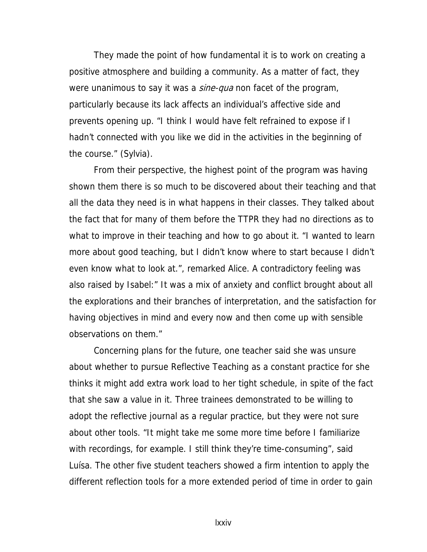They made the point of how fundamental it is to work on creating a positive atmosphere and building a community. As a matter of fact, they were unanimous to say it was a *sine-qua* non facet of the program, particularly because its lack affects an individual's affective side and prevents opening up. "I think I would have felt refrained to expose if I hadn't connected with you like we did in the activities in the beginning of the course." (Sylvia).

From their perspective, the highest point of the program was having shown them there is so much to be discovered about their teaching and that all the data they need is in what happens in their classes. They talked about the fact that for many of them before the TTPR they had no directions as to what to improve in their teaching and how to go about it. "I wanted to learn more about good teaching, but I didn't know where to start because I didn't even know what to look at.", remarked Alice. A contradictory feeling was also raised by Isabel:" It was a mix of anxiety and conflict brought about all the explorations and their branches of interpretation, and the satisfaction for having objectives in mind and every now and then come up with sensible observations on them."

Concerning plans for the future, one teacher said she was unsure about whether to pursue Reflective Teaching as a constant practice for she thinks it might add extra work load to her tight schedule, in spite of the fact that she saw a value in it. Three trainees demonstrated to be willing to adopt the reflective journal as a regular practice, but they were not sure about other tools. "It might take me some more time before I familiarize with recordings, for example. I still think they're time-consuming", said Luísa. The other five student teachers showed a firm intention to apply the different reflection tools for a more extended period of time in order to gain

lxxiv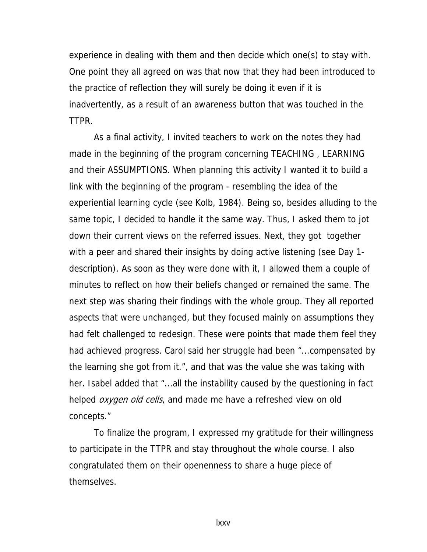experience in dealing with them and then decide which one(s) to stay with. One point they all agreed on was that now that they had been introduced to the practice of reflection they will surely be doing it even if it is inadvertently, as a result of an awareness button that was touched in the TTPR.

As a final activity, I invited teachers to work on the notes they had made in the beginning of the program concerning TEACHING , LEARNING and their ASSUMPTIONS. When planning this activity I wanted it to build a link with the beginning of the program - resembling the idea of the experiential learning cycle (see Kolb, 1984). Being so, besides alluding to the same topic, I decided to handle it the same way. Thus, I asked them to jot down their current views on the referred issues. Next, they got together with a peer and shared their insights by doing active listening (see Day 1 description). As soon as they were done with it, I allowed them a couple of minutes to reflect on how their beliefs changed or remained the same. The next step was sharing their findings with the whole group. They all reported aspects that were unchanged, but they focused mainly on assumptions they had felt challenged to redesign. These were points that made them feel they had achieved progress. Carol said her struggle had been "...compensated by the learning she got from it.", and that was the value she was taking with her. Isabel added that "...all the instability caused by the questioning in fact helped *oxygen old cells*, and made me have a refreshed view on old concepts."

To finalize the program, I expressed my gratitude for their willingness to participate in the TTPR and stay throughout the whole course. I also congratulated them on their openenness to share a huge piece of themselves.

lxxv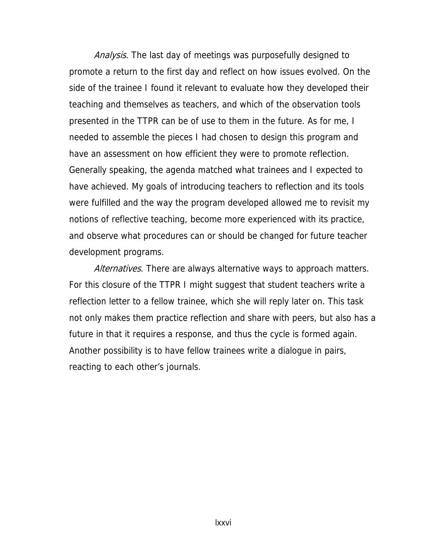Analysis. The last day of meetings was purposefully designed to promote a return to the first day and reflect on how issues evolved. On the side of the trainee I found it relevant to evaluate how they developed their teaching and themselves as teachers, and which of the observation tools presented in the TTPR can be of use to them in the future. As for me, I needed to assemble the pieces I had chosen to design this program and have an assessment on how efficient they were to promote reflection. Generally speaking, the agenda matched what trainees and I expected to have achieved. My goals of introducing teachers to reflection and its tools were fulfilled and the way the program developed allowed me to revisit my notions of reflective teaching, become more experienced with its practice, and observe what procedures can or should be changed for future teacher development programs.

Alternatives. There are always alternative ways to approach matters. For this closure of the TTPR I might suggest that student teachers write a reflection letter to a fellow trainee, which she will reply later on. This task not only makes them practice reflection and share with peers, but also has a future in that it requires a response, and thus the cycle is formed again. Another possibility is to have fellow trainees write a dialogue in pairs, reacting to each other's journals.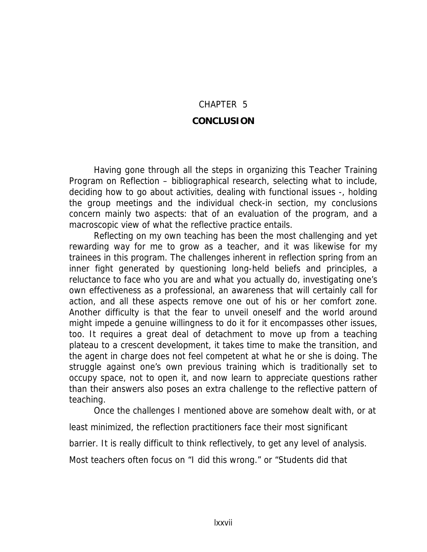## CHAPTER 5 **CONCLUSION**

Having gone through all the steps in organizing this Teacher Training Program on Reflection – bibliographical research, selecting what to include, deciding how to go about activities, dealing with functional issues -, holding the group meetings and the individual check-in section, my conclusions concern mainly two aspects: that of an evaluation of the program, and a macroscopic view of what the reflective practice entails.

Reflecting on my own teaching has been the most challenging and yet rewarding way for me to grow as a teacher, and it was likewise for my trainees in this program. The challenges inherent in reflection spring from an inner fight generated by questioning long-held beliefs and principles, a reluctance to face who you are and what you actually do, investigating one's own effectiveness as a professional, an awareness that will certainly call for action, and all these aspects remove one out of his or her comfort zone. Another difficulty is that the fear to unveil oneself and the world around might impede a genuine willingness to do it for it encompasses other issues, too. It requires a great deal of detachment to move up from a teaching plateau to a crescent development, it takes time to make the transition, and the agent in charge does not feel competent at what he or she is doing. The struggle against one's own previous training which is traditionally set to occupy space, not to open it, and now learn to appreciate questions rather than their answers also poses an extra challenge to the reflective pattern of teaching.

Once the challenges I mentioned above are somehow dealt with, or at least minimized, the reflection practitioners face their most significant barrier. It is really difficult to think reflectively, to get any level of analysis. Most teachers often focus on "I did this wrong." or "Students did that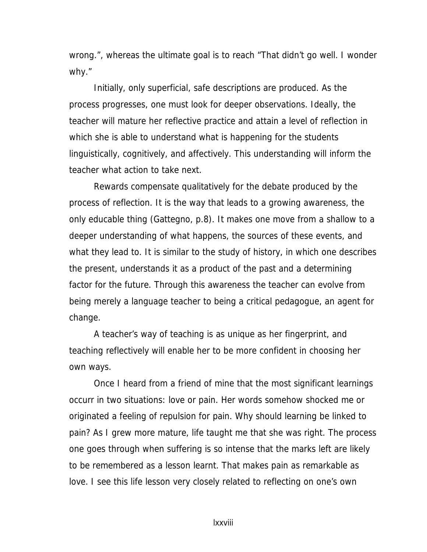wrong.", whereas the ultimate goal is to reach "That didn't go well. I wonder why."

Initially, only superficial, safe descriptions are produced. As the process progresses, one must look for deeper observations. Ideally, the teacher will mature her reflective practice and attain a level of reflection in which she is able to understand what is happening for the students linguistically, cognitively, and affectively. This understanding will inform the teacher what action to take next.

Rewards compensate qualitatively for the debate produced by the process of reflection. It is the way that leads to a growing awareness, the only educable thing (Gattegno, p.8). It makes one move from a shallow to a deeper understanding of what happens, the sources of these events, and what they lead to. It is similar to the study of history, in which one describes the present, understands it as a product of the past and a determining factor for the future. Through this awareness the teacher can evolve from being merely a language teacher to being a critical pedagogue, an agent for change.

A teacher's way of teaching is as unique as her fingerprint, and teaching reflectively will enable her to be more confident in choosing her own ways.

Once I heard from a friend of mine that the most significant learnings occurr in two situations: love or pain. Her words somehow shocked me or originated a feeling of repulsion for pain. Why should learning be linked to pain? As I grew more mature, life taught me that she was right. The process one goes through when suffering is so intense that the marks left are likely to be remembered as a lesson learnt. That makes pain as remarkable as love. I see this life lesson very closely related to reflecting on one's own

lxxviii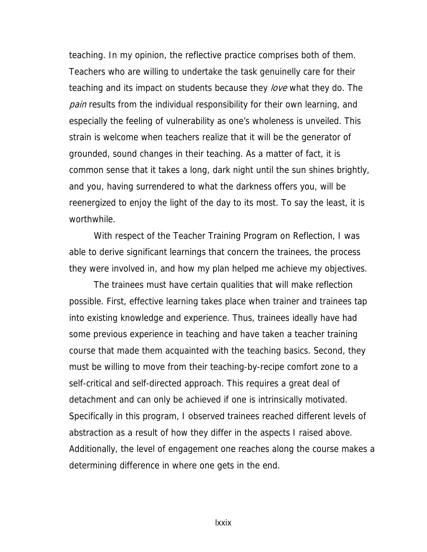teaching. In my opinion, the reflective practice comprises both of them. Teachers who are willing to undertake the task genuinelly care for their teaching and its impact on students because they *love* what they do. The *pain* results from the individual responsibility for their own learning, and especially the feeling of vulnerability as one's wholeness is unveiled. This strain is welcome when teachers realize that it will be the generator of grounded, sound changes in their teaching. As a matter of fact, it is common sense that it takes a long, dark night until the sun shines brightly, and you, having surrendered to what the darkness offers you, will be reenergized to enjoy the light of the day to its most. To say the least, it is worthwhile.

With respect of the Teacher Training Program on Reflection, I was able to derive significant learnings that concern the trainees, the process they were involved in, and how my plan helped me achieve my objectives.

The trainees must have certain qualities that will make reflection possible. First, effective learning takes place when trainer and trainees tap into existing knowledge and experience. Thus, trainees ideally have had some previous experience in teaching and have taken a teacher training course that made them acquainted with the teaching basics. Second, they must be willing to move from their teaching-by-recipe comfort zone to a self-critical and self-directed approach. This requires a great deal of detachment and can only be achieved if one is intrinsically motivated. Specifically in this program, I observed trainees reached different levels of abstraction as a result of how they differ in the aspects I raised above. Additionally, the level of engagement one reaches along the course makes a determining difference in where one gets in the end.

lxxix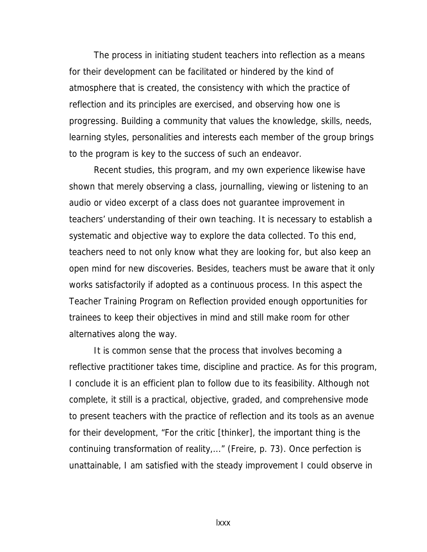The process in initiating student teachers into reflection as a means for their development can be facilitated or hindered by the kind of atmosphere that is created, the consistency with which the practice of reflection and its principles are exercised, and observing how one is progressing. Building a community that values the knowledge, skills, needs, learning styles, personalities and interests each member of the group brings to the program is key to the success of such an endeavor.

Recent studies, this program, and my own experience likewise have shown that merely observing a class, journalling, viewing or listening to an audio or video excerpt of a class does not guarantee improvement in teachers' understanding of their own teaching. It is necessary to establish a systematic and objective way to explore the data collected. To this end, teachers need to not only know what they are looking for, but also keep an open mind for new discoveries. Besides, teachers must be aware that it only works satisfactorily if adopted as a continuous process. In this aspect the Teacher Training Program on Reflection provided enough opportunities for trainees to keep their objectives in mind and still make room for other alternatives along the way.

It is common sense that the process that involves becoming a reflective practitioner takes time, discipline and practice. As for this program, I conclude it is an efficient plan to follow due to its feasibility. Although not complete, it still is a practical, objective, graded, and comprehensive mode to present teachers with the practice of reflection and its tools as an avenue for their development, "For the critic [thinker], the important thing is the continuing transformation of reality,..." (Freire, p. 73). Once perfection is unattainable, I am satisfied with the steady improvement I could observe in

lxxx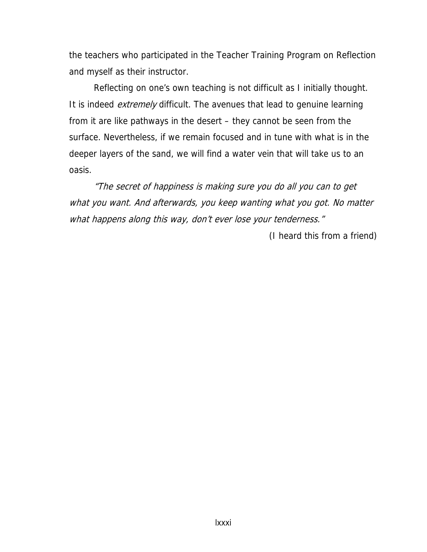the teachers who participated in the Teacher Training Program on Reflection and myself as their instructor.

Reflecting on one's own teaching is not difficult as I initially thought. It is indeed *extremely* difficult. The avenues that lead to genuine learning from it are like pathways in the desert – they cannot be seen from the surface. Nevertheless, if we remain focused and in tune with what is in the deeper layers of the sand, we will find a water vein that will take us to an oasis.

"The secret of happiness is making sure you do all you can to get what you want. And afterwards, you keep wanting what you got. No matter what happens along this way, don't ever lose your tenderness."

(I heard this from a friend)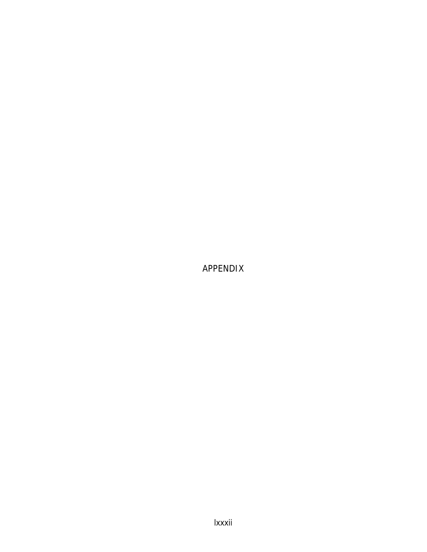APPENDIX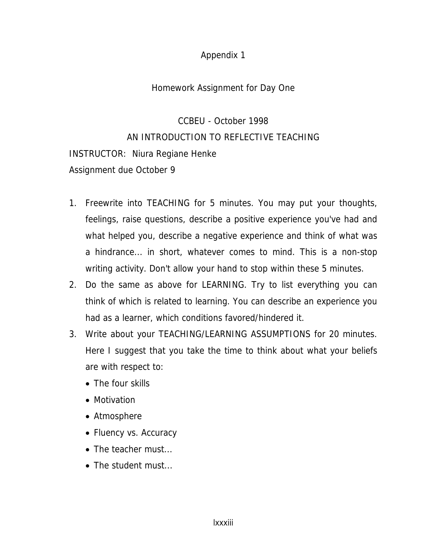#### Homework Assignment for Day One

CCBEU - October 1998 AN INTRODUCTION TO REFLECTIVE TEACHING INSTRUCTOR: Niura Regiane Henke Assignment due October 9

- 1. Freewrite into TEACHING for 5 minutes. You may put your thoughts, feelings, raise questions, describe a positive experience you've had and what helped you, describe a negative experience and think of what was a hindrance... in short, whatever comes to mind. This is a non-stop writing activity. Don't allow your hand to stop within these 5 minutes.
- 2. Do the same as above for LEARNING. Try to list everything you can think of which is related to learning. You can describe an experience you had as a learner, which conditions favored/hindered it.
- 3. Write about your TEACHING/LEARNING ASSUMPTIONS for 20 minutes. Here I suggest that you take the time to think about what your beliefs are with respect to:
	- The four skills
	- Motivation
	- Atmosphere
	- Fluency vs. Accuracy
	- The teacher must...
	- The student must...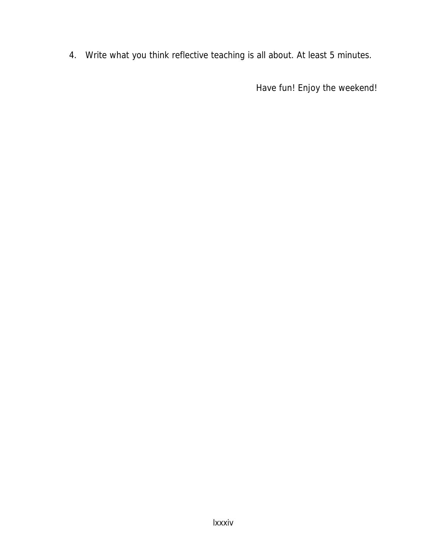4. Write what you think reflective teaching is all about. At least 5 minutes.

Have fun! Enjoy the weekend!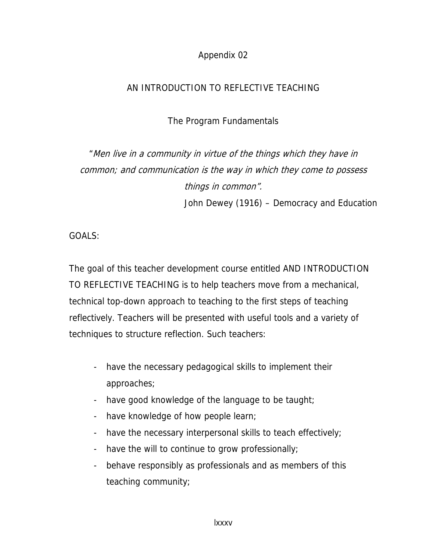## AN INTRODUCTION TO REFLECTIVE TEACHING

The Program Fundamentals

# "Men live in a community in virtue of the things which they have in common; and communication is the way in which they come to possess things in common". John Dewey (1916) – Democracy and Education

GOALS:

The goal of this teacher development course entitled AND INTRODUCTION TO REFLECTIVE TEACHING is to help teachers move from a mechanical, technical top-down approach to teaching to the first steps of teaching reflectively. Teachers will be presented with useful tools and a variety of techniques to structure reflection. Such teachers:

- have the necessary pedagogical skills to implement their approaches;
- have good knowledge of the language to be taught;
- have knowledge of how people learn;
- have the necessary interpersonal skills to teach effectively;
- have the will to continue to grow professionally;
- behave responsibly as professionals and as members of this teaching community;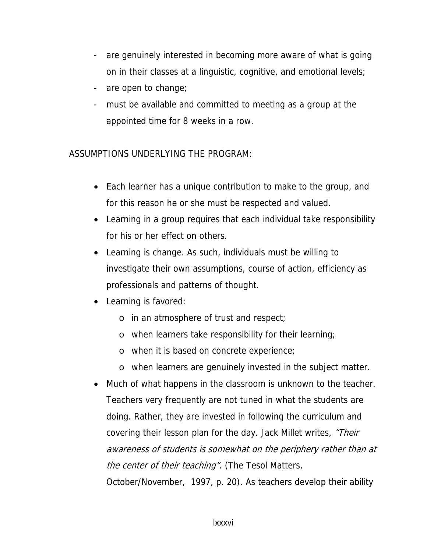- are genuinely interested in becoming more aware of what is going on in their classes at a linguistic, cognitive, and emotional levels;
- are open to change;
- must be available and committed to meeting as a group at the appointed time for 8 weeks in a row.

ASSUMPTIONS UNDERLYING THE PROGRAM:

- Each learner has a unique contribution to make to the group, and for this reason he or she must be respected and valued.
- Learning in a group requires that each individual take responsibility for his or her effect on others.
- Learning is change. As such, individuals must be willing to investigate their own assumptions, course of action, efficiency as professionals and patterns of thought.
- Learning is favored:
	- o in an atmosphere of trust and respect;
	- o when learners take responsibility for their learning;
	- o when it is based on concrete experience;
	- o when learners are genuinely invested in the subject matter.
- Much of what happens in the classroom is unknown to the teacher. Teachers very frequently are not tuned in what the students are doing. Rather, they are invested in following the curriculum and covering their lesson plan for the day. Jack Millet writes, "Their awareness of students is somewhat on the periphery rather than at the center of their teaching". (The Tesol Matters, October/November, 1997, p. 20). As teachers develop their ability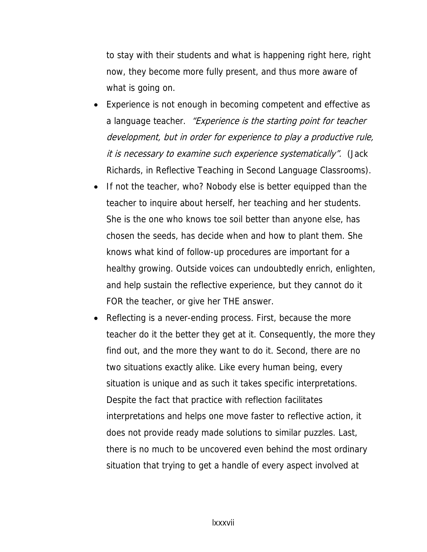to stay with their students and what is happening right here, right now, they become more fully present, and thus more aware of what is going on.

- Experience is not enough in becoming competent and effective as a language teacher. *"Experience is the starting point for teacher* development, but in order for experience to play a productive rule, it is necessary to examine such experience systematically". (Jack Richards, in Reflective Teaching in Second Language Classrooms).
- If not the teacher, who? Nobody else is better equipped than the teacher to inquire about herself, her teaching and her students. She is the one who knows toe soil better than anyone else, has chosen the seeds, has decide when and how to plant them. She knows what kind of follow-up procedures are important for a healthy growing. Outside voices can undoubtedly enrich, enlighten, and help sustain the reflective experience, but they cannot do it FOR the teacher, or give her THE answer.
- Reflecting is a never-ending process. First, because the more teacher do it the better they get at it. Consequently, the more they find out, and the more they want to do it. Second, there are no two situations exactly alike. Like every human being, every situation is unique and as such it takes specific interpretations. Despite the fact that practice with reflection facilitates interpretations and helps one move faster to reflective action, it does not provide ready made solutions to similar puzzles. Last, there is no much to be uncovered even behind the most ordinary situation that trying to get a handle of every aspect involved at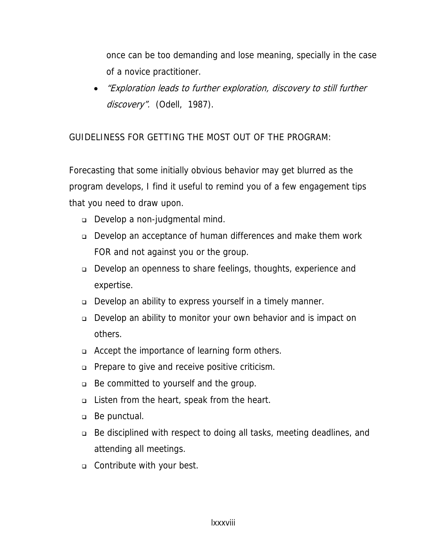once can be too demanding and lose meaning, specially in the case of a novice practitioner.

• "Exploration leads to further exploration, discovery to still further discovery". (Odell, 1987).

GUIDELINESS FOR GETTING THE MOST OUT OF THE PROGRAM:

Forecasting that some initially obvious behavior may get blurred as the program develops, I find it useful to remind you of a few engagement tips that you need to draw upon.

- Develop a non-judgmental mind.
- Develop an acceptance of human differences and make them work FOR and not against you or the group.
- Develop an openness to share feelings, thoughts, experience and expertise.
- Develop an ability to express yourself in a timely manner.
- Develop an ability to monitor your own behavior and is impact on others.
- □ Accept the importance of learning form others.
- □ Prepare to give and receive positive criticism.
- Be committed to yourself and the group.
- Listen from the heart, speak from the heart.
- Be punctual.
- Be disciplined with respect to doing all tasks, meeting deadlines, and attending all meetings.
- **Contribute with your best.**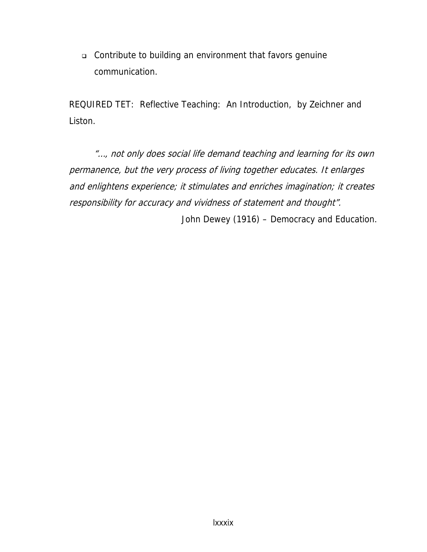Contribute to building an environment that favors genuine communication.

REQUIRED TET: Reflective Teaching: An Introduction, by Zeichner and Liston.

"…, not only does social life demand teaching and learning for its own permanence, but the very process of living together educates. It enlarges and enlightens experience; it stimulates and enriches imagination; it creates responsibility for accuracy and vividness of statement and thought".

John Dewey (1916) – Democracy and Education.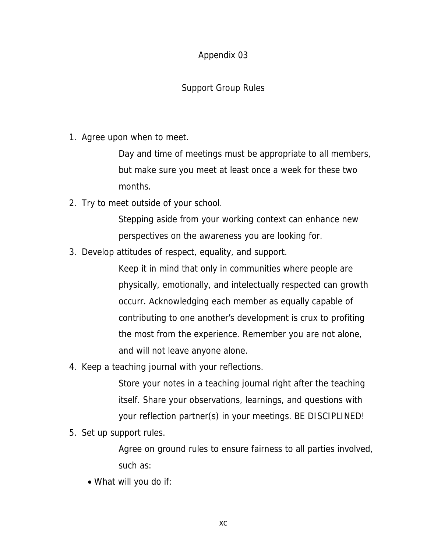## Support Group Rules

1. Agree upon when to meet.

Day and time of meetings must be appropriate to all members, but make sure you meet at least once a week for these two months.

2. Try to meet outside of your school.

Stepping aside from your working context can enhance new perspectives on the awareness you are looking for.

3. Develop attitudes of respect, equality, and support.

Keep it in mind that only in communities where people are physically, emotionally, and intelectually respected can growth occurr. Acknowledging each member as equally capable of contributing to one another's development is crux to profiting the most from the experience. Remember you are not alone, and will not leave anyone alone.

4. Keep a teaching journal with your reflections.

Store your notes in a teaching journal right after the teaching itself. Share your observations, learnings, and questions with your reflection partner(s) in your meetings. BE DISCIPLINED!

5. Set up support rules.

Agree on ground rules to ensure fairness to all parties involved, such as:

• What will you do if: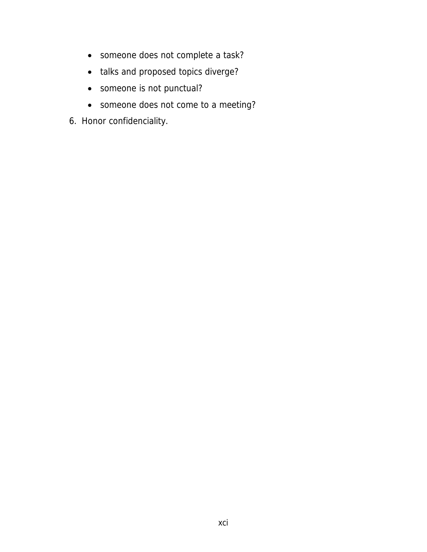- someone does not complete a task?
- talks and proposed topics diverge?
- someone is not punctual?
- someone does not come to a meeting?
- 6. Honor confidenciality.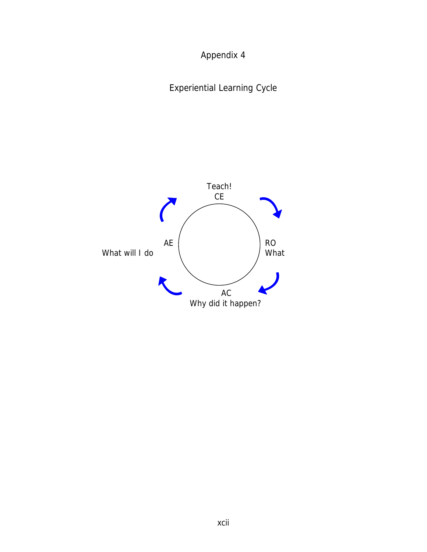Appendix 4

Experiential Learning Cycle

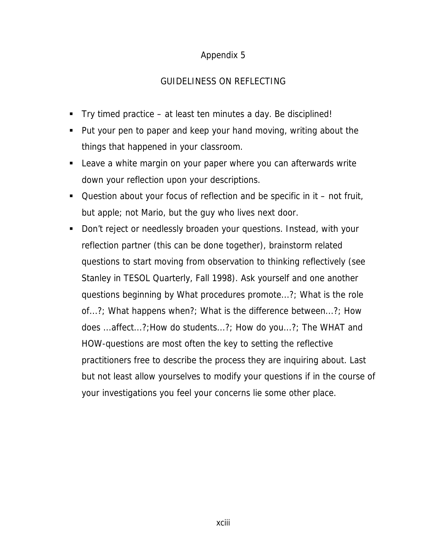#### GUIDELINESS ON REFLECTING

- Try timed practice at least ten minutes a day. Be disciplined!
- Put your pen to paper and keep your hand moving, writing about the things that happened in your classroom.
- **EXECT** Leave a white margin on your paper where you can afterwards write down your reflection upon your descriptions.
- $\blacksquare$  Question about your focus of reflection and be specific in it not fruit, but apple; not Mario, but the guy who lives next door.
- Don't reject or needlessly broaden your questions. Instead, with your reflection partner (this can be done together), brainstorm related questions to start moving from observation to thinking reflectively (see Stanley in TESOL Quarterly, Fall 1998). Ask yourself and one another questions beginning by What procedures promote...?; What is the role of...?; What happens when?; What is the difference between...?; How does ...affect...?;How do students...?; How do you...?; The WHAT and HOW-questions are most often the key to setting the reflective practitioners free to describe the process they are inquiring about. Last but not least allow yourselves to modify your questions if in the course of your investigations you feel your concerns lie some other place.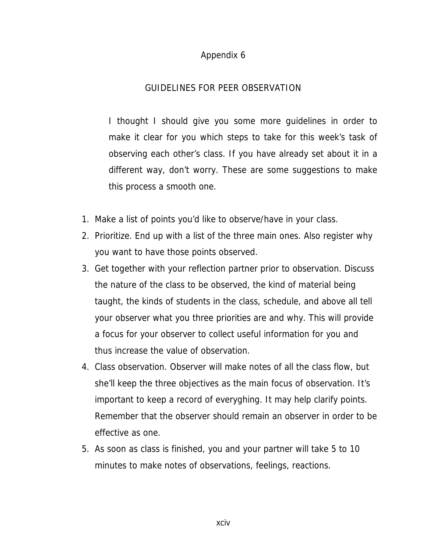#### GUIDELINES FOR PEER OBSERVATION

I thought I should give you some more guidelines in order to make it clear for you which steps to take for this week's task of observing each other's class. If you have already set about it in a different way, don't worry. These are some suggestions to make this process a smooth one.

- 1. Make a list of points you'd like to observe/have in your class.
- 2. Prioritize. End up with a list of the three main ones. Also register why you want to have those points observed.
- 3. Get together with your reflection partner prior to observation. Discuss the nature of the class to be observed, the kind of material being taught, the kinds of students in the class, schedule, and above all tell your observer what you three priorities are and why. This will provide a focus for your observer to collect useful information for you and thus increase the value of observation.
- 4. Class observation. Observer will make notes of all the class flow, but she'll keep the three objectives as the main focus of observation. It's important to keep a record of everyghing. It may help clarify points. Remember that the observer should remain an observer in order to be effective as one.
- 5. As soon as class is finished, you and your partner will take 5 to 10 minutes to make notes of observations, feelings, reactions.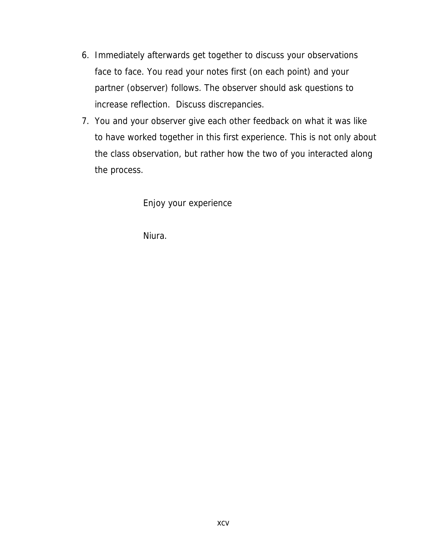- 6. Immediately afterwards get together to discuss your observations face to face. You read your notes first (on each point) and your partner (observer) follows. The observer should ask questions to increase reflection. Discuss discrepancies.
- 7. You and your observer give each other feedback on what it was like to have worked together in this first experience. This is not only about the class observation, but rather how the two of you interacted along the process.

Enjoy your experience

Niura.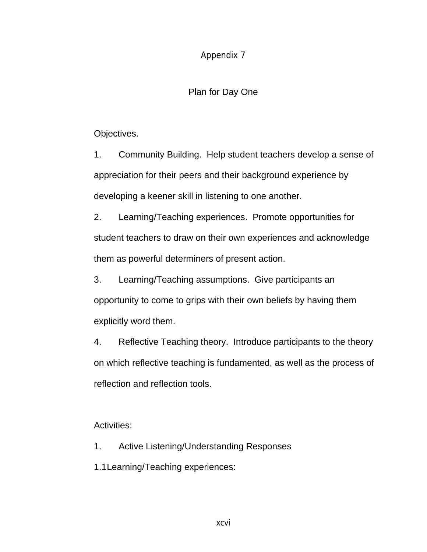#### Plan for Day One

Objectives.

1. Community Building. Help student teachers develop a sense of appreciation for their peers and their background experience by developing a keener skill in listening to one another.

2. Learning/Teaching experiences. Promote opportunities for student teachers to draw on their own experiences and acknowledge them as powerful determiners of present action.

3. Learning/Teaching assumptions. Give participants an opportunity to come to grips with their own beliefs by having them explicitly word them.

4. Reflective Teaching theory. Introduce participants to the theory on which reflective teaching is fundamented, as well as the process of reflection and reflection tools.

#### Activities:

- 1. Active Listening/Understanding Responses
- 1.1 Learning/Teaching experiences: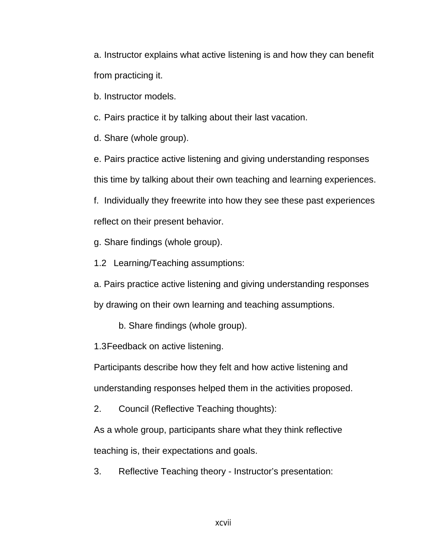a. Instructor explains what active listening is and how they can benefit from practicing it.

b. Instructor models.

c. Pairs practice it by talking about their last vacation.

d. Share (whole group).

e. Pairs practice active listening and giving understanding responses this time by talking about their own teaching and learning experiences. f. Individually they freewrite into how they see these past experiences

reflect on their present behavior.

g. Share findings (whole group).

1.2 Learning/Teaching assumptions:

a. Pairs practice active listening and giving understanding responses

by drawing on their own learning and teaching assumptions.

b. Share findings (whole group).

1.3 Feedback on active listening.

Participants describe how they felt and how active listening and understanding responses helped them in the activities proposed.

2. Council (Reflective Teaching thoughts):

As a whole group, participants share what they think reflective teaching is, their expectations and goals.

3. Reflective Teaching theory - Instructor's presentation: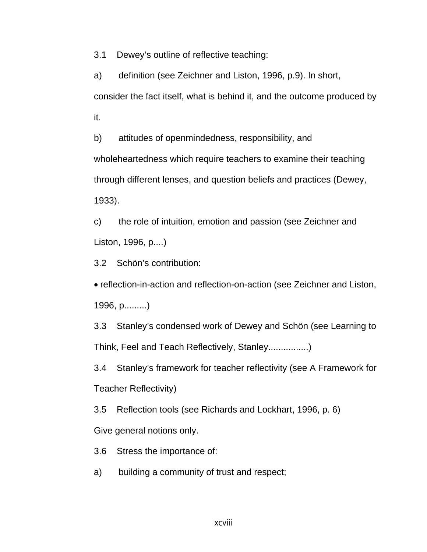3.1 Dewey's outline of reflective teaching:

a) definition (see Zeichner and Liston, 1996, p.9). In short, consider the fact itself, what is behind it, and the outcome produced by it.

b) attitudes of openmindedness, responsibility, and wholeheartedness which require teachers to examine their teaching through different lenses, and question beliefs and practices (Dewey, 1933).

c) the role of intuition, emotion and passion (see Zeichner and Liston, 1996, p....)

3.2 Schön's contribution:

• reflection-in-action and reflection-on-action (see Zeichner and Liston, 1996, p.........)

3.3 Stanley's condensed work of Dewey and Schön (see Learning to Think, Feel and Teach Reflectively, Stanley................)

3.4 Stanley's framework for teacher reflectivity (see A Framework for Teacher Reflectivity)

3.5 Reflection tools (see Richards and Lockhart, 1996, p. 6)

Give general notions only.

3.6 Stress the importance of:

a) building a community of trust and respect;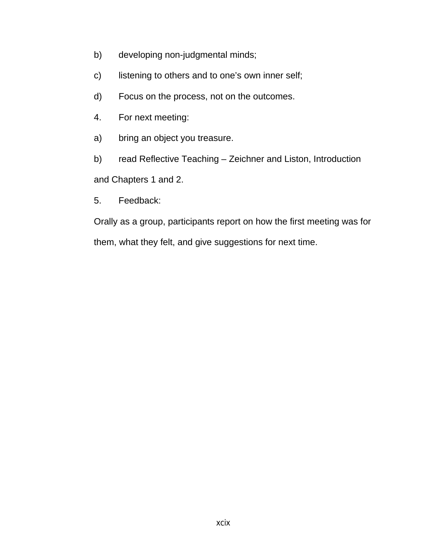- b) developing non-judgmental minds;
- c) listening to others and to one's own inner self;
- d) Focus on the process, not on the outcomes.
- 4. For next meeting:
- a) bring an object you treasure.

b) read Reflective Teaching – Zeichner and Liston, Introduction and Chapters 1 and 2.

- 
- 5. Feedback:

Orally as a group, participants report on how the first meeting was for them, what they felt, and give suggestions for next time.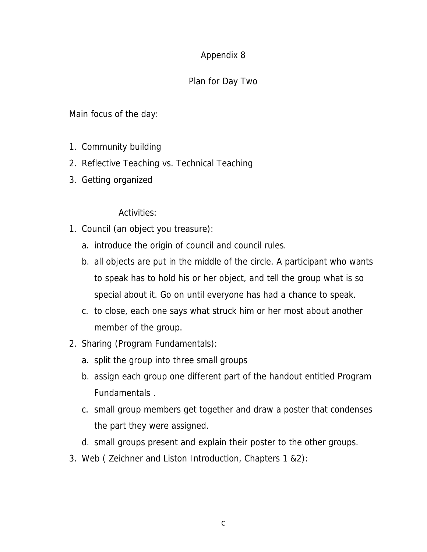## Plan for Day Two

Main focus of the day:

- 1. Community building
- 2. Reflective Teaching vs. Technical Teaching
- 3. Getting organized

Activities:

- 1. Council (an object you treasure):
	- a. introduce the origin of council and council rules.
	- b. all objects are put in the middle of the circle. A participant who wants to speak has to hold his or her object, and tell the group what is so special about it. Go on until everyone has had a chance to speak.
	- c. to close, each one says what struck him or her most about another member of the group.
- 2. Sharing (Program Fundamentals):
	- a. split the group into three small groups
	- b. assign each group one different part of the handout entitled Program Fundamentals .
	- c. small group members get together and draw a poster that condenses the part they were assigned.
	- d. small groups present and explain their poster to the other groups.
- 3. Web ( Zeichner and Liston Introduction, Chapters 1 &2):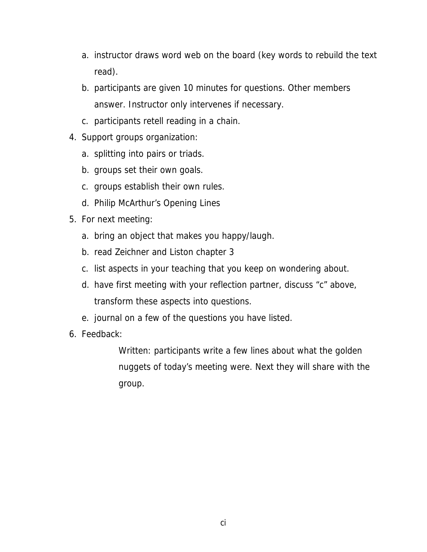- a. instructor draws word web on the board (key words to rebuild the text read).
- b. participants are given 10 minutes for questions. Other members answer. Instructor only intervenes if necessary.
- c. participants retell reading in a chain.
- 4. Support groups organization:
	- a. splitting into pairs or triads.
	- b. groups set their own goals.
	- c. groups establish their own rules.
	- d. Philip McArthur's Opening Lines
- 5. For next meeting:
	- a. bring an object that makes you happy/laugh.
	- b. read Zeichner and Liston chapter 3
	- c. list aspects in your teaching that you keep on wondering about.
	- d. have first meeting with your reflection partner, discuss "c" above, transform these aspects into questions.
	- e. journal on a few of the questions you have listed.
- 6. Feedback:

Written: participants write a few lines about what the golden nuggets of today's meeting were. Next they will share with the group.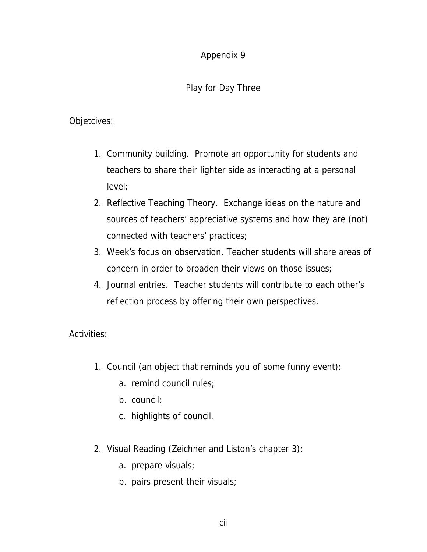## Play for Day Three

#### Objetcives:

- 1. Community building. Promote an opportunity for students and teachers to share their lighter side as interacting at a personal level;
- 2. Reflective Teaching Theory. Exchange ideas on the nature and sources of teachers' appreciative systems and how they are (not) connected with teachers' practices;
- 3. Week's focus on observation. Teacher students will share areas of concern in order to broaden their views on those issues;
- 4. Journal entries. Teacher students will contribute to each other's reflection process by offering their own perspectives.

#### Activities:

- 1. Council (an object that reminds you of some funny event):
	- a. remind council rules;
	- b. council;
	- c. highlights of council.
- 2. Visual Reading (Zeichner and Liston's chapter 3):
	- a. prepare visuals;
	- b. pairs present their visuals;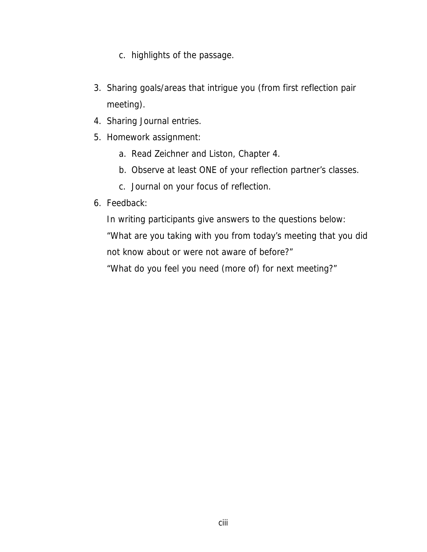- c. highlights of the passage.
- 3. Sharing goals/areas that intrigue you (from first reflection pair meeting).
- 4. Sharing Journal entries.
- 5. Homework assignment:
	- a. Read Zeichner and Liston, Chapter 4.
	- b. Observe at least ONE of your reflection partner's classes.
	- c. Journal on your focus of reflection.
- 6. Feedback:

In writing participants give answers to the questions below:

"What are you taking with you from today's meeting that you did not know about or were not aware of before?"

"What do you feel you need (more of) for next meeting?"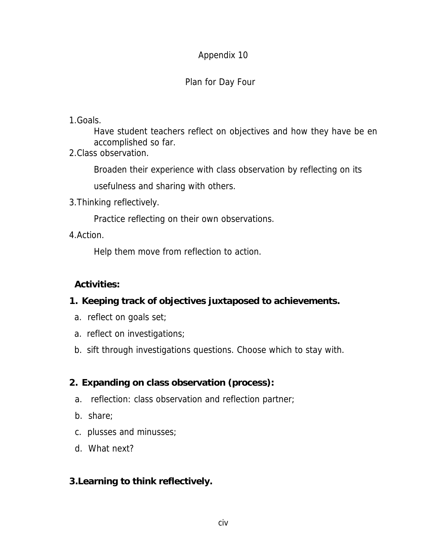## Plan for Day Four

#### 1.Goals.

Have student teachers reflect on objectives and how they have be en accomplished so far.

2.Class observation.

Broaden their experience with class observation by reflecting on its

usefulness and sharing with others.

3.Thinking reflectively.

Practice reflecting on their own observations.

4.Action.

Help them move from reflection to action.

## **Activities:**

## **1. Keeping track of objectives juxtaposed to achievements.**

- a. reflect on goals set;
- a. reflect on investigations;
- b. sift through investigations questions. Choose which to stay with.

## **2. Expanding on class observation (process):**

- a. reflection: class observation and reflection partner;
- b. share;
- c. plusses and minusses;
- d. What next?

## **3.Learning to think reflectively.**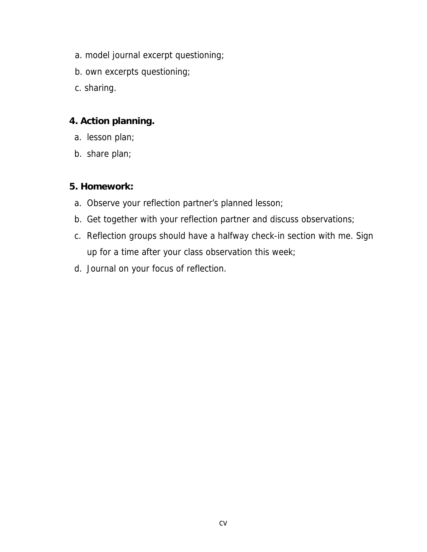- a. model journal excerpt questioning;
- b. own excerpts questioning;
- c. sharing.

## **4. Action planning.**

- a. lesson plan;
- b. share plan;

## **5. Homework:**

- a. Observe your reflection partner's planned lesson;
- b. Get together with your reflection partner and discuss observations;
- c. Reflection groups should have a halfway check-in section with me. Sign up for a time after your class observation this week;
- d. Journal on your focus of reflection.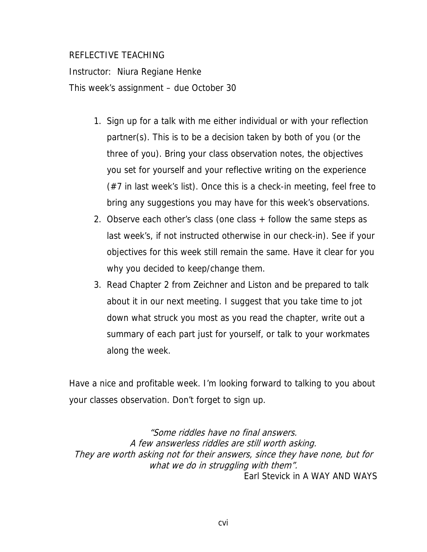#### REFLECTIVE TEACHING

Instructor: Niura Regiane Henke This week's assignment – due October 30

- 1. Sign up for a talk with me either individual or with your reflection partner(s). This is to be a decision taken by both of you (or the three of you). Bring your class observation notes, the objectives you set for yourself and your reflective writing on the experience (#7 in last week's list). Once this is a check-in meeting, feel free to bring any suggestions you may have for this week's observations.
- 2. Observe each other's class (one class + follow the same steps as last week's, if not instructed otherwise in our check-in). See if your objectives for this week still remain the same. Have it clear for you why you decided to keep/change them.
- 3. Read Chapter 2 from Zeichner and Liston and be prepared to talk about it in our next meeting. I suggest that you take time to jot down what struck you most as you read the chapter, write out a summary of each part just for yourself, or talk to your workmates along the week.

Have a nice and profitable week. I'm looking forward to talking to you about your classes observation. Don't forget to sign up.

"Some riddles have no final answers. A few answerless riddles are still worth asking. They are worth asking not for their answers, since they have none, but for what we do in struggling with them". Earl Stevick in A WAY AND WAYS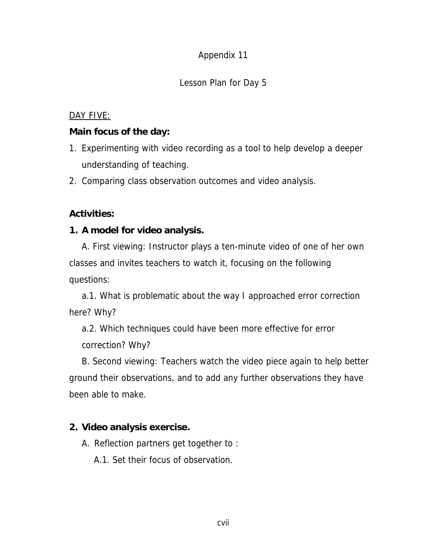## Lesson Plan for Day 5

#### DAY FIVE:

#### **Main focus of the day:**

- 1. Experimenting with video recording as a tool to help develop a deeper understanding of teaching.
- 2. Comparing class observation outcomes and video analysis.

## **Activities:**

#### **1. A model for video analysis.**

A. First viewing: Instructor plays a ten-minute video of one of her own classes and invites teachers to watch it, focusing on the following questions:

a.1. What is problematic about the way I approached error correction here? Why?

a.2. Which techniques could have been more effective for error correction? Why?

B. Second viewing: Teachers watch the video piece again to help better ground their observations, and to add any further observations they have been able to make.

## **2. Video analysis exercise.**

A. Reflection partners get together to :

A.1. Set their focus of observation.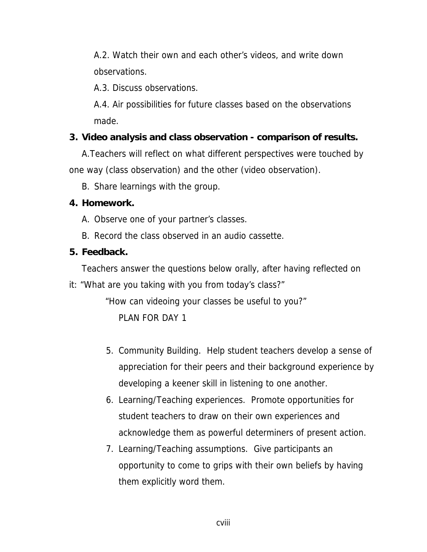A.2. Watch their own and each other's videos, and write down observations.

A.3. Discuss observations.

A.4. Air possibilities for future classes based on the observations made.

## **3. Video analysis and class observation - comparison of results.**

A.Teachers will reflect on what different perspectives were touched by one way (class observation) and the other (video observation).

B. Share learnings with the group.

#### **4. Homework.**

- A. Observe one of your partner's classes.
- B. Record the class observed in an audio cassette.

## **5. Feedback.**

Teachers answer the questions below orally, after having reflected on

it: "What are you taking with you from today's class?"

 "How can videoing your classes be useful to you?" PLAN FOR DAY 1

- 5. Community Building. Help student teachers develop a sense of appreciation for their peers and their background experience by developing a keener skill in listening to one another.
- 6. Learning/Teaching experiences. Promote opportunities for student teachers to draw on their own experiences and acknowledge them as powerful determiners of present action.
- 7. Learning/Teaching assumptions. Give participants an opportunity to come to grips with their own beliefs by having them explicitly word them.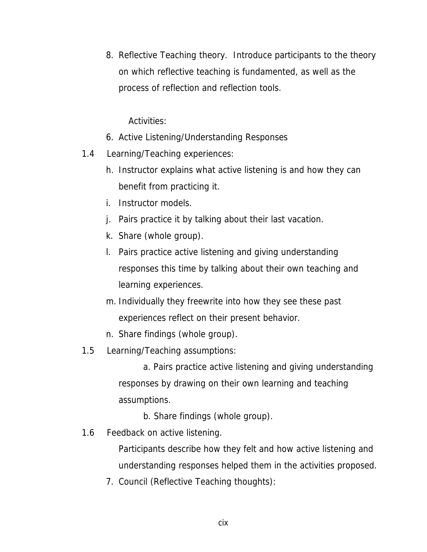8. Reflective Teaching theory. Introduce participants to the theory on which reflective teaching is fundamented, as well as the process of reflection and reflection tools.

Activities:

- 6. Active Listening/Understanding Responses
- 1.4 Learning/Teaching experiences:
	- h. Instructor explains what active listening is and how they can benefit from practicing it.
	- i. Instructor models.
	- j. Pairs practice it by talking about their last vacation.
	- k. Share (whole group).
	- l. Pairs practice active listening and giving understanding responses this time by talking about their own teaching and learning experiences.
	- m. Individually they freewrite into how they see these past experiences reflect on their present behavior.
	- n. Share findings (whole group).
- 1.5 Learning/Teaching assumptions:

a. Pairs practice active listening and giving understanding responses by drawing on their own learning and teaching assumptions.

b. Share findings (whole group).

1.6 Feedback on active listening.

Participants describe how they felt and how active listening and understanding responses helped them in the activities proposed.

7. Council (Reflective Teaching thoughts):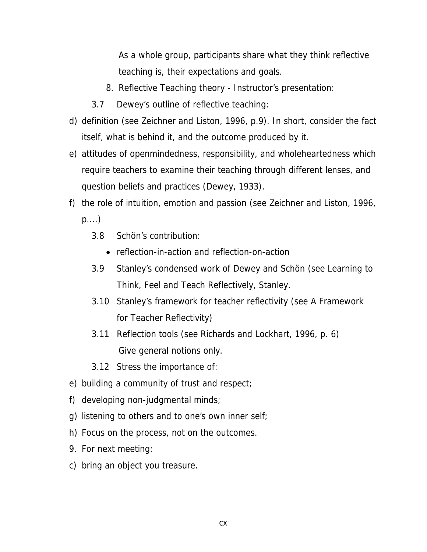As a whole group, participants share what they think reflective teaching is, their expectations and goals.

- 8. Reflective Teaching theory Instructor's presentation:
- 3.7 Dewey's outline of reflective teaching:
- d) definition (see Zeichner and Liston, 1996, p.9). In short, consider the fact itself, what is behind it, and the outcome produced by it.
- e) attitudes of openmindedness, responsibility, and wholeheartedness which require teachers to examine their teaching through different lenses, and question beliefs and practices (Dewey, 1933).
- f) the role of intuition, emotion and passion (see Zeichner and Liston, 1996,

p....)

- 3.8 Schön's contribution:
	- reflection-in-action and reflection-on-action
- 3.9 Stanley's condensed work of Dewey and Schön (see Learning to Think, Feel and Teach Reflectively, Stanley.
- 3.10 Stanley's framework for teacher reflectivity (see A Framework for Teacher Reflectivity)
- 3.11 Reflection tools (see Richards and Lockhart, 1996, p. 6) Give general notions only.
- 3.12 Stress the importance of:
- e) building a community of trust and respect;
- f) developing non-judgmental minds;
- g) listening to others and to one's own inner self;
- h) Focus on the process, not on the outcomes.
- 9. For next meeting:
- c) bring an object you treasure.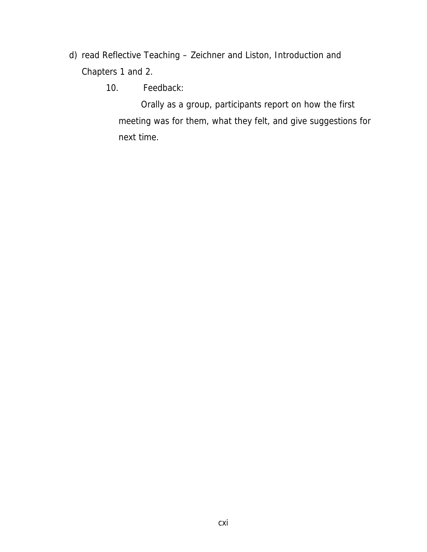- d) read Reflective Teaching Zeichner and Liston, Introduction and Chapters 1 and 2.
	- 10. Feedback:

Orally as a group, participants report on how the first meeting was for them, what they felt, and give suggestions for next time.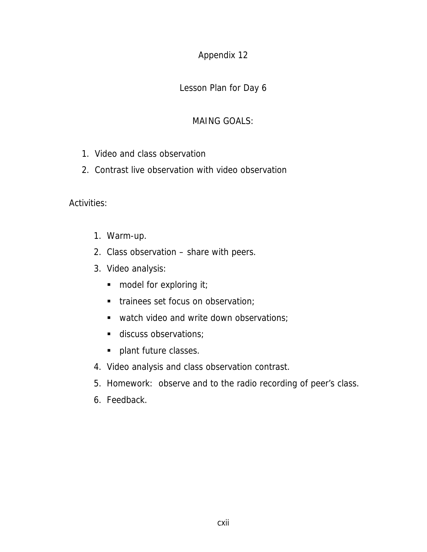#### Appendix 12

Lesson Plan for Day 6

### MAING GOALS:

- 1. Video and class observation
- 2. Contrast live observation with video observation

Activities:

- 1. Warm-up.
- 2. Class observation share with peers.
- 3. Video analysis:
	- model for exploring it;
	- trainees set focus on observation;
	- watch video and write down observations;
	- discuss observations:
	- **plant future classes.**
- 4. Video analysis and class observation contrast.
- 5. Homework: observe and to the radio recording of peer's class.
- 6. Feedback.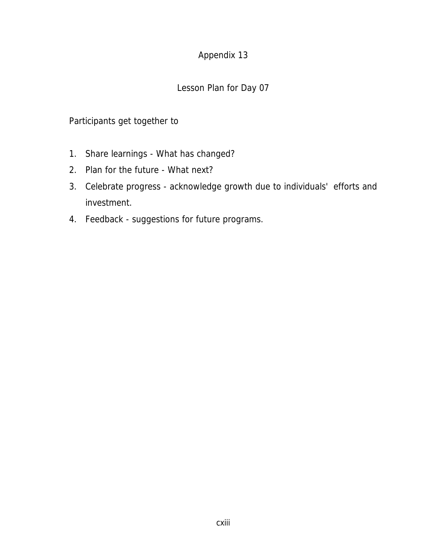## Appendix 13

## Lesson Plan for Day 07

# Participants get together to

- 1. Share learnings What has changed?
- 2. Plan for the future What next?
- 3. Celebrate progress acknowledge growth due to individuals' efforts and investment.
- 4. Feedback suggestions for future programs.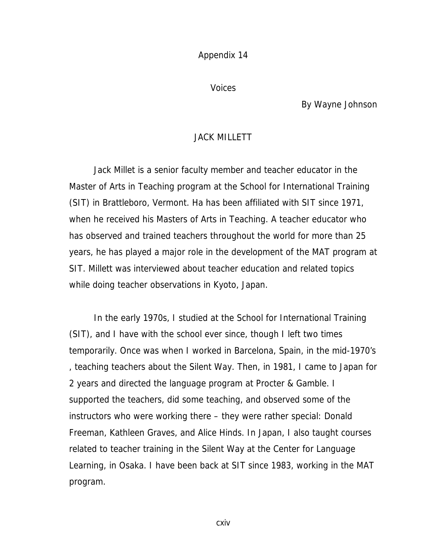Appendix 14

Voices

By Wayne Johnson

#### JACK MILLETT

 Jack Millet is a senior faculty member and teacher educator in the Master of Arts in Teaching program at the School for International Training (SIT) in Brattleboro, Vermont. Ha has been affiliated with SIT since 1971, when he received his Masters of Arts in Teaching. A teacher educator who has observed and trained teachers throughout the world for more than 25 years, he has played a major role in the development of the MAT program at SIT. Millett was interviewed about teacher education and related topics while doing teacher observations in Kyoto, Japan.

 In the early 1970s, I studied at the School for International Training (SIT), and I have with the school ever since, though I left two times temporarily. Once was when I worked in Barcelona, Spain, in the mid-1970's , teaching teachers about the Silent Way. Then, in 1981, I came to Japan for 2 years and directed the language program at Procter & Gamble. I supported the teachers, did some teaching, and observed some of the instructors who were working there – they were rather special: Donald Freeman, Kathleen Graves, and Alice Hinds. In Japan, I also taught courses related to teacher training in the Silent Way at the Center for Language Learning, in Osaka. I have been back at SIT since 1983, working in the MAT program.

cxiv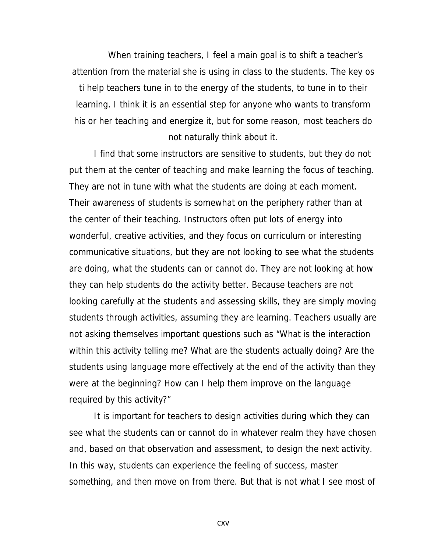When training teachers, I feel a main goal is to shift a teacher's attention from the material she is using in class to the students. The key os ti help teachers tune in to the energy of the students, to tune in to their learning. I think it is an essential step for anyone who wants to transform his or her teaching and energize it, but for some reason, most teachers do not naturally think about it.

I find that some instructors are sensitive to students, but they do not put them at the center of teaching and make learning the focus of teaching. They are not in tune with what the students are doing at each moment. Their awareness of students is somewhat on the periphery rather than at the center of their teaching. Instructors often put lots of energy into wonderful, creative activities, and they focus on curriculum or interesting communicative situations, but they are not looking to see what the students are doing, what the students can or cannot do. They are not looking at how they can help students do the activity better. Because teachers are not looking carefully at the students and assessing skills, they are simply moving students through activities, assuming they are learning. Teachers usually are not asking themselves important questions such as "What is the interaction within this activity telling me? What are the students actually doing? Are the students using language more effectively at the end of the activity than they were at the beginning? How can I help them improve on the language required by this activity?"

It is important for teachers to design activities during which they can see what the students can or cannot do in whatever realm they have chosen and, based on that observation and assessment, to design the next activity. In this way, students can experience the feeling of success, master something, and then move on from there. But that is not what I see most of

cxv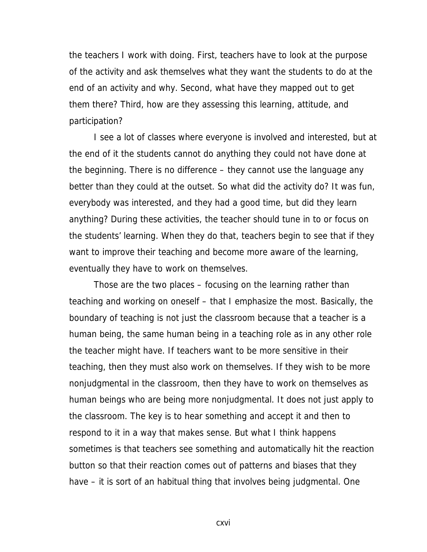the teachers I work with doing. First, teachers have to look at the purpose of the activity and ask themselves what they want the students to do at the end of an activity and why. Second, what have they mapped out to get them there? Third, how are they assessing this learning, attitude, and participation?

I see a lot of classes where everyone is involved and interested, but at the end of it the students cannot do anything they could not have done at the beginning. There is no difference – they cannot use the language any better than they could at the outset. So what did the activity do? It was fun, everybody was interested, and they had a good time, but did they learn anything? During these activities, the teacher should tune in to or focus on the students' learning. When they do that, teachers begin to see that if they want to improve their teaching and become more aware of the learning, eventually they have to work on themselves.

Those are the two places – focusing on the learning rather than teaching and working on oneself – that I emphasize the most. Basically, the boundary of teaching is not just the classroom because that a teacher is a human being, the same human being in a teaching role as in any other role the teacher might have. If teachers want to be more sensitive in their teaching, then they must also work on themselves. If they wish to be more nonjudgmental in the classroom, then they have to work on themselves as human beings who are being more nonjudgmental. It does not just apply to the classroom. The key is to hear something and accept it and then to respond to it in a way that makes sense. But what I think happens sometimes is that teachers see something and automatically hit the reaction button so that their reaction comes out of patterns and biases that they have – it is sort of an habitual thing that involves being judgmental. One

cxvi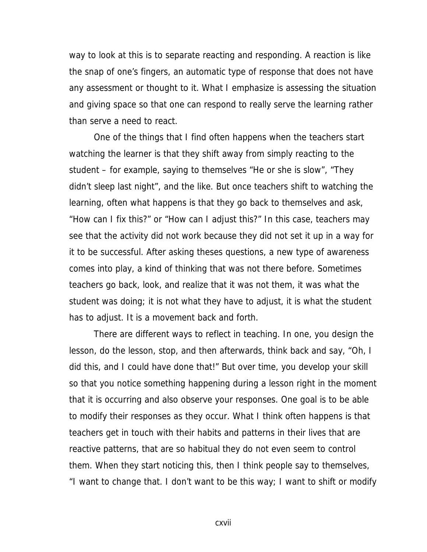way to look at this is to separate reacting and responding. A reaction is like the snap of one's fingers, an automatic type of response that does not have any assessment or thought to it. What I emphasize is assessing the situation and giving space so that one can respond to really serve the learning rather than serve a need to react.

One of the things that I find often happens when the teachers start watching the learner is that they shift away from simply reacting to the student – for example, saying to themselves "He or she is slow", "They didn't sleep last night", and the like. But once teachers shift to watching the learning, often what happens is that they go back to themselves and ask, "How can I fix this?" or "How can I adjust this?" In this case, teachers may see that the activity did not work because they did not set it up in a way for it to be successful. After asking theses questions, a new type of awareness comes into play, a kind of thinking that was not there before. Sometimes teachers go back, look, and realize that it was not them, it was what the student was doing; it is not what they have to adjust, it is what the student has to adjust. It is a movement back and forth.

There are different ways to reflect in teaching. In one, you design the lesson, do the lesson, stop, and then afterwards, think back and say, "Oh, I did this, and I could have done that!" But over time, you develop your skill so that you notice something happening during a lesson right in the moment that it is occurring and also observe your responses. One goal is to be able to modify their responses as they occur. What I think often happens is that teachers get in touch with their habits and patterns in their lives that are reactive patterns, that are so habitual they do not even seem to control them. When they start noticing this, then I think people say to themselves, "I want to change that. I don't want to be this way; I want to shift or modify

cxvii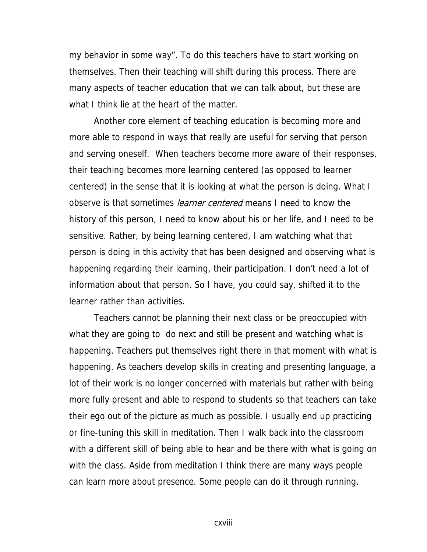my behavior in some way". To do this teachers have to start working on themselves. Then their teaching will shift during this process. There are many aspects of teacher education that we can talk about, but these are what I think lie at the heart of the matter.

Another core element of teaching education is becoming more and more able to respond in ways that really are useful for serving that person and serving oneself. When teachers become more aware of their responses, their teaching becomes more learning centered (as opposed to learner centered) in the sense that it is looking at what the person is doing. What I observe is that sometimes *learner centered* means I need to know the history of this person, I need to know about his or her life, and I need to be sensitive. Rather, by being learning centered, I am watching what that person is doing in this activity that has been designed and observing what is happening regarding their learning, their participation. I don't need a lot of information about that person. So I have, you could say, shifted it to the learner rather than activities.

Teachers cannot be planning their next class or be preoccupied with what they are going to do next and still be present and watching what is happening. Teachers put themselves right there in that moment with what is happening. As teachers develop skills in creating and presenting language, a lot of their work is no longer concerned with materials but rather with being more fully present and able to respond to students so that teachers can take their ego out of the picture as much as possible. I usually end up practicing or fine-tuning this skill in meditation. Then I walk back into the classroom with a different skill of being able to hear and be there with what is going on with the class. Aside from meditation I think there are many ways people can learn more about presence. Some people can do it through running.

cxviii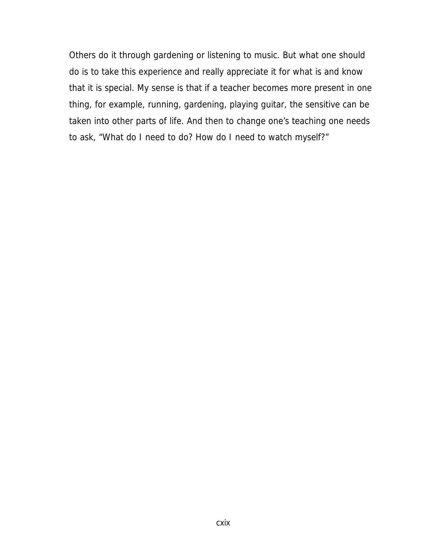Others do it through gardening or listening to music. But what one should do is to take this experience and really appreciate it for what is and know that it is special. My sense is that if a teacher becomes more present in one thing, for example, running, gardening, playing guitar, the sensitive can be taken into other parts of life. And then to change one's teaching one needs to ask, "What do I need to do? How do I need to watch myself?"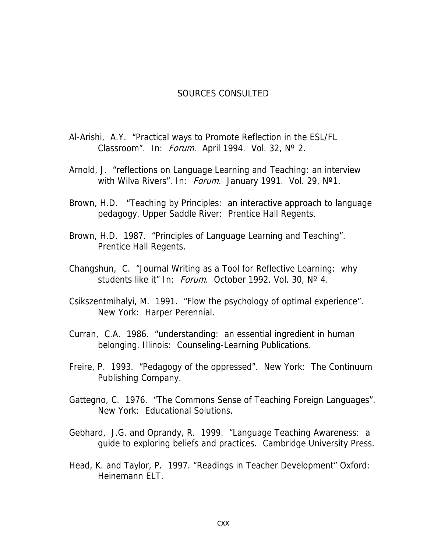#### SOURCES CONSULTED

- Al-Arishi, A.Y. "Practical ways to Promote Reflection in the ESL/FL Classroom". In: *Forum*. April 1994. Vol. 32, N° 2.
- Arnold, J. "reflections on Language Learning and Teaching: an interview with Wilva Rivers". In: Forum. January 1991. Vol. 29, N°1.
- Brown, H.D. "Teaching by Principles: an interactive approach to language pedagogy. Upper Saddle River: Prentice Hall Regents.
- Brown, H.D. 1987. "Principles of Language Learning and Teaching". Prentice Hall Regents.
- Changshun, C. "Journal Writing as a Tool for Reflective Learning: why students like it" In: Forum. October 1992. Vol. 30, N° 4.
- Csikszentmihalyi, M. 1991. "Flow the psychology of optimal experience". New York: Harper Perennial.
- Curran, C.A. 1986. "understanding: an essential ingredient in human belonging. Illinois: Counseling-Learning Publications.
- Freire, P. 1993. "Pedagogy of the oppressed". New York: The Continuum Publishing Company.
- Gattegno, C. 1976. "The Commons Sense of Teaching Foreign Languages". New York: Educational Solutions.
- Gebhard, J.G. and Oprandy, R. 1999. "Language Teaching Awareness: a guide to exploring beliefs and practices. Cambridge University Press.
- Head, K. and Taylor, P. 1997. "Readings in Teacher Development" Oxford: Heinemann ELT.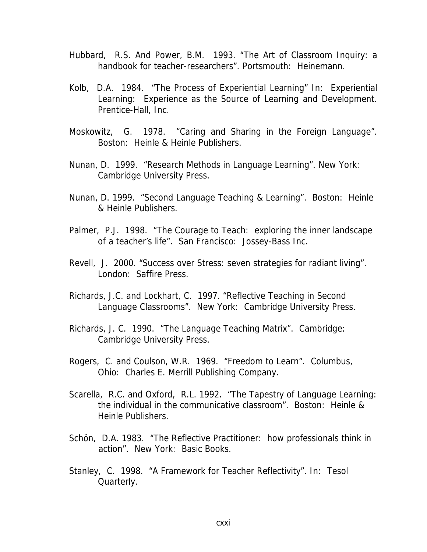- Hubbard, R.S. And Power, B.M. 1993. "The Art of Classroom Inquiry: a handbook for teacher-researchers". Portsmouth: Heinemann.
- Kolb, D.A. 1984. "The Process of Experiential Learning" In: Experiential Learning: Experience as the Source of Learning and Development. Prentice-Hall, Inc.
- Moskowitz, G. 1978. "Caring and Sharing in the Foreign Language". Boston: Heinle & Heinle Publishers.
- Nunan, D. 1999. "Research Methods in Language Learning". New York: Cambridge University Press.
- Nunan, D. 1999. "Second Language Teaching & Learning". Boston: Heinle & Heinle Publishers.
- Palmer, P.J. 1998. "The Courage to Teach: exploring the inner landscape of a teacher's life". San Francisco: Jossey-Bass Inc.
- Revell, J. 2000. "Success over Stress: seven strategies for radiant living". London: Saffire Press.
- Richards, J.C. and Lockhart, C. 1997. "Reflective Teaching in Second Language Classrooms". New York: Cambridge University Press.
- Richards, J. C. 1990. "The Language Teaching Matrix". Cambridge: Cambridge University Press.
- Rogers, C. and Coulson, W.R. 1969. "Freedom to Learn". Columbus, Ohio: Charles E. Merrill Publishing Company.
- Scarella, R.C. and Oxford, R.L. 1992. "The Tapestry of Language Learning: the individual in the communicative classroom". Boston: Heinle & Heinle Publishers.
- Schön, D.A. 1983. "The Reflective Practitioner: how professionals think in action". New York: Basic Books.
- Stanley, C. 1998. "A Framework for Teacher Reflectivity". In: Tesol Quarterly.